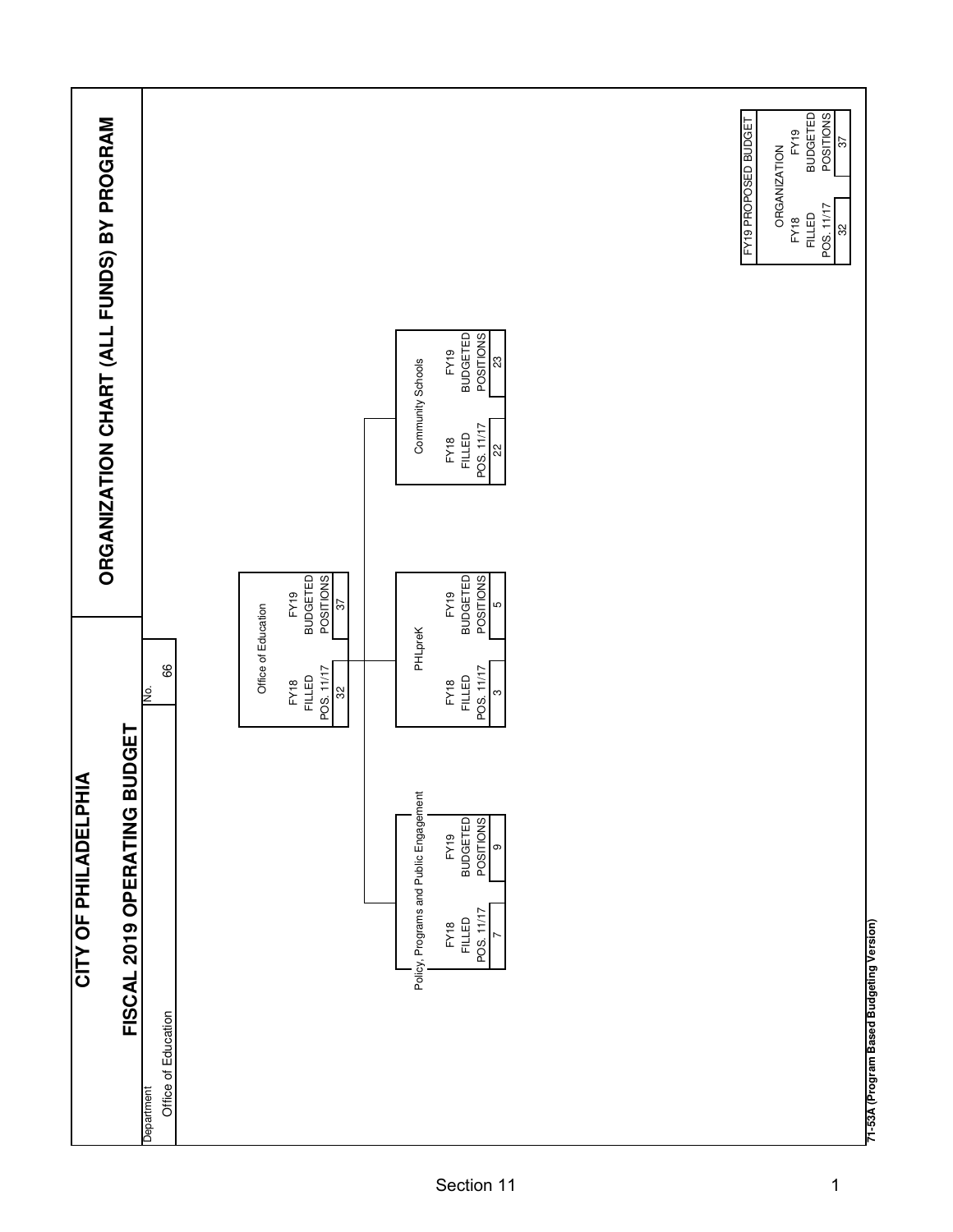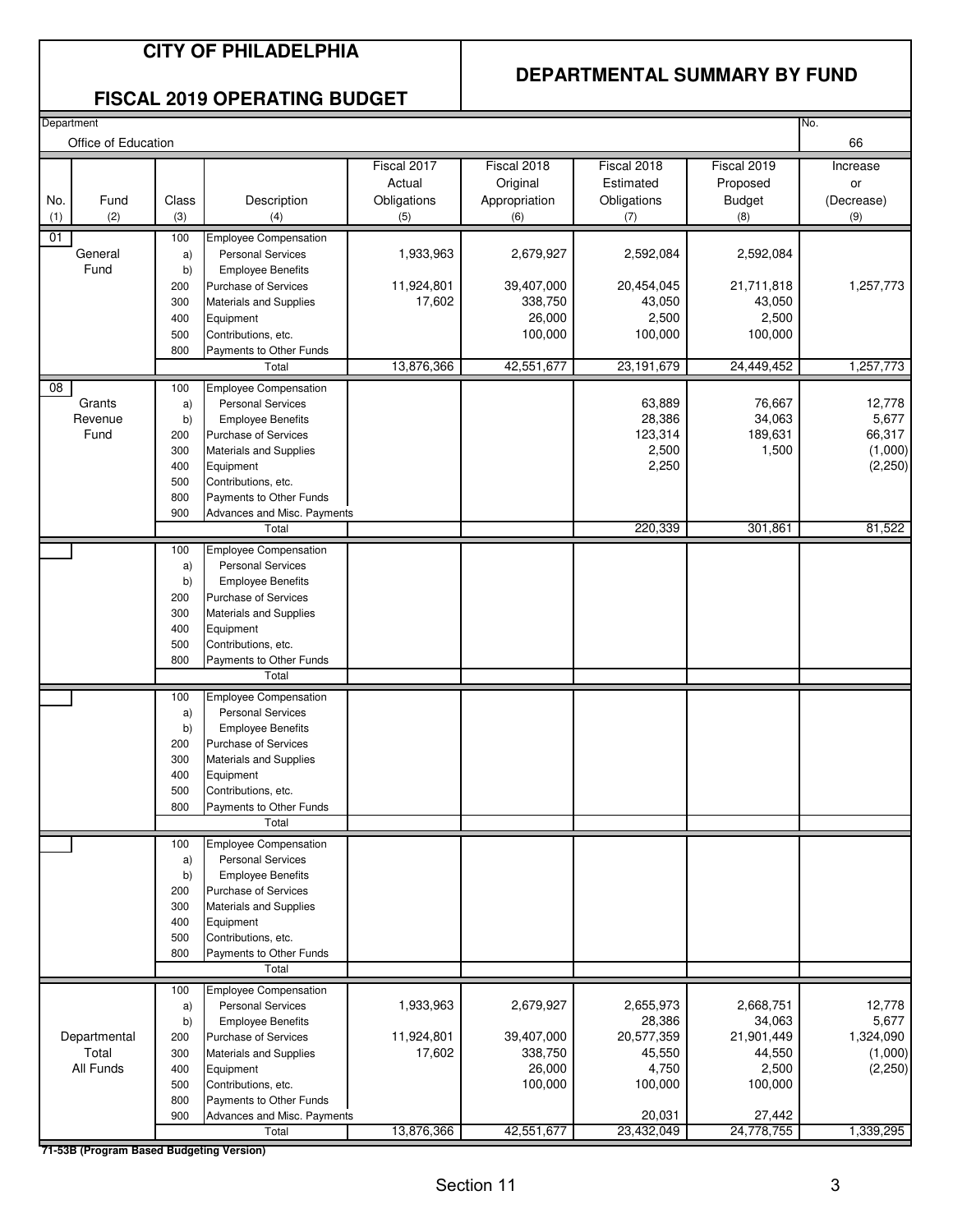#### **DEPARTMENTAL SUMMARY BY FUND**

#### **FISCAL 2019 OPERATING BUDGET**

| Department<br>No.<br>Office of Education |                                          |            |                                                         |                       |                           |                          |                           |                     |
|------------------------------------------|------------------------------------------|------------|---------------------------------------------------------|-----------------------|---------------------------|--------------------------|---------------------------|---------------------|
|                                          |                                          |            |                                                         |                       |                           |                          |                           | 66                  |
|                                          |                                          |            |                                                         | Fiscal 2017<br>Actual | Fiscal 2018               | Fiscal 2018<br>Estimated | Fiscal 2019               | Increase            |
|                                          | Fund                                     | Class      | Description                                             |                       | Original<br>Appropriation | Obligations              | Proposed<br><b>Budget</b> | or<br>(Decrease)    |
| No.<br>(1)                               | (2)                                      | (3)        | (4)                                                     | Obligations<br>(5)    | (6)                       | (7)                      | (8)                       | (9)                 |
| 01                                       |                                          | 100        | Employee Compensation                                   |                       |                           |                          |                           |                     |
|                                          | General                                  | a)         | <b>Personal Services</b>                                | 1,933,963             | 2,679,927                 | 2,592,084                | 2,592,084                 |                     |
|                                          | Fund                                     | b)         | <b>Employee Benefits</b>                                |                       |                           |                          |                           |                     |
|                                          |                                          | 200        | <b>Purchase of Services</b>                             | 11,924,801            | 39,407,000                | 20,454,045               | 21,711,818                | 1,257,773           |
|                                          |                                          | 300        | Materials and Supplies                                  | 17,602                | 338,750                   | 43,050                   | 43,050                    |                     |
|                                          |                                          | 400        | Equipment                                               |                       | 26,000                    | 2,500                    | 2,500                     |                     |
|                                          |                                          | 500        | Contributions, etc.                                     |                       | 100,000                   | 100,000                  | 100,000                   |                     |
|                                          |                                          | 800        | Payments to Other Funds                                 |                       |                           |                          |                           |                     |
|                                          |                                          |            | Total                                                   | 13,876,366            | 42,551,677                | 23,191,679               | 24,449,452                | 1,257,773           |
| $\overline{08}$                          |                                          | 100        | <b>Employee Compensation</b>                            |                       |                           |                          |                           |                     |
|                                          | Grants                                   | a)         | <b>Personal Services</b>                                |                       |                           | 63,889                   | 76,667                    | 12,778              |
|                                          | Revenue<br>Fund                          | b)         | <b>Employee Benefits</b><br><b>Purchase of Services</b> |                       |                           | 28,386<br>123,314        | 34,063<br>189,631         | 5,677<br>66,317     |
|                                          |                                          | 200<br>300 | Materials and Supplies                                  |                       |                           | 2,500                    | 1,500                     | (1,000)             |
|                                          |                                          | 400        | Equipment                                               |                       |                           | 2,250                    |                           | (2, 250)            |
|                                          |                                          | 500        | Contributions, etc.                                     |                       |                           |                          |                           |                     |
|                                          |                                          | 800        | Payments to Other Funds                                 |                       |                           |                          |                           |                     |
|                                          |                                          | 900        | Advances and Misc. Payments                             |                       |                           |                          |                           |                     |
|                                          |                                          |            | Total                                                   |                       |                           | 220,339                  | 301,861                   | 81,522              |
|                                          |                                          | 100        | <b>Employee Compensation</b>                            |                       |                           |                          |                           |                     |
|                                          |                                          | a)         | <b>Personal Services</b>                                |                       |                           |                          |                           |                     |
|                                          |                                          | b)         | <b>Employee Benefits</b>                                |                       |                           |                          |                           |                     |
|                                          |                                          | 200        | <b>Purchase of Services</b>                             |                       |                           |                          |                           |                     |
|                                          |                                          | 300        | Materials and Supplies                                  |                       |                           |                          |                           |                     |
|                                          |                                          | 400<br>500 | Equipment<br>Contributions, etc.                        |                       |                           |                          |                           |                     |
|                                          |                                          | 800        | Payments to Other Funds                                 |                       |                           |                          |                           |                     |
|                                          |                                          |            | Total                                                   |                       |                           |                          |                           |                     |
|                                          |                                          | 100        | <b>Employee Compensation</b>                            |                       |                           |                          |                           |                     |
|                                          |                                          | a)         | <b>Personal Services</b>                                |                       |                           |                          |                           |                     |
|                                          |                                          | b)         | <b>Employee Benefits</b>                                |                       |                           |                          |                           |                     |
|                                          |                                          | 200        | <b>Purchase of Services</b>                             |                       |                           |                          |                           |                     |
|                                          |                                          | 300        | Materials and Supplies                                  |                       |                           |                          |                           |                     |
|                                          |                                          | 400        | Equipment                                               |                       |                           |                          |                           |                     |
|                                          |                                          | 500        | Contributions, etc.                                     |                       |                           |                          |                           |                     |
|                                          |                                          | 800        | Payments to Other Funds<br>Total                        |                       |                           |                          |                           |                     |
|                                          |                                          |            |                                                         |                       |                           |                          |                           |                     |
|                                          |                                          | 100        | <b>Employee Compensation</b>                            |                       |                           |                          |                           |                     |
|                                          |                                          | a)<br>b)   | <b>Personal Services</b><br><b>Employee Benefits</b>    |                       |                           |                          |                           |                     |
|                                          |                                          | 200        | <b>Purchase of Services</b>                             |                       |                           |                          |                           |                     |
|                                          |                                          | 300        | Materials and Supplies                                  |                       |                           |                          |                           |                     |
|                                          |                                          | 400        | Equipment                                               |                       |                           |                          |                           |                     |
|                                          |                                          | 500        | Contributions, etc.                                     |                       |                           |                          |                           |                     |
|                                          |                                          | 800        | Payments to Other Funds                                 |                       |                           |                          |                           |                     |
|                                          |                                          |            | Total                                                   |                       |                           |                          |                           |                     |
|                                          |                                          | 100        | <b>Employee Compensation</b>                            |                       |                           |                          |                           |                     |
|                                          |                                          | a)         | <b>Personal Services</b>                                | 1,933,963             | 2,679,927                 | 2,655,973                | 2,668,751                 | 12,778              |
|                                          |                                          | b)         | <b>Employee Benefits</b>                                |                       |                           | 28,386                   | 34,063                    | 5,677               |
|                                          | Departmental                             | 200        | <b>Purchase of Services</b>                             | 11,924,801            | 39,407,000                | 20,577,359               | 21,901,449                | 1,324,090           |
|                                          | Total<br>All Funds                       | 300<br>400 | Materials and Supplies<br>Equipment                     | 17,602                | 338,750<br>26,000         | 45,550<br>4,750          | 44,550<br>2,500           | (1,000)<br>(2, 250) |
|                                          |                                          | 500        | Contributions, etc.                                     |                       | 100,000                   | 100,000                  | 100,000                   |                     |
|                                          |                                          | 800        | Payments to Other Funds                                 |                       |                           |                          |                           |                     |
|                                          |                                          | 900        | Advances and Misc. Payments                             |                       |                           | 20,031                   | 27,442                    |                     |
|                                          |                                          |            | Total                                                   | 13,876,366            | 42,551,677                | 23,432,049               | 24,778,755                | 1,339,295           |
|                                          | 71-53B (Program Based Budgeting Version) |            |                                                         |                       |                           |                          |                           |                     |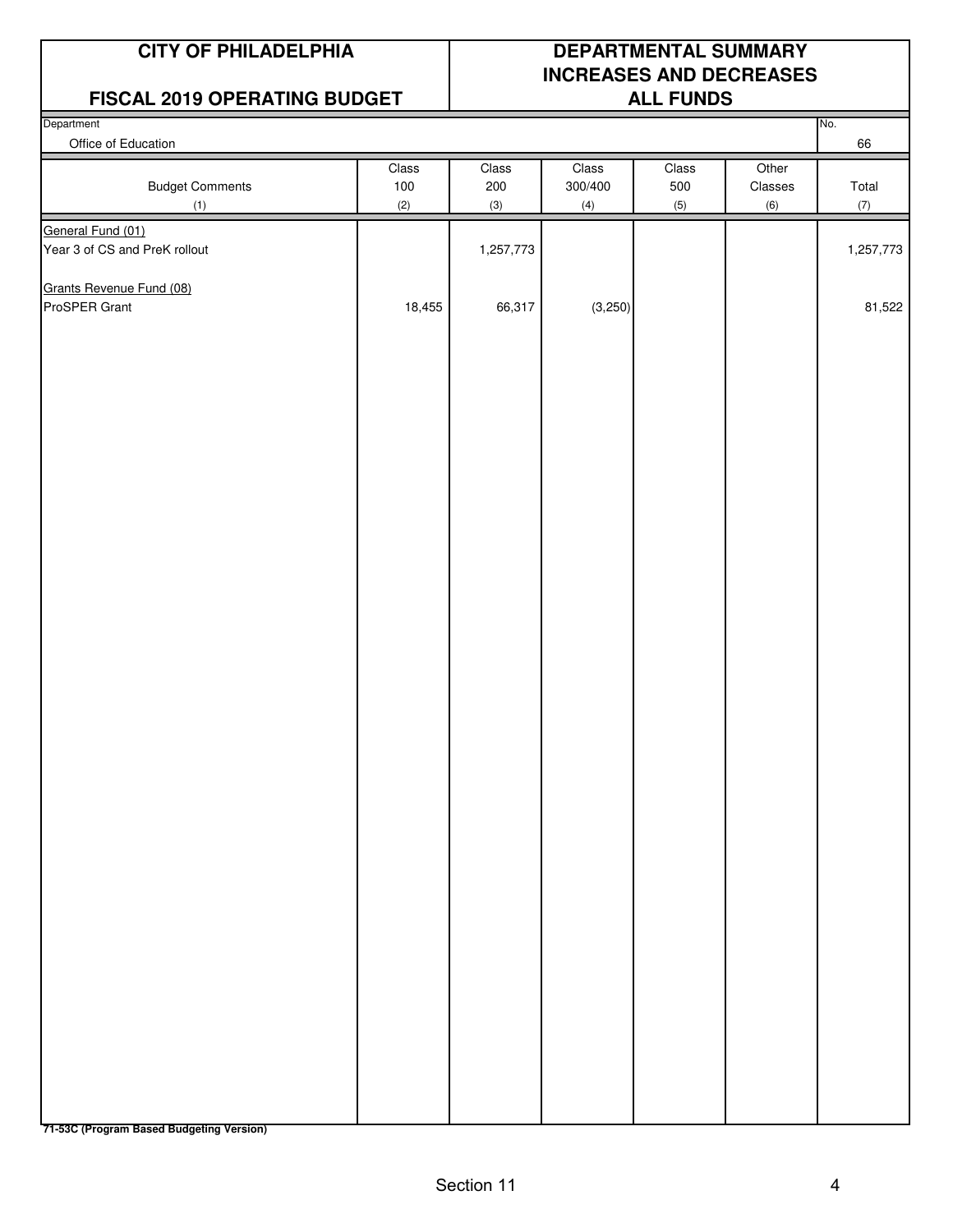#### **FISCAL 2019 OPERATING BUDGET ALL FUNDS**

## **CITY OF PHILADELPHIA DEPARTMENTAL SUMMARY INCREASES AND DECREASES**

| .<br>Department               | - -                 |                     |                         | _________           |                         | No.          |
|-------------------------------|---------------------|---------------------|-------------------------|---------------------|-------------------------|--------------|
| Office of Education           |                     |                     |                         |                     |                         | 66           |
| <b>Budget Comments</b><br>(1) | Class<br>100<br>(2) | Class<br>200<br>(3) | Class<br>300/400<br>(4) | Class<br>500<br>(5) | Other<br>Classes<br>(6) | Total<br>(7) |
| General Fund (01)             |                     |                     |                         |                     |                         |              |
| Year 3 of CS and PreK rollout |                     | 1,257,773           |                         |                     |                         | 1,257,773    |
| Grants Revenue Fund (08)      |                     |                     |                         |                     |                         |              |
| ProSPER Grant                 | 18,455              | 66,317              | (3,250)                 |                     |                         | 81,522       |
|                               |                     |                     |                         |                     |                         |              |

**71-53C (Program Based Budgeting Version)**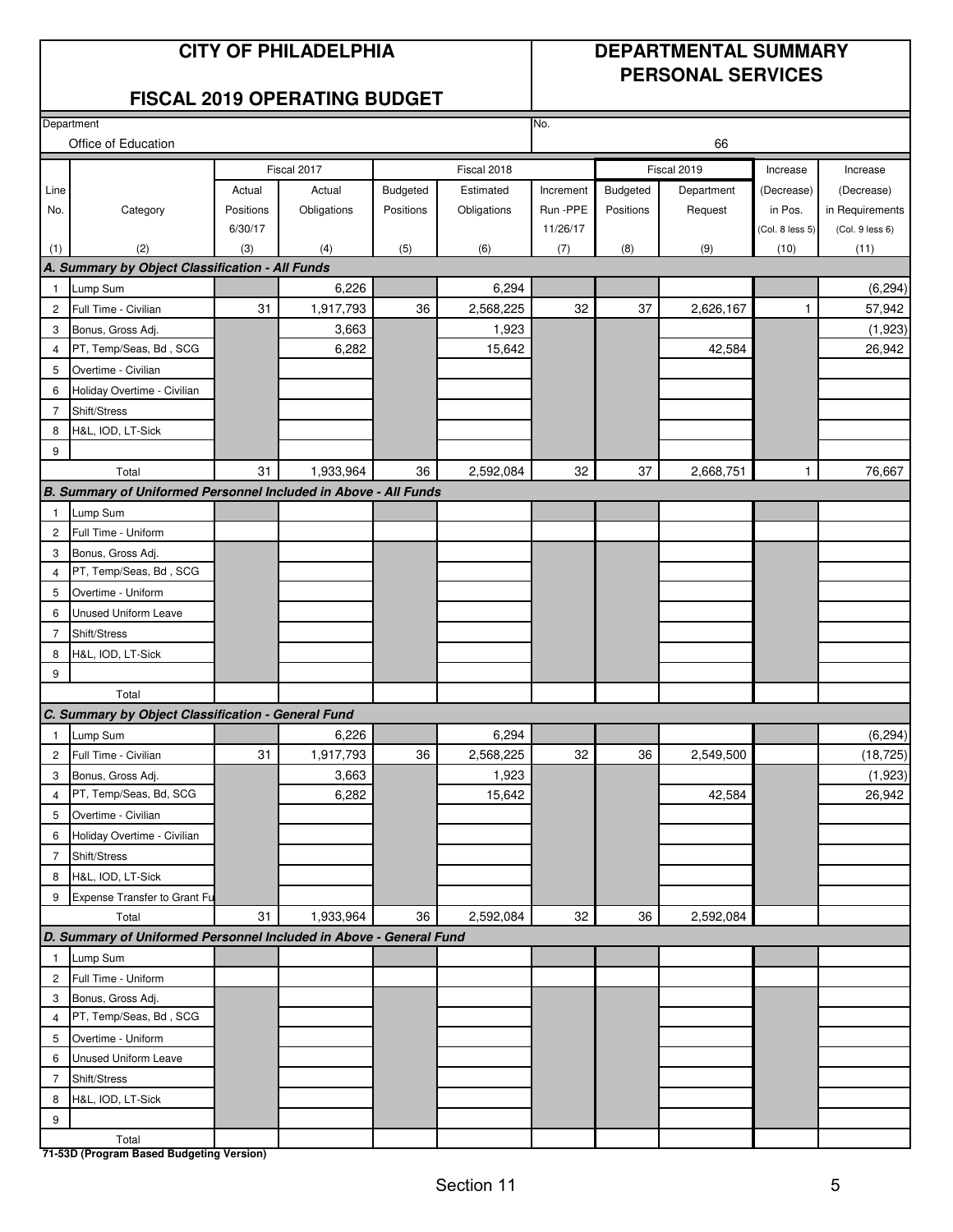#### **CITY OF PHILADELPHIA DEPARTMENTAL SUMMARY PERSONAL SERVICES**

#### **FISCAL 2019 OPERATING BUDGET**

|                     | Department                                                         |           |                |           |                 | No.       |           |             |                 |                   |
|---------------------|--------------------------------------------------------------------|-----------|----------------|-----------|-----------------|-----------|-----------|-------------|-----------------|-------------------|
|                     | Office of Education<br>66                                          |           |                |           |                 |           |           |             |                 |                   |
|                     |                                                                    |           | Fiscal 2017    |           | Fiscal 2018     |           |           | Fiscal 2019 | Increase        | Increase          |
| Line                |                                                                    | Actual    | Actual         | Budgeted  | Estimated       | Increment | Budgeted  | Department  | (Decrease)      | (Decrease)        |
| No.                 | Category                                                           | Positions | Obligations    | Positions | Obligations     | Run -PPE  | Positions | Request     | in Pos.         | in Requirements   |
|                     |                                                                    | 6/30/17   |                |           |                 | 11/26/17  |           |             | (Col. 8 less 5) | (Col. 9 less 6)   |
| (1)                 | (2)                                                                | (3)       | (4)            | (5)       | (6)             | (7)       | (8)       | (9)         | (10)            | (11)              |
|                     | A. Summary by Object Classification - All Funds                    |           |                |           |                 |           |           |             |                 |                   |
| $\mathbf{1}$        | Lump Sum                                                           |           | 6,226          |           | 6,294           |           |           |             |                 | (6, 294)          |
| $\overline{c}$      | Full Time - Civilian                                               | 31        | 1,917,793      | 36        | 2,568,225       | 32        | 37        | 2,626,167   | 1               | 57,942            |
| 3                   | Bonus, Gross Adj.                                                  |           | 3,663          |           | 1,923           |           |           |             |                 | (1,923)           |
| $\overline{4}$      | PT, Temp/Seas, Bd, SCG                                             |           | 6,282          |           | 15,642          |           |           | 42,584      |                 | 26,942            |
| 5                   | Overtime - Civilian                                                |           |                |           |                 |           |           |             |                 |                   |
| 6                   | Holiday Overtime - Civilian                                        |           |                |           |                 |           |           |             |                 |                   |
| 7                   | Shift/Stress                                                       |           |                |           |                 |           |           |             |                 |                   |
| 8                   | H&L, IOD, LT-Sick                                                  |           |                |           |                 |           |           |             |                 |                   |
| 9                   |                                                                    |           |                |           |                 |           |           |             |                 |                   |
|                     | Total                                                              | 31        | 1,933,964      | 36        | 2,592,084       | 32        | 37        | 2,668,751   | $\mathbf{1}$    | 76,667            |
|                     | B. Summary of Uniformed Personnel Included in Above - All Funds    |           |                |           |                 |           |           |             |                 |                   |
| $\mathbf{1}$        | Lump Sum                                                           |           |                |           |                 |           |           |             |                 |                   |
| $\overline{c}$      | Full Time - Uniform                                                |           |                |           |                 |           |           |             |                 |                   |
| 3                   | Bonus, Gross Adj.                                                  |           |                |           |                 |           |           |             |                 |                   |
| 4                   | PT, Temp/Seas, Bd, SCG                                             |           |                |           |                 |           |           |             |                 |                   |
| 5                   | Overtime - Uniform                                                 |           |                |           |                 |           |           |             |                 |                   |
| 6                   | Unused Uniform Leave                                               |           |                |           |                 |           |           |             |                 |                   |
| $\overline{7}$      | Shift/Stress                                                       |           |                |           |                 |           |           |             |                 |                   |
| 8                   | H&L, IOD, LT-Sick                                                  |           |                |           |                 |           |           |             |                 |                   |
| 9                   |                                                                    |           |                |           |                 |           |           |             |                 |                   |
|                     | Total                                                              |           |                |           |                 |           |           |             |                 |                   |
|                     | C. Summary by Object Classification - General Fund                 |           |                |           |                 |           |           |             |                 |                   |
| $\overline{1}$      | Lump Sum                                                           |           | 6,226          |           | 6,294           |           |           |             |                 | (6, 294)          |
| $\overline{c}$      | Full Time - Civilian                                               | 31        | 1,917,793      | 36        | 2,568,225       | 32        | 36        | 2,549,500   |                 | (18, 725)         |
| 3<br>$\overline{4}$ | Bonus, Gross Adj.<br>PT, Temp/Seas, Bd, SCG                        |           | 3,663<br>6,282 |           | 1,923<br>15,642 |           |           | 42,584      |                 | (1,923)<br>26,942 |
|                     |                                                                    |           |                |           |                 |           |           |             |                 |                   |
| 5                   | Overtime - Civilian                                                |           |                |           |                 |           |           |             |                 |                   |
| 6<br>$\overline{7}$ | Holiday Overtime - Civilian<br>Shift/Stress                        |           |                |           |                 |           |           |             |                 |                   |
| 8                   | H&L, IOD, LT-Sick                                                  |           |                |           |                 |           |           |             |                 |                   |
| 9                   | Expense Transfer to Grant Fu                                       |           |                |           |                 |           |           |             |                 |                   |
|                     | Total                                                              | 31        | 1,933,964      | 36        | 2,592,084       | 32        | 36        | 2,592,084   |                 |                   |
|                     | D. Summary of Uniformed Personnel Included in Above - General Fund |           |                |           |                 |           |           |             |                 |                   |
| $\overline{1}$      | Lump Sum                                                           |           |                |           |                 |           |           |             |                 |                   |
| $\overline{c}$      | Full Time - Uniform                                                |           |                |           |                 |           |           |             |                 |                   |
| 3                   | Bonus, Gross Adj.                                                  |           |                |           |                 |           |           |             |                 |                   |
| $\overline{4}$      | PT, Temp/Seas, Bd, SCG                                             |           |                |           |                 |           |           |             |                 |                   |
| 5                   | Overtime - Uniform                                                 |           |                |           |                 |           |           |             |                 |                   |
| 6                   | Unused Uniform Leave                                               |           |                |           |                 |           |           |             |                 |                   |
| $\overline{7}$      | Shift/Stress                                                       |           |                |           |                 |           |           |             |                 |                   |
| 8                   | H&L, IOD, LT-Sick                                                  |           |                |           |                 |           |           |             |                 |                   |
| 9                   |                                                                    |           |                |           |                 |           |           |             |                 |                   |
|                     | Total                                                              |           |                |           |                 |           |           |             |                 |                   |
|                     | 71-53D (Program Based Budgeting Version)                           |           |                |           |                 |           |           |             |                 |                   |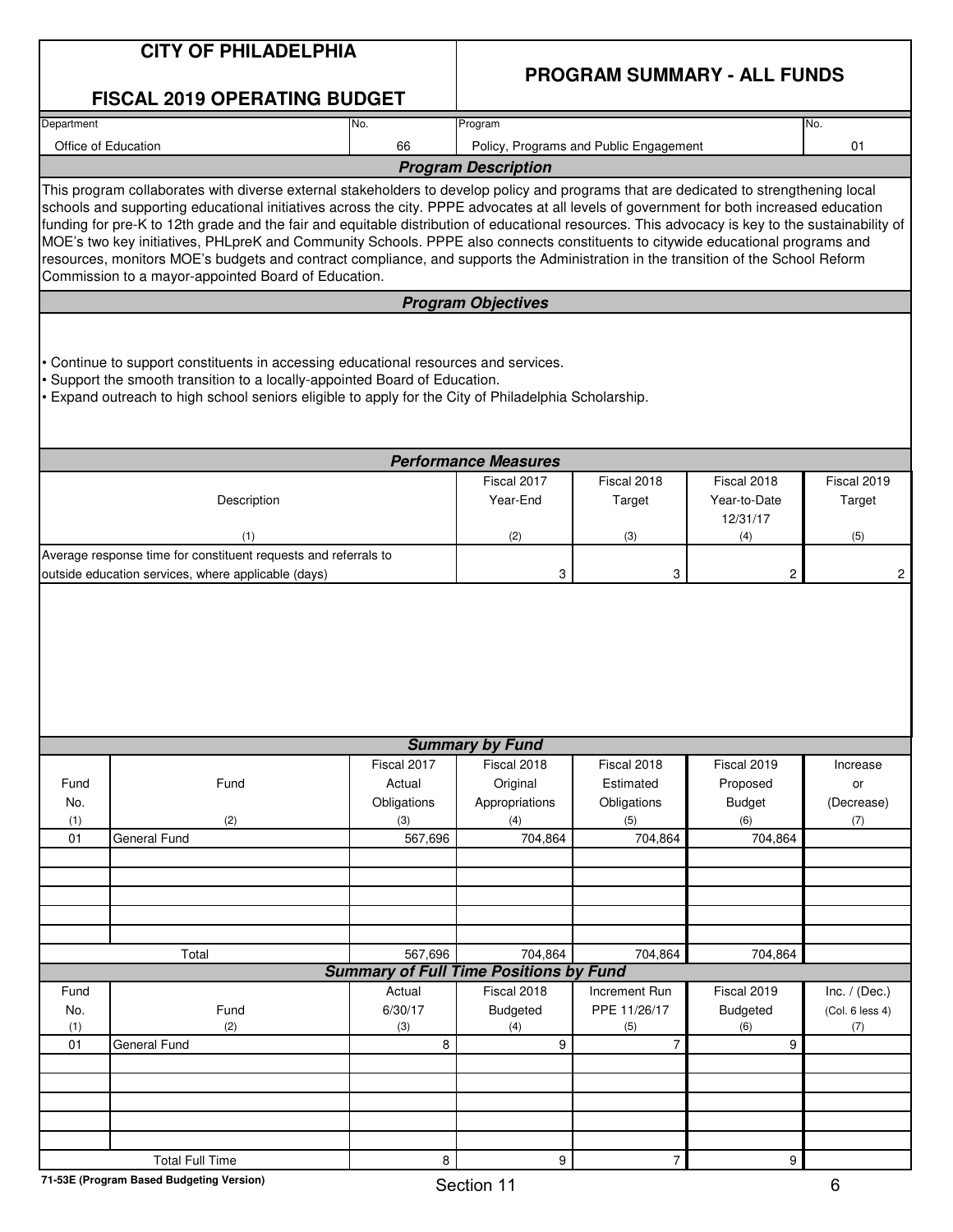|            | <b>CITY OF PHILADELPHIA</b>                                                                                                                                                                                                                                                                                                                                                                                                                                                                                                                                                                                              |                |                                               |                                        |                          |                        |  |  |
|------------|--------------------------------------------------------------------------------------------------------------------------------------------------------------------------------------------------------------------------------------------------------------------------------------------------------------------------------------------------------------------------------------------------------------------------------------------------------------------------------------------------------------------------------------------------------------------------------------------------------------------------|----------------|-----------------------------------------------|----------------------------------------|--------------------------|------------------------|--|--|
|            | <b>FISCAL 2019 OPERATING BUDGET</b>                                                                                                                                                                                                                                                                                                                                                                                                                                                                                                                                                                                      |                |                                               | <b>PROGRAM SUMMARY - ALL FUNDS</b>     |                          |                        |  |  |
| Department |                                                                                                                                                                                                                                                                                                                                                                                                                                                                                                                                                                                                                          | No.            | Program                                       |                                        |                          | No.                    |  |  |
|            | Office of Education                                                                                                                                                                                                                                                                                                                                                                                                                                                                                                                                                                                                      | 66             |                                               | Policy, Programs and Public Engagement |                          | 01                     |  |  |
|            |                                                                                                                                                                                                                                                                                                                                                                                                                                                                                                                                                                                                                          |                | <b>Program Description</b>                    |                                        |                          |                        |  |  |
|            | This program collaborates with diverse external stakeholders to develop policy and programs that are dedicated to strengthening local                                                                                                                                                                                                                                                                                                                                                                                                                                                                                    |                |                                               |                                        |                          |                        |  |  |
|            | schools and supporting educational initiatives across the city. PPPE advocates at all levels of government for both increased education<br>funding for pre-K to 12th grade and the fair and equitable distribution of educational resources. This advocacy is key to the sustainability of<br>MOE's two key initiatives, PHLpreK and Community Schools. PPPE also connects constituents to citywide educational programs and<br>resources, monitors MOE's budgets and contract compliance, and supports the Administration in the transition of the School Reform<br>Commission to a mayor-appointed Board of Education. |                |                                               |                                        |                          |                        |  |  |
|            |                                                                                                                                                                                                                                                                                                                                                                                                                                                                                                                                                                                                                          |                | <b>Program Objectives</b>                     |                                        |                          |                        |  |  |
|            | • Continue to support constituents in accessing educational resources and services.<br>Support the smooth transition to a locally-appointed Board of Education.<br>. Expand outreach to high school seniors eligible to apply for the City of Philadelphia Scholarship.                                                                                                                                                                                                                                                                                                                                                  |                |                                               |                                        |                          |                        |  |  |
|            |                                                                                                                                                                                                                                                                                                                                                                                                                                                                                                                                                                                                                          |                | <b>Performance Measures</b>                   |                                        |                          |                        |  |  |
|            |                                                                                                                                                                                                                                                                                                                                                                                                                                                                                                                                                                                                                          |                | Fiscal 2017                                   | Fiscal 2018                            | Fiscal 2018              | Fiscal 2019            |  |  |
|            | Description                                                                                                                                                                                                                                                                                                                                                                                                                                                                                                                                                                                                              |                | Year-End                                      | Target                                 | Year-to-Date<br>12/31/17 | Target                 |  |  |
|            | (1)                                                                                                                                                                                                                                                                                                                                                                                                                                                                                                                                                                                                                      |                | (2)                                           | (3)                                    | (4)                      | (5)                    |  |  |
|            | Average response time for constituent requests and referrals to                                                                                                                                                                                                                                                                                                                                                                                                                                                                                                                                                          |                |                                               |                                        |                          |                        |  |  |
|            | outside education services, where applicable (days)                                                                                                                                                                                                                                                                                                                                                                                                                                                                                                                                                                      |                | 3                                             | 3                                      | $\overline{c}$           | $\overline{c}$         |  |  |
|            |                                                                                                                                                                                                                                                                                                                                                                                                                                                                                                                                                                                                                          |                |                                               |                                        |                          |                        |  |  |
|            |                                                                                                                                                                                                                                                                                                                                                                                                                                                                                                                                                                                                                          |                | <b>Summary by Fund</b>                        |                                        |                          |                        |  |  |
|            |                                                                                                                                                                                                                                                                                                                                                                                                                                                                                                                                                                                                                          | Fiscal 2017    | Fiscal 2018                                   | Fiscal 2018                            | Fiscal 2019              | Increase               |  |  |
| Fund       | Fund                                                                                                                                                                                                                                                                                                                                                                                                                                                                                                                                                                                                                     | Actual         | Original                                      | Estimated                              | Proposed                 | or                     |  |  |
| No.        |                                                                                                                                                                                                                                                                                                                                                                                                                                                                                                                                                                                                                          | Obligations    | Appropriations                                | Obligations                            | <b>Budget</b>            | (Decrease)             |  |  |
| (1)        | (2)                                                                                                                                                                                                                                                                                                                                                                                                                                                                                                                                                                                                                      | (3)            | (4)                                           | (5)                                    | (6)                      | (7)                    |  |  |
| 01         | General Fund                                                                                                                                                                                                                                                                                                                                                                                                                                                                                                                                                                                                             | 567,696        | 704,864                                       | 704,864                                | 704,864                  |                        |  |  |
|            |                                                                                                                                                                                                                                                                                                                                                                                                                                                                                                                                                                                                                          |                |                                               |                                        |                          |                        |  |  |
|            |                                                                                                                                                                                                                                                                                                                                                                                                                                                                                                                                                                                                                          |                |                                               |                                        |                          |                        |  |  |
|            |                                                                                                                                                                                                                                                                                                                                                                                                                                                                                                                                                                                                                          |                |                                               |                                        |                          |                        |  |  |
|            |                                                                                                                                                                                                                                                                                                                                                                                                                                                                                                                                                                                                                          |                |                                               |                                        |                          |                        |  |  |
|            | Total                                                                                                                                                                                                                                                                                                                                                                                                                                                                                                                                                                                                                    | 567,696        | 704,864                                       | 704,864                                | 704,864                  |                        |  |  |
|            |                                                                                                                                                                                                                                                                                                                                                                                                                                                                                                                                                                                                                          |                | <b>Summary of Full Time Positions by Fund</b> |                                        |                          |                        |  |  |
| Fund       |                                                                                                                                                                                                                                                                                                                                                                                                                                                                                                                                                                                                                          | Actual         | Fiscal 2018                                   | Increment Run                          | Fiscal 2019              | Inc. $/$ (Dec.)        |  |  |
| No.<br>(1) | Fund<br>(2)                                                                                                                                                                                                                                                                                                                                                                                                                                                                                                                                                                                                              | 6/30/17<br>(3) | <b>Budgeted</b><br>(4)                        | PPE 11/26/17<br>(5)                    | <b>Budgeted</b><br>(6)   | (Col. 6 less 4)<br>(7) |  |  |
| 01         | General Fund                                                                                                                                                                                                                                                                                                                                                                                                                                                                                                                                                                                                             | 8              | 9                                             | $\overline{7}$                         | 9                        |                        |  |  |
|            |                                                                                                                                                                                                                                                                                                                                                                                                                                                                                                                                                                                                                          |                |                                               |                                        |                          |                        |  |  |
|            |                                                                                                                                                                                                                                                                                                                                                                                                                                                                                                                                                                                                                          |                |                                               |                                        |                          |                        |  |  |
|            |                                                                                                                                                                                                                                                                                                                                                                                                                                                                                                                                                                                                                          |                |                                               |                                        |                          |                        |  |  |
|            |                                                                                                                                                                                                                                                                                                                                                                                                                                                                                                                                                                                                                          |                |                                               |                                        |                          |                        |  |  |
|            |                                                                                                                                                                                                                                                                                                                                                                                                                                                                                                                                                                                                                          |                |                                               |                                        |                          |                        |  |  |
|            | <b>Total Full Time</b>                                                                                                                                                                                                                                                                                                                                                                                                                                                                                                                                                                                                   | 8              | 9                                             | $\overline{7}$                         | 9                        |                        |  |  |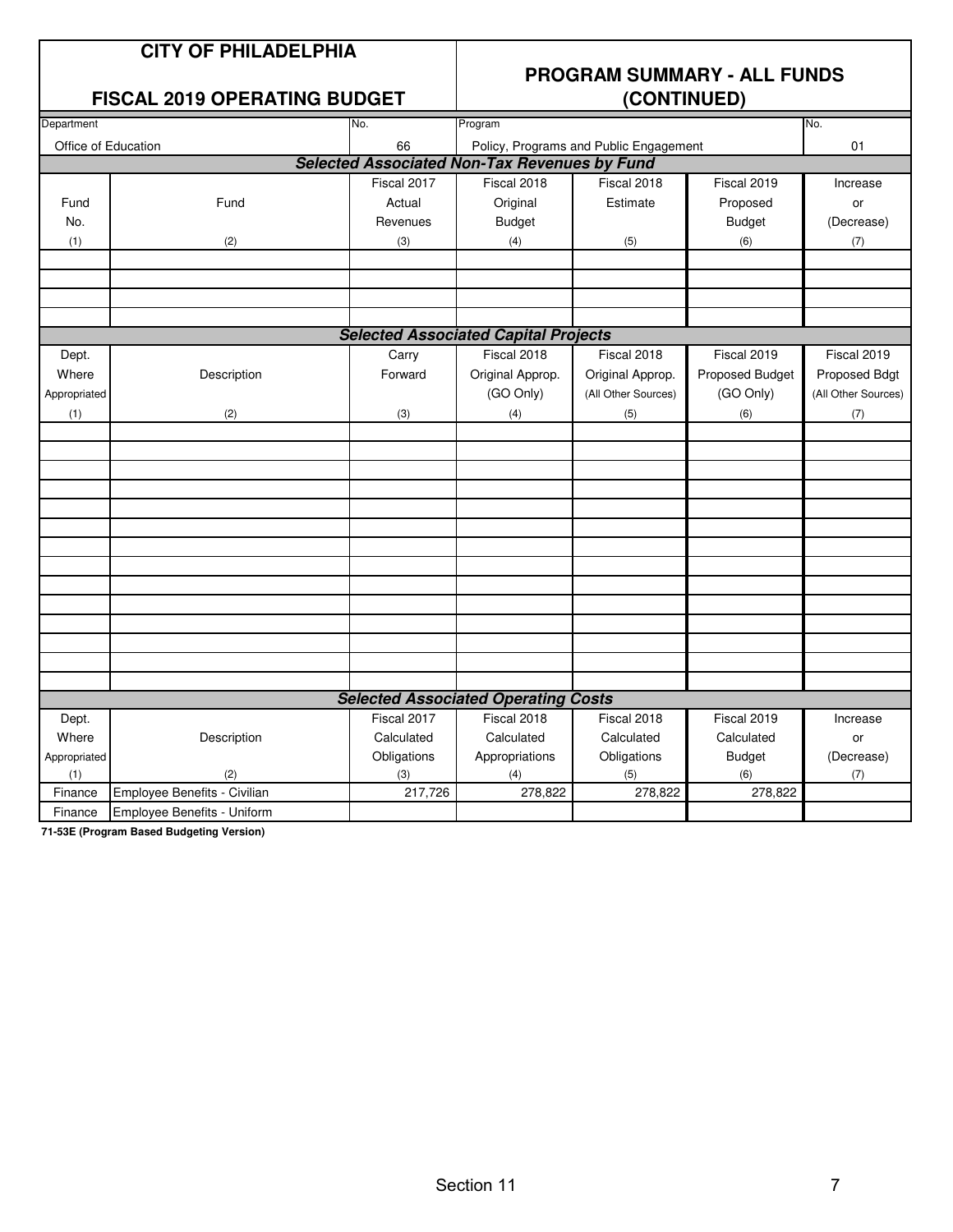# **PROGRAM SUMMARY - ALL FUNDS**

#### **FISCAL 2019 OPERATING BUDGET**

| Department          |                              | No.         | Program                                             |                                        |                 | No.                 |
|---------------------|------------------------------|-------------|-----------------------------------------------------|----------------------------------------|-----------------|---------------------|
| Office of Education |                              | 66          |                                                     | Policy, Programs and Public Engagement |                 | 01                  |
|                     |                              |             | <b>Selected Associated Non-Tax Revenues by Fund</b> |                                        |                 |                     |
|                     |                              | Fiscal 2017 | Fiscal 2018                                         | Fiscal 2018                            | Fiscal 2019     | Increase            |
| Fund                | Fund                         | Actual      | Original                                            | Estimate                               | Proposed        | or                  |
| No.                 |                              | Revenues    | <b>Budget</b>                                       |                                        | <b>Budget</b>   | (Decrease)          |
| (1)                 | (2)                          | (3)         | (4)                                                 | (5)                                    | (6)             | (7)                 |
|                     |                              |             |                                                     |                                        |                 |                     |
|                     |                              |             |                                                     |                                        |                 |                     |
|                     |                              |             |                                                     |                                        |                 |                     |
|                     |                              |             |                                                     |                                        |                 |                     |
|                     |                              |             | <b>Selected Associated Capital Projects</b>         |                                        |                 |                     |
| Dept.               |                              | Carry       | Fiscal 2018                                         | Fiscal 2018                            | Fiscal 2019     | Fiscal 2019         |
| Where               | Description                  | Forward     | Original Approp.                                    | Original Approp.                       | Proposed Budget | Proposed Bdgt       |
| Appropriated        |                              |             | (GO Only)                                           | (All Other Sources)                    | (GO Only)       | (All Other Sources) |
| (1)                 | (2)                          | (3)         | (4)                                                 | (5)                                    | (6)             | (7)                 |
|                     |                              |             |                                                     |                                        |                 |                     |
|                     |                              |             |                                                     |                                        |                 |                     |
|                     |                              |             |                                                     |                                        |                 |                     |
|                     |                              |             |                                                     |                                        |                 |                     |
|                     |                              |             |                                                     |                                        |                 |                     |
|                     |                              |             |                                                     |                                        |                 |                     |
|                     |                              |             |                                                     |                                        |                 |                     |
|                     |                              |             |                                                     |                                        |                 |                     |
|                     |                              |             |                                                     |                                        |                 |                     |
|                     |                              |             |                                                     |                                        |                 |                     |
|                     |                              |             |                                                     |                                        |                 |                     |
|                     |                              |             |                                                     |                                        |                 |                     |
|                     |                              |             |                                                     |                                        |                 |                     |
|                     |                              |             | <b>Selected Associated Operating Costs</b>          |                                        |                 |                     |
| Dept.               |                              | Fiscal 2017 | Fiscal 2018                                         | Fiscal 2018                            | Fiscal 2019     | Increase            |
| Where               | Description                  | Calculated  | Calculated                                          | Calculated                             | Calculated      | or                  |
| Appropriated        |                              | Obligations | Appropriations                                      | Obligations                            | <b>Budget</b>   | (Decrease)          |
| (1)                 | (2)                          | (3)         | (4)                                                 | (5)                                    | (6)             | (7)                 |
| Finance             | Employee Benefits - Civilian | 217,726     | 278,822                                             | 278,822                                | 278,822         |                     |
| Finance             | Employee Benefits - Uniform  |             |                                                     |                                        |                 |                     |

**71-53E (Program Based Budgeting Version)**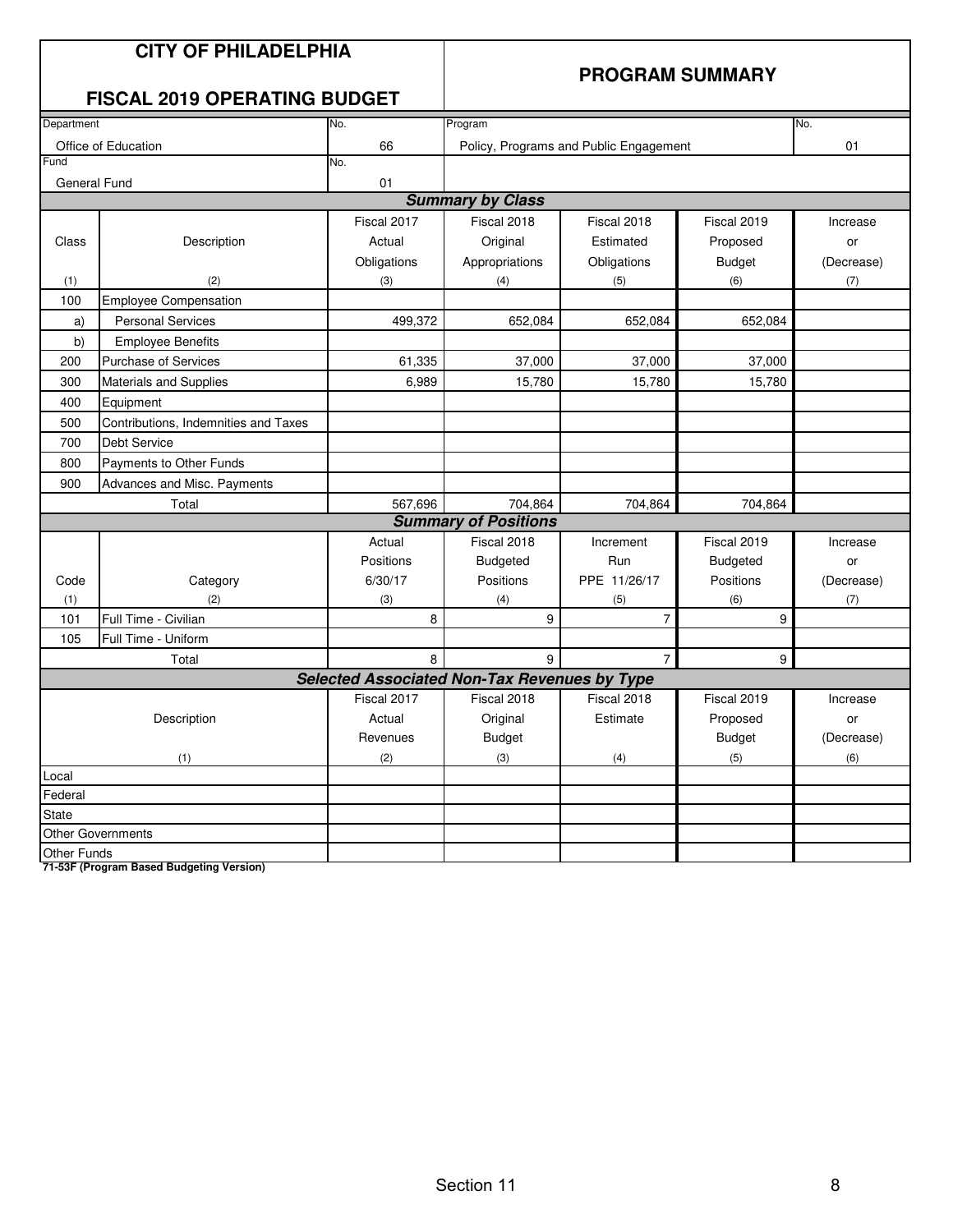|                    | <b>CITY OF PHILADELPHIA</b><br><b>FISCAL 2019 OPERATING BUDGET</b> |                                                     | <b>PROGRAM SUMMARY</b>      |                                        |                 |            |  |  |  |
|--------------------|--------------------------------------------------------------------|-----------------------------------------------------|-----------------------------|----------------------------------------|-----------------|------------|--|--|--|
| Department         |                                                                    | No.                                                 | Program                     |                                        |                 | No.        |  |  |  |
|                    | Office of Education                                                | 66                                                  |                             | Policy, Programs and Public Engagement |                 | 01         |  |  |  |
| Fund               |                                                                    | No.                                                 |                             |                                        |                 |            |  |  |  |
| General Fund       |                                                                    | 01                                                  |                             |                                        |                 |            |  |  |  |
|                    |                                                                    |                                                     | <b>Summary by Class</b>     |                                        |                 |            |  |  |  |
|                    |                                                                    | Fiscal 2017                                         | Fiscal 2018                 | Fiscal 2018                            | Fiscal 2019     | Increase   |  |  |  |
| Class              | Description                                                        | Actual                                              | Original                    | Estimated                              | Proposed        | or         |  |  |  |
|                    |                                                                    | Obligations                                         | Appropriations              | Obligations                            | <b>Budget</b>   | (Decrease) |  |  |  |
| (1)                | (2)                                                                | (3)                                                 | (4)                         | (5)                                    | (6)             | (7)        |  |  |  |
| 100                | <b>Employee Compensation</b>                                       |                                                     |                             |                                        |                 |            |  |  |  |
| a)                 | <b>Personal Services</b>                                           | 499,372                                             | 652,084                     | 652,084                                | 652,084         |            |  |  |  |
| b)                 | <b>Employee Benefits</b>                                           |                                                     |                             |                                        |                 |            |  |  |  |
| 200                | <b>Purchase of Services</b>                                        | 61,335                                              | 37,000                      | 37,000                                 | 37,000          |            |  |  |  |
| 300                | <b>Materials and Supplies</b>                                      | 6,989                                               | 15,780                      | 15,780                                 | 15,780          |            |  |  |  |
| 400                | Equipment                                                          |                                                     |                             |                                        |                 |            |  |  |  |
| 500                | Contributions, Indemnities and Taxes                               |                                                     |                             |                                        |                 |            |  |  |  |
| 700                | <b>Debt Service</b>                                                |                                                     |                             |                                        |                 |            |  |  |  |
| 800                | Payments to Other Funds                                            |                                                     |                             |                                        |                 |            |  |  |  |
| 900                | Advances and Misc. Payments                                        |                                                     |                             |                                        |                 |            |  |  |  |
|                    | Total                                                              | 567,696                                             | 704,864                     | 704,864                                | 704,864         |            |  |  |  |
|                    |                                                                    |                                                     | <b>Summary of Positions</b> |                                        |                 |            |  |  |  |
|                    |                                                                    | Actual                                              | Fiscal 2018                 | Increment                              | Fiscal 2019     | Increase   |  |  |  |
|                    |                                                                    | Positions                                           | <b>Budgeted</b>             | Run                                    | <b>Budgeted</b> | or         |  |  |  |
| Code               | Category                                                           | 6/30/17                                             | Positions                   | PPE 11/26/17                           | Positions       | (Decrease) |  |  |  |
| (1)                | (2)                                                                | (3)                                                 | (4)                         | (5)                                    | (6)             | (7)        |  |  |  |
| 101                | Full Time - Civilian                                               | 8                                                   | 9                           | $\overline{7}$                         | 9               |            |  |  |  |
| 105                | Full Time - Uniform                                                |                                                     |                             |                                        |                 |            |  |  |  |
|                    | Total                                                              | 8                                                   | 9                           | $\overline{7}$                         | 9               |            |  |  |  |
|                    |                                                                    | <b>Selected Associated Non-Tax Revenues by Type</b> |                             |                                        |                 |            |  |  |  |
|                    |                                                                    | Fiscal 2017                                         | Fiscal 2018                 | Fiscal 2018                            | Fiscal 2019     | Increase   |  |  |  |
|                    | Description                                                        | Actual                                              | Original                    | Estimate                               | Proposed        | or         |  |  |  |
|                    |                                                                    | Revenues                                            | <b>Budget</b>               |                                        | <b>Budget</b>   | (Decrease) |  |  |  |
|                    | (1)                                                                | (2)                                                 | (3)                         | (4)                                    | (5)             | (6)        |  |  |  |
| Local              |                                                                    |                                                     |                             |                                        |                 |            |  |  |  |
| Federal            |                                                                    |                                                     |                             |                                        |                 |            |  |  |  |
| State              |                                                                    |                                                     |                             |                                        |                 |            |  |  |  |
|                    | <b>Other Governments</b>                                           |                                                     |                             |                                        |                 |            |  |  |  |
| <b>Other Funds</b> |                                                                    |                                                     |                             |                                        |                 |            |  |  |  |

**71-53F (Program Based Budgeting Version)**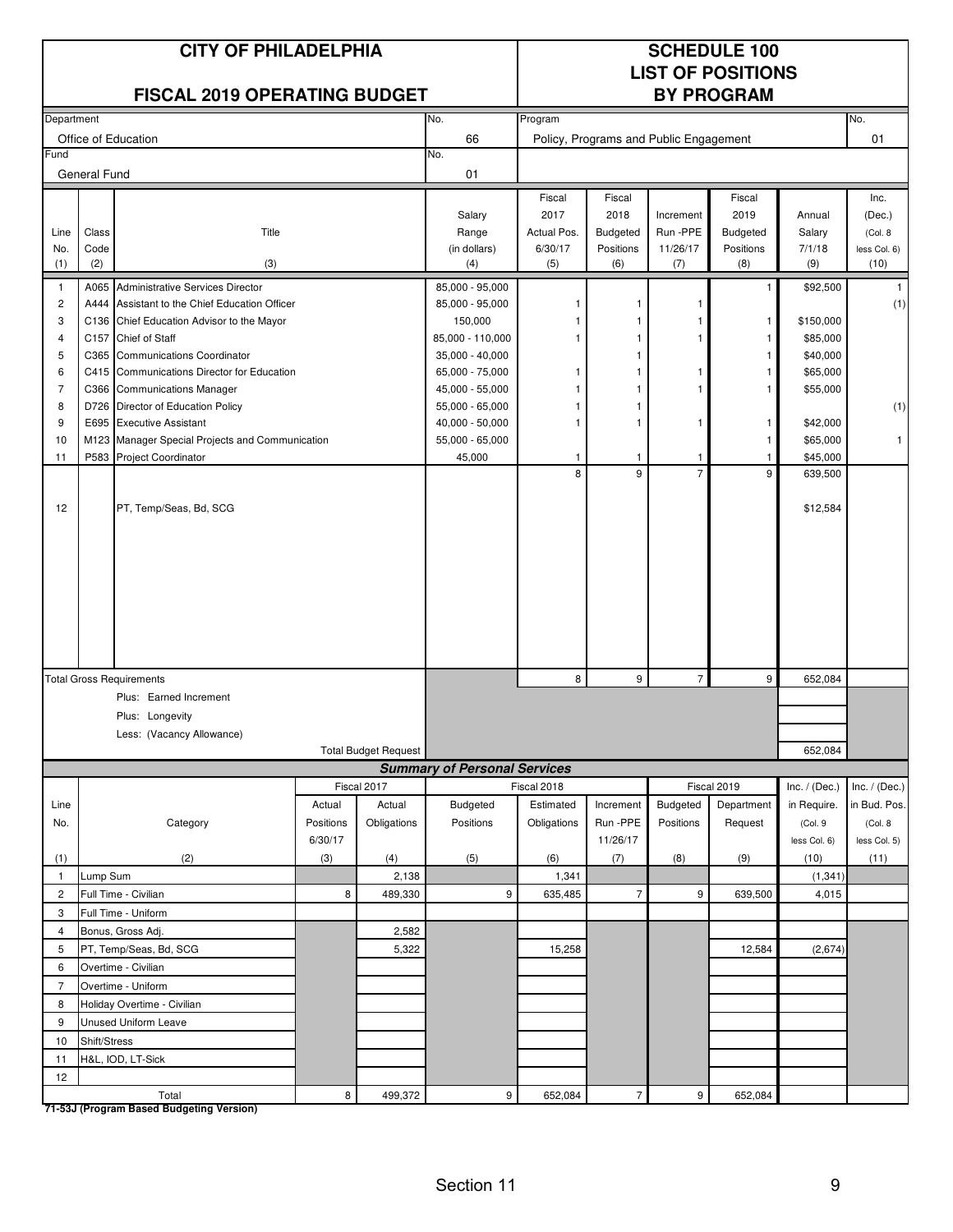|                |                     | <b>CITY OF PHILADELPHIA</b>                                                 |           |                             | <b>SCHEDULE 100</b><br><b>LIST OF POSITIONS</b> |                |                                        |                 |                    |                      |                      |
|----------------|---------------------|-----------------------------------------------------------------------------|-----------|-----------------------------|-------------------------------------------------|----------------|----------------------------------------|-----------------|--------------------|----------------------|----------------------|
|                |                     | <b>FISCAL 2019 OPERATING BUDGET</b>                                         |           |                             |                                                 |                |                                        |                 | <b>BY PROGRAM</b>  |                      |                      |
| Department     |                     |                                                                             |           |                             | No.                                             | Program        |                                        |                 |                    |                      | No.                  |
|                |                     | Office of Education                                                         |           |                             | 66                                              |                | Policy, Programs and Public Engagement |                 |                    |                      | 01                   |
| Fund           | <b>General Fund</b> |                                                                             |           |                             | No.<br>01                                       |                |                                        |                 |                    |                      |                      |
|                |                     |                                                                             |           |                             |                                                 | Fiscal         | Fiscal                                 |                 | Fiscal             |                      | Inc.                 |
|                |                     |                                                                             |           |                             | Salary                                          | 2017           | 2018                                   | Increment       | 2019               | Annual               | (Dec.)               |
| Line           | Class               | Title                                                                       |           |                             | Range                                           | Actual Pos.    | <b>Budgeted</b>                        | Run -PPE        | Budgeted           | Salary               | (Col. 8)             |
| No.<br>(1)     | Code<br>(2)         | (3)                                                                         |           |                             | (in dollars)<br>(4)                             | 6/30/17<br>(5) | Positions<br>(6)                       | 11/26/17<br>(7) | Positions<br>(8)   | 7/1/18<br>(9)        | less Col. 6)<br>(10) |
| $\mathbf{1}$   | A065                | Administrative Services Director                                            |           |                             | 85,000 - 95,000                                 |                |                                        |                 | $\mathbf{1}$       | \$92,500             | -1                   |
| $\overline{c}$ | A444                | Assistant to the Chief Education Officer                                    |           |                             | 85,000 - 95,000                                 |                |                                        |                 |                    |                      | (1)                  |
| 3              |                     | C136 Chief Education Advisor to the Mayor                                   |           |                             | 150,000                                         |                |                                        |                 | $\mathbf{1}$       | \$150,000            |                      |
| 4              | C <sub>157</sub>    | <b>Chief of Staff</b>                                                       |           |                             | 85,000 - 110,000                                |                |                                        | 1               | -1                 | \$85,000             |                      |
| 5              | C365                | <b>Communications Coordinator</b>                                           |           |                             | 35,000 - 40,000                                 |                |                                        |                 | $\mathbf{1}$       | \$40,000             |                      |
| 6              |                     | C415 Communications Director for Education                                  |           |                             | 65,000 - 75,000                                 | 1              |                                        | 1               | -1                 | \$65,000             |                      |
| $\overline{7}$ |                     | C366 Communications Manager                                                 |           |                             | 45,000 - 55,000                                 |                |                                        |                 | -1                 | \$55,000             |                      |
| 8              |                     | D726 Director of Education Policy                                           |           |                             | 55,000 - 65,000                                 | 1              |                                        |                 |                    |                      | (1)                  |
| 9<br>10        |                     | E695 Executive Assistant<br>M123 Manager Special Projects and Communication |           |                             | 40,000 - 50,000<br>55,000 - 65,000              | 1              | 1                                      | $\mathbf{1}$    | $\mathbf{1}$<br>-1 | \$42,000<br>\$65,000 | $\mathbf{1}$         |
| 11             |                     | P583 Project Coordinator                                                    |           |                             | 45,000                                          | $\mathbf{1}$   | $\mathbf{1}$                           | $\mathbf{1}$    | $\mathbf{1}$       | \$45,000             |                      |
|                |                     |                                                                             |           |                             |                                                 | 8              | 9                                      | $\overline{7}$  | 9                  | 639,500              |                      |
|                |                     |                                                                             |           |                             |                                                 |                |                                        |                 |                    |                      |                      |
| 12             |                     | PT, Temp/Seas, Bd, SCG                                                      |           |                             |                                                 |                |                                        |                 |                    | \$12,584             |                      |
|                |                     |                                                                             |           |                             |                                                 |                |                                        |                 |                    |                      |                      |
|                |                     |                                                                             |           |                             |                                                 |                |                                        |                 |                    |                      |                      |
|                |                     |                                                                             |           |                             |                                                 |                |                                        |                 |                    |                      |                      |
|                |                     |                                                                             |           |                             |                                                 |                |                                        |                 |                    |                      |                      |
|                |                     |                                                                             |           |                             |                                                 |                |                                        |                 |                    |                      |                      |
|                |                     |                                                                             |           |                             |                                                 |                |                                        |                 |                    |                      |                      |
|                |                     |                                                                             |           |                             |                                                 |                |                                        |                 |                    |                      |                      |
|                |                     |                                                                             |           |                             |                                                 |                |                                        |                 |                    |                      |                      |
|                |                     | <b>Total Gross Requirements</b>                                             |           |                             |                                                 | 8              | 9                                      | $\overline{7}$  | 9                  | 652,084              |                      |
|                |                     | Plus: Earned Increment                                                      |           |                             |                                                 |                |                                        |                 |                    |                      |                      |
|                |                     | Plus: Longevity                                                             |           |                             |                                                 |                |                                        |                 |                    |                      |                      |
|                |                     | Less: (Vacancy Allowance)                                                   |           |                             |                                                 |                |                                        |                 |                    |                      |                      |
|                |                     |                                                                             |           | <b>Total Budget Request</b> |                                                 |                |                                        |                 |                    | 652,084              |                      |
|                |                     |                                                                             |           | Fiscal 2017                 | <b>Summary of Personal Services</b>             | Fiscal 2018    |                                        |                 | Fiscal 2019        | Inc. $/$ (Dec.)      | Inc. $/$ (Dec.)      |
| Line           |                     |                                                                             | Actual    | Actual                      | Budgeted                                        | Estimated      | Increment                              | Budgeted        | Department         | in Require.          | in Bud. Pos.         |
| No.            |                     | Category                                                                    | Positions | Obligations                 | Positions                                       | Obligations    | Run - PPE                              | Positions       | Request            | (Col.9               | (Col. 8              |
|                |                     |                                                                             | 6/30/17   |                             |                                                 |                | 11/26/17                               |                 |                    | less Col. 6)         | less Col. 5)         |
| (1)            |                     | (2)                                                                         | (3)       | (4)                         | (5)                                             | (6)            | (7)                                    | (8)             | (9)                | (10)                 | (11)                 |
| $\mathbf{1}$   | Lump Sum            |                                                                             |           | 2,138                       |                                                 | 1,341          |                                        |                 |                    | (1, 341)             |                      |
| $\overline{2}$ |                     | Full Time - Civilian                                                        | 8         | 489,330                     | 9                                               | 635,485        | $\overline{7}$                         | 9               | 639,500            | 4,015                |                      |
| 3              |                     | Full Time - Uniform                                                         |           |                             |                                                 |                |                                        |                 |                    |                      |                      |
| 4              |                     | Bonus, Gross Adj.                                                           |           | 2,582                       |                                                 |                |                                        |                 |                    |                      |                      |
| 5              |                     | PT, Temp/Seas, Bd, SCG                                                      |           | 5,322                       |                                                 | 15,258         |                                        |                 | 12,584             | (2,674)              |                      |
| 6              |                     | Overtime - Civilian                                                         |           |                             |                                                 |                |                                        |                 |                    |                      |                      |
| $\overline{7}$ |                     | Overtime - Uniform                                                          |           |                             |                                                 |                |                                        |                 |                    |                      |                      |
| 8              |                     | Holiday Overtime - Civilian                                                 |           |                             |                                                 |                |                                        |                 |                    |                      |                      |
| 9              |                     | Unused Uniform Leave                                                        |           |                             |                                                 |                |                                        |                 |                    |                      |                      |
| 10             | Shift/Stress        |                                                                             |           |                             |                                                 |                |                                        |                 |                    |                      |                      |
| 11             |                     | H&L, IOD, LT-Sick                                                           |           |                             |                                                 |                |                                        |                 |                    |                      |                      |
| 12             |                     |                                                                             |           |                             |                                                 |                |                                        |                 |                    |                      |                      |
|                |                     | Total                                                                       | 8         | 499,372                     | 9                                               | 652,084        | $\overline{7}$                         | 9               | 652,084            |                      |                      |

**71-53J (Program Based Budgeting Version)**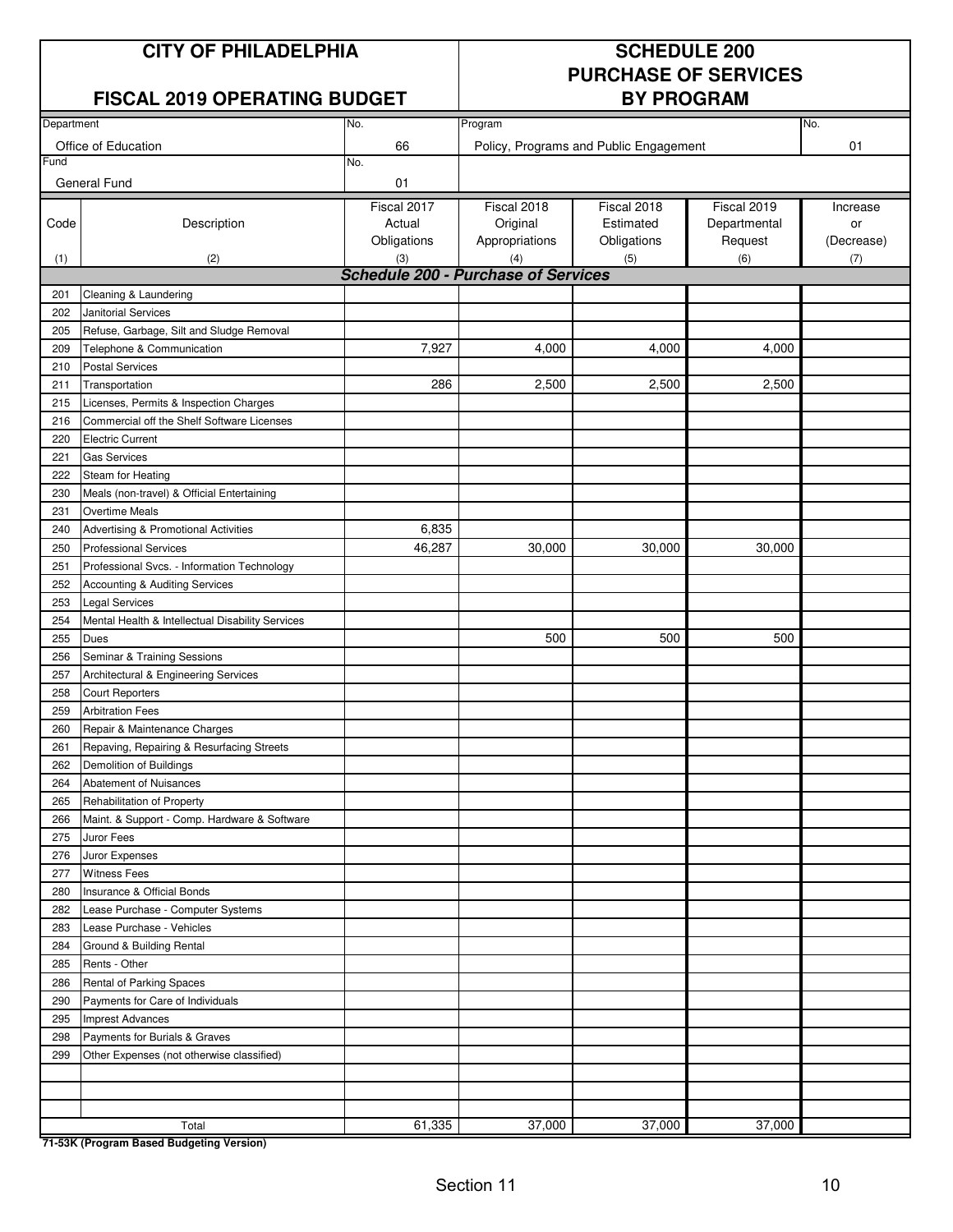#### **CITY OF PHILADELPHIA SCHEDULE 200**

#### **FISCAL 2019 OPERATING BUDGET**

# **PURCHASE OF SERVICES**

| Department |                                                  |                                            | No.            |                                        |              |            |
|------------|--------------------------------------------------|--------------------------------------------|----------------|----------------------------------------|--------------|------------|
|            |                                                  | No.                                        | Program        |                                        |              |            |
| Fund       | Office of Education                              | 66                                         |                | Policy, Programs and Public Engagement |              | 01         |
|            |                                                  | No.                                        |                |                                        |              |            |
|            | General Fund                                     | 01                                         |                |                                        |              |            |
|            |                                                  | Fiscal 2017                                | Fiscal 2018    | Fiscal 2018                            | Fiscal 2019  | Increase   |
| Code       | Description                                      | Actual                                     | Original       | Estimated                              | Departmental | or         |
|            |                                                  | Obligations                                | Appropriations | Obligations                            | Request      | (Decrease) |
| (1)        | (2)                                              | (3)                                        | (4)            | (5)                                    | (6)          | (7)        |
|            |                                                  | <b>Schedule 200 - Purchase of Services</b> |                |                                        |              |            |
| 201        | Cleaning & Laundering                            |                                            |                |                                        |              |            |
| 202        | <b>Janitorial Services</b>                       |                                            |                |                                        |              |            |
| 205        | Refuse, Garbage, Silt and Sludge Removal         |                                            |                |                                        |              |            |
| 209        | Telephone & Communication                        | 7,927                                      | 4,000          | 4,000                                  | 4,000        |            |
| 210        | <b>Postal Services</b>                           |                                            |                |                                        |              |            |
| 211        | Transportation                                   | 286                                        | 2,500          | 2,500                                  | 2,500        |            |
| 215        | Licenses, Permits & Inspection Charges           |                                            |                |                                        |              |            |
| 216        | Commercial off the Shelf Software Licenses       |                                            |                |                                        |              |            |
| 220        | <b>Electric Current</b>                          |                                            |                |                                        |              |            |
| 221        | <b>Gas Services</b>                              |                                            |                |                                        |              |            |
| 222        | Steam for Heating                                |                                            |                |                                        |              |            |
| 230        | Meals (non-travel) & Official Entertaining       |                                            |                |                                        |              |            |
| 231        | <b>Overtime Meals</b>                            |                                            |                |                                        |              |            |
| 240        | Advertising & Promotional Activities             | 6,835                                      |                |                                        |              |            |
| 250        | <b>Professional Services</b>                     | 46,287                                     | 30,000         | 30,000                                 | 30,000       |            |
| 251        | Professional Svcs. - Information Technology      |                                            |                |                                        |              |            |
| 252        | Accounting & Auditing Services                   |                                            |                |                                        |              |            |
| 253        | <b>Legal Services</b>                            |                                            |                |                                        |              |            |
| 254        | Mental Health & Intellectual Disability Services |                                            |                |                                        |              |            |
| 255        | Dues                                             |                                            | 500            | 500                                    | 500          |            |
| 256        | Seminar & Training Sessions                      |                                            |                |                                        |              |            |
| 257        | Architectural & Engineering Services             |                                            |                |                                        |              |            |
| 258        | <b>Court Reporters</b>                           |                                            |                |                                        |              |            |
| 259        | <b>Arbitration Fees</b>                          |                                            |                |                                        |              |            |
| 260        | Repair & Maintenance Charges                     |                                            |                |                                        |              |            |
| 261        | Repaving, Repairing & Resurfacing Streets        |                                            |                |                                        |              |            |
| 262        | Demolition of Buildings                          |                                            |                |                                        |              |            |
| 264        | Abatement of Nuisances                           |                                            |                |                                        |              |            |
| 265        | Rehabilitation of Property                       |                                            |                |                                        |              |            |
| 266        | Maint. & Support - Comp. Hardware & Software     |                                            |                |                                        |              |            |
| 275        | Juror Fees                                       |                                            |                |                                        |              |            |
| 276        | Juror Expenses                                   |                                            |                |                                        |              |            |
| 277        | <b>Witness Fees</b>                              |                                            |                |                                        |              |            |
| 280        | Insurance & Official Bonds                       |                                            |                |                                        |              |            |
| 282        | Lease Purchase - Computer Systems                |                                            |                |                                        |              |            |
| 283        | Lease Purchase - Vehicles                        |                                            |                |                                        |              |            |
| 284        | Ground & Building Rental                         |                                            |                |                                        |              |            |
| 285        | Rents - Other                                    |                                            |                |                                        |              |            |
| 286        | Rental of Parking Spaces                         |                                            |                |                                        |              |            |
| 290        | Payments for Care of Individuals                 |                                            |                |                                        |              |            |
| 295        | <b>Imprest Advances</b>                          |                                            |                |                                        |              |            |
| 298        | Payments for Burials & Graves                    |                                            |                |                                        |              |            |
| 299        | Other Expenses (not otherwise classified)        |                                            |                |                                        |              |            |
|            |                                                  |                                            |                |                                        |              |            |
|            |                                                  |                                            |                |                                        |              |            |
|            |                                                  |                                            |                |                                        |              |            |
|            | Total                                            | 61,335                                     | 37,000         | 37,000                                 | 37,000       |            |

**71-53K (Program Based Budgeting Version)**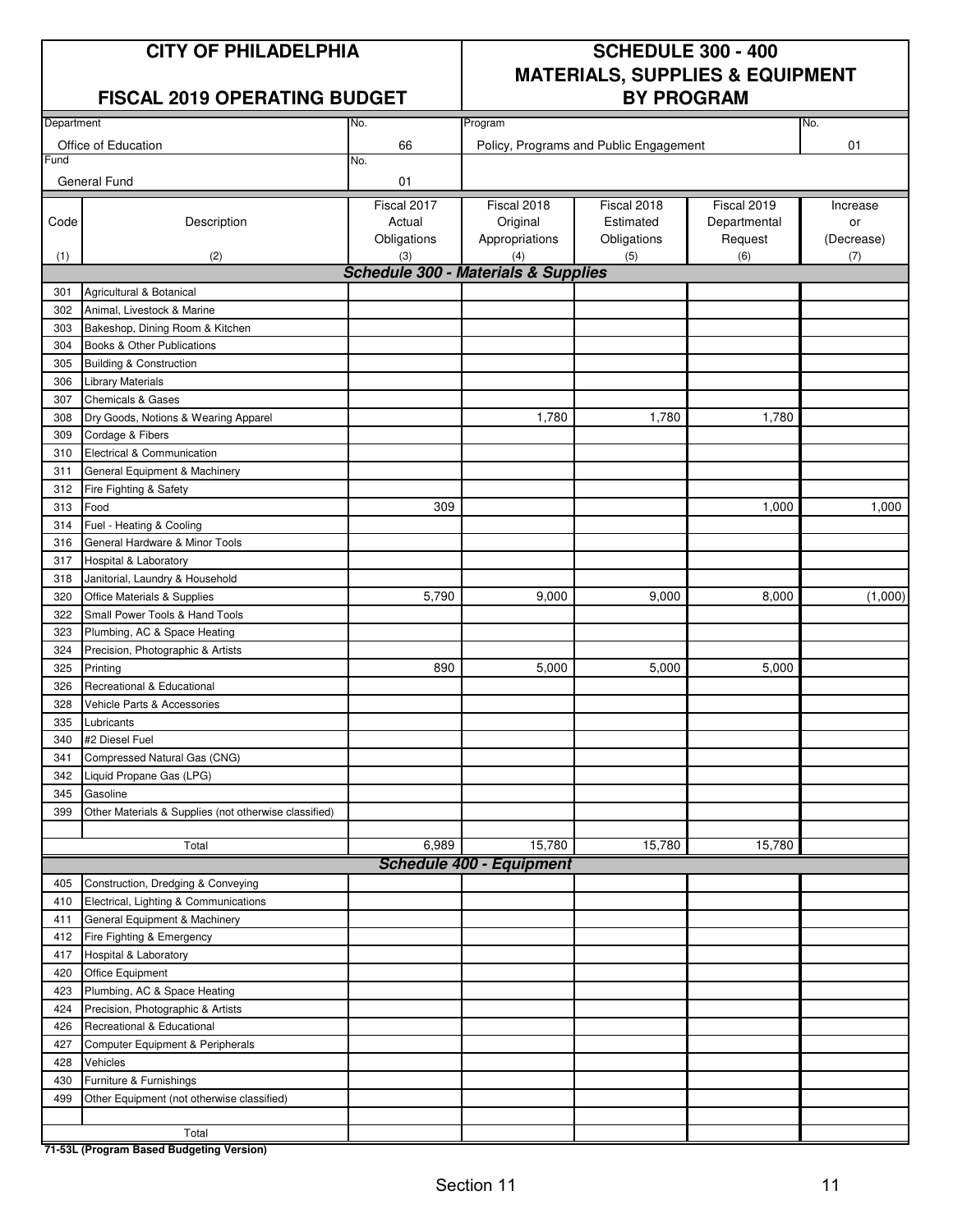#### **FISCAL 2019 OPERATING BUDGET**

## **CITY OF PHILADELPHIA SCHEDULE 300 - 400 MATERIALS, SUPPLIES & EQUIPMENT**

| Department |                                                       | No.         | Program                                        |                                        |              | No.        |
|------------|-------------------------------------------------------|-------------|------------------------------------------------|----------------------------------------|--------------|------------|
|            | Office of Education                                   | 66          |                                                | Policy, Programs and Public Engagement |              | 01         |
| Fund       |                                                       | No.         |                                                |                                        |              |            |
|            | General Fund                                          | 01          |                                                |                                        |              |            |
|            |                                                       | Fiscal 2017 | Fiscal 2018                                    | Fiscal 2018                            | Fiscal 2019  | Increase   |
| Code       | Description                                           | Actual      | Original                                       | Estimated                              | Departmental | or         |
|            |                                                       | Obligations | Appropriations                                 | Obligations                            | Request      | (Decrease) |
| (1)        | (2)                                                   | (3)         | (4)                                            | (5)                                    | (6)          | (7)        |
|            |                                                       |             | <b>Schedule 300 - Materials &amp; Supplies</b> |                                        |              |            |
| 301        | Agricultural & Botanical                              |             |                                                |                                        |              |            |
| 302        | Animal, Livestock & Marine                            |             |                                                |                                        |              |            |
| 303        | Bakeshop, Dining Room & Kitchen                       |             |                                                |                                        |              |            |
| 304        | Books & Other Publications                            |             |                                                |                                        |              |            |
| 305        | <b>Building &amp; Construction</b>                    |             |                                                |                                        |              |            |
| 306        | <b>Library Materials</b>                              |             |                                                |                                        |              |            |
| 307        | <b>Chemicals &amp; Gases</b>                          |             |                                                |                                        |              |            |
| 308        | Dry Goods, Notions & Wearing Apparel                  |             | 1,780                                          | 1,780                                  | 1,780        |            |
| 309        | Cordage & Fibers                                      |             |                                                |                                        |              |            |
| 310        | Electrical & Communication                            |             |                                                |                                        |              |            |
| 311        | General Equipment & Machinery                         |             |                                                |                                        |              |            |
| 312        | Fire Fighting & Safety                                |             |                                                |                                        |              |            |
| 313        | Food                                                  | 309         |                                                |                                        | 1,000        | 1,000      |
| 314        | Fuel - Heating & Cooling                              |             |                                                |                                        |              |            |
| 316        | General Hardware & Minor Tools                        |             |                                                |                                        |              |            |
| 317        | Hospital & Laboratory                                 |             |                                                |                                        |              |            |
| 318        | Janitorial, Laundry & Household                       |             |                                                |                                        |              |            |
| 320        | Office Materials & Supplies                           | 5,790       | 9,000                                          | 9,000                                  | 8,000        | (1,000)    |
| 322        | Small Power Tools & Hand Tools                        |             |                                                |                                        |              |            |
| 323        | Plumbing, AC & Space Heating                          |             |                                                |                                        |              |            |
| 324        | Precision, Photographic & Artists                     |             |                                                |                                        |              |            |
| 325        | Printing                                              | 890         | 5,000                                          | 5,000                                  | 5,000        |            |
| 326        | Recreational & Educational                            |             |                                                |                                        |              |            |
| 328        | Vehicle Parts & Accessories                           |             |                                                |                                        |              |            |
| 335        | Lubricants                                            |             |                                                |                                        |              |            |
| 340        | #2 Diesel Fuel                                        |             |                                                |                                        |              |            |
| 341        | Compressed Natural Gas (CNG)                          |             |                                                |                                        |              |            |
| 342        | Liquid Propane Gas (LPG)                              |             |                                                |                                        |              |            |
| 345        | Gasoline                                              |             |                                                |                                        |              |            |
| 399        | Other Materials & Supplies (not otherwise classified) |             |                                                |                                        |              |            |
|            |                                                       |             |                                                |                                        |              |            |
|            | Total                                                 | 6,989       | 15,780                                         | 15,780                                 | 15,780       |            |
|            |                                                       |             | <b>Schedule 400 - Equipment</b>                |                                        |              |            |
| 405        | Construction, Dredging & Conveying                    |             |                                                |                                        |              |            |
| 410        | Electrical, Lighting & Communications                 |             |                                                |                                        |              |            |
| 411        | General Equipment & Machinery                         |             |                                                |                                        |              |            |
| 412        | Fire Fighting & Emergency                             |             |                                                |                                        |              |            |
| 417        | Hospital & Laboratory                                 |             |                                                |                                        |              |            |
| 420        | Office Equipment                                      |             |                                                |                                        |              |            |
| 423        | Plumbing, AC & Space Heating                          |             |                                                |                                        |              |            |
| 424        | Precision, Photographic & Artists                     |             |                                                |                                        |              |            |
| 426        | Recreational & Educational                            |             |                                                |                                        |              |            |
| 427        | Computer Equipment & Peripherals                      |             |                                                |                                        |              |            |
| 428        | Vehicles                                              |             |                                                |                                        |              |            |
| 430        | Furniture & Furnishings                               |             |                                                |                                        |              |            |
| 499        | Other Equipment (not otherwise classified)            |             |                                                |                                        |              |            |
|            |                                                       |             |                                                |                                        |              |            |
|            | Total                                                 |             |                                                |                                        |              |            |

**71-53L (Program Based Budgeting Version)**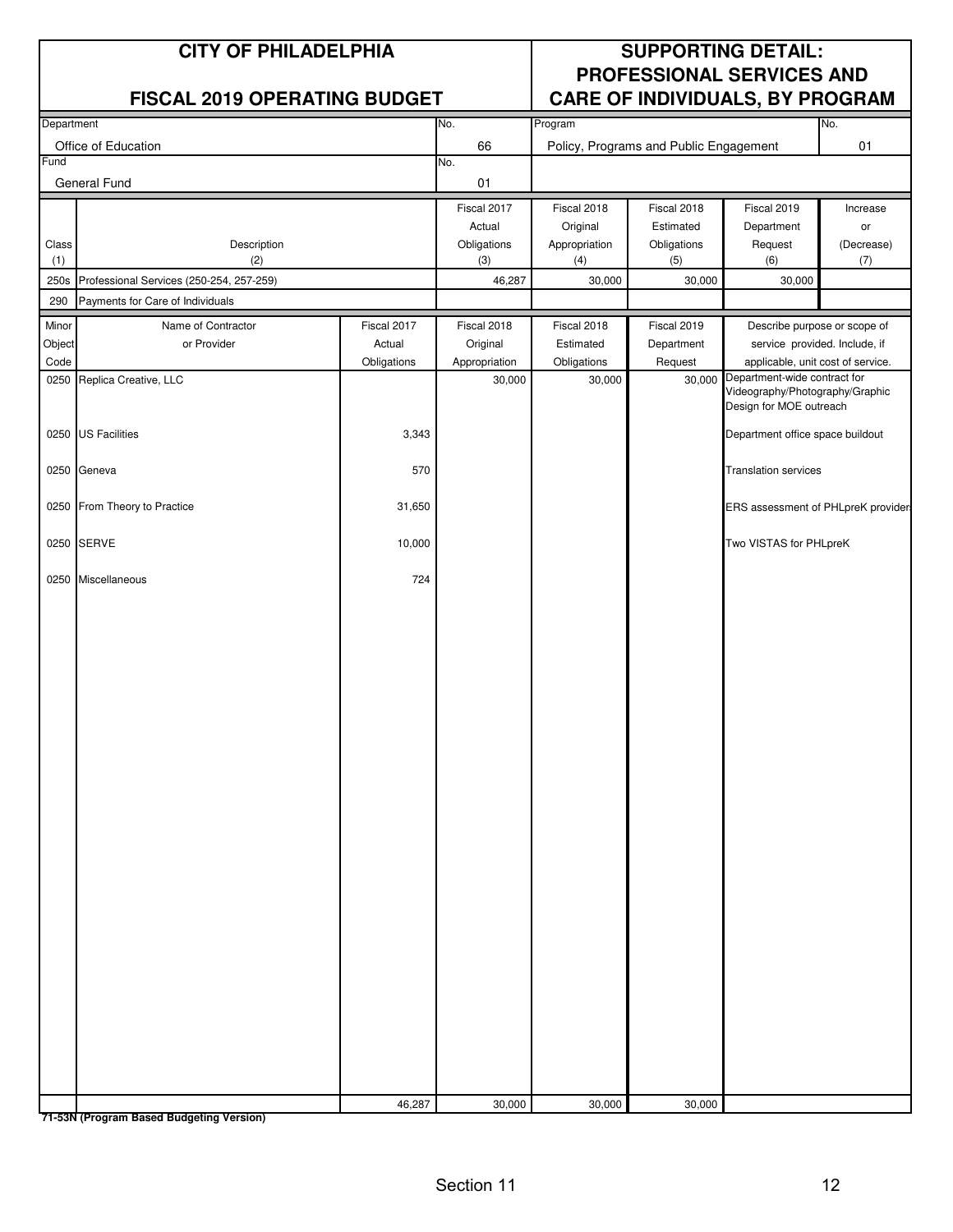|             | <b>CITY OF PHILADELPHIA</b>                                                  |             | <b>SUPPORTING DETAIL:</b> |                         |                                        |                                                                                            |                |
|-------------|------------------------------------------------------------------------------|-------------|---------------------------|-------------------------|----------------------------------------|--------------------------------------------------------------------------------------------|----------------|
|             | <b>FISCAL 2019 OPERATING BUDGET</b>                                          |             |                           |                         |                                        | PROFESSIONAL SERVICES AND                                                                  |                |
| Department  |                                                                              |             | No.                       | Program                 |                                        | CARE OF INDIVIDUALS, BY PROGRAM                                                            | No.            |
|             | Office of Education                                                          |             | 66                        |                         | Policy, Programs and Public Engagement |                                                                                            | 01             |
| Fund        |                                                                              |             | No.                       |                         |                                        |                                                                                            |                |
|             | General Fund                                                                 |             | 01                        |                         |                                        |                                                                                            |                |
|             |                                                                              |             | Fiscal 2017<br>Actual     | Fiscal 2018<br>Original | Fiscal 2018<br>Estimated               | Fiscal 2019<br>Department                                                                  | Increase<br>or |
| Class       | Description                                                                  |             | Obligations               | Appropriation           | Obligations                            | Request                                                                                    | (Decrease)     |
| (1)         | (2)                                                                          |             | (3)                       | (4)                     | (5)                                    | (6)                                                                                        | (7)            |
| 250s<br>290 | Professional Services (250-254, 257-259)<br>Payments for Care of Individuals |             | 46,287                    | 30,000                  | 30,000                                 | 30,000                                                                                     |                |
| Minor       | Name of Contractor                                                           | Fiscal 2017 | Fiscal 2018               | Fiscal 2018             | Fiscal 2019                            | Describe purpose or scope of                                                               |                |
| Object      | or Provider                                                                  | Actual      | Original                  | Estimated               | Department                             | service provided. Include, if                                                              |                |
| Code        |                                                                              | Obligations | Appropriation             | Obligations             | Request                                | applicable, unit cost of service.                                                          |                |
|             | 0250 Replica Creative, LLC                                                   |             | 30,000                    | 30,000                  | 30,000                                 | Department-wide contract for<br>Videography/Photography/Graphic<br>Design for MOE outreach |                |
|             | 0250 US Facilities                                                           | 3,343       |                           |                         |                                        | Department office space buildout                                                           |                |
|             | 0250 Geneva                                                                  | 570         |                           |                         |                                        | <b>Translation services</b>                                                                |                |
|             | 0250 From Theory to Practice                                                 | 31,650      |                           |                         |                                        | ERS assessment of PHLpreK provider                                                         |                |
|             | 0250 SERVE                                                                   | 10,000      |                           |                         |                                        | Two VISTAS for PHLpreK                                                                     |                |
|             | 0250 Miscellaneous                                                           | 724         |                           |                         |                                        |                                                                                            |                |
|             |                                                                              |             |                           |                         |                                        |                                                                                            |                |
|             |                                                                              |             |                           |                         |                                        |                                                                                            |                |
|             |                                                                              |             |                           |                         |                                        |                                                                                            |                |
|             |                                                                              |             |                           |                         |                                        |                                                                                            |                |
|             |                                                                              |             |                           |                         |                                        |                                                                                            |                |
|             |                                                                              |             |                           |                         |                                        |                                                                                            |                |
|             |                                                                              |             |                           |                         |                                        |                                                                                            |                |
|             |                                                                              |             |                           |                         |                                        |                                                                                            |                |
|             |                                                                              |             |                           |                         |                                        |                                                                                            |                |
|             |                                                                              |             |                           |                         |                                        |                                                                                            |                |
|             |                                                                              |             |                           |                         |                                        |                                                                                            |                |
|             |                                                                              |             |                           |                         |                                        |                                                                                            |                |
|             |                                                                              | 46,287      | 30,000                    | 30,000                  | 30,000                                 |                                                                                            |                |

**71-53N (Program Based Budgeting Version)**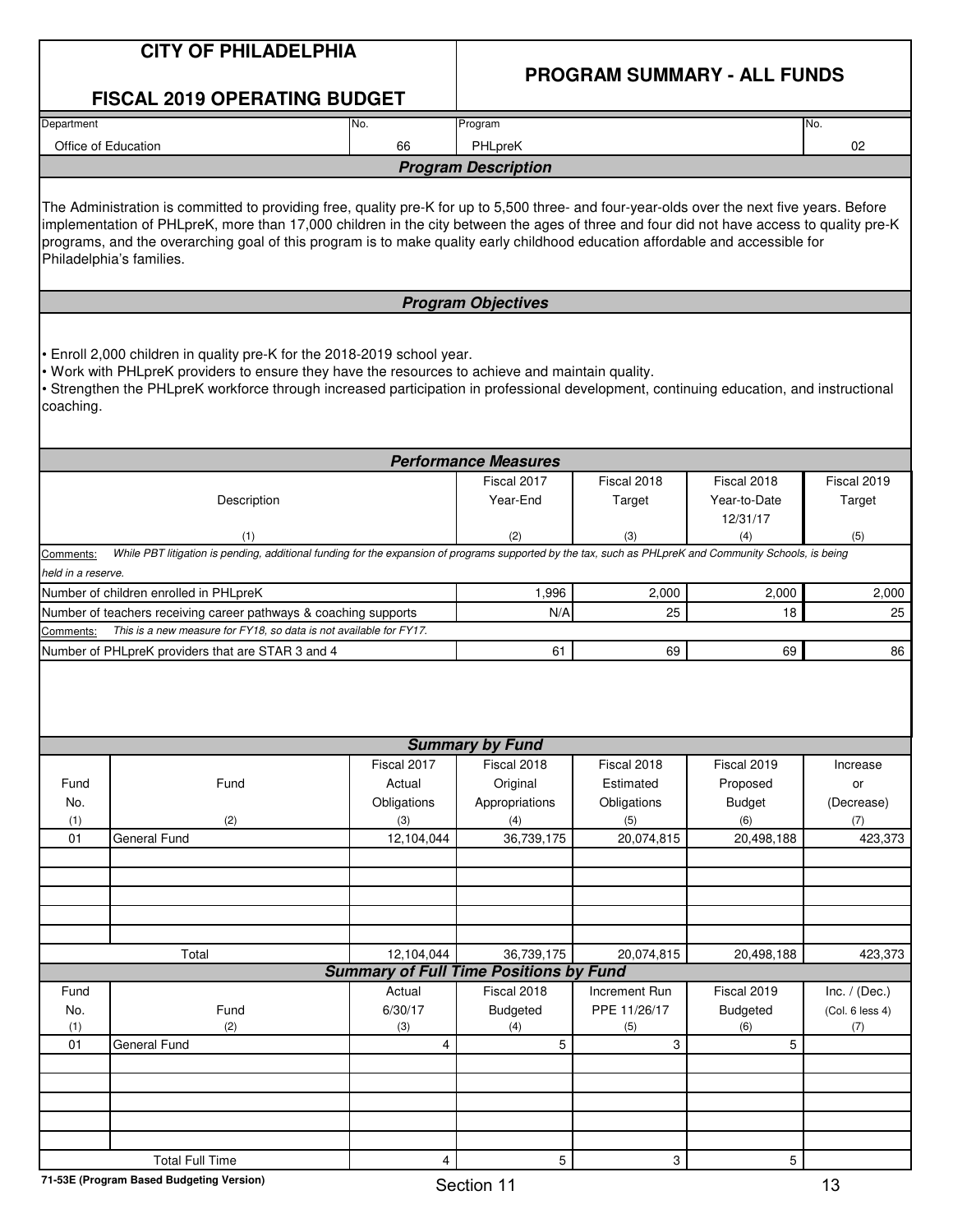|                    | <b>CITY OF PHILADELPHIA</b>                                                                                                                                                                                                                                                                                                                                                                                                                          |                                               |                             | <b>PROGRAM SUMMARY - ALL FUNDS</b> |                                         |                        |
|--------------------|------------------------------------------------------------------------------------------------------------------------------------------------------------------------------------------------------------------------------------------------------------------------------------------------------------------------------------------------------------------------------------------------------------------------------------------------------|-----------------------------------------------|-----------------------------|------------------------------------|-----------------------------------------|------------------------|
|                    | <b>FISCAL 2019 OPERATING BUDGET</b>                                                                                                                                                                                                                                                                                                                                                                                                                  |                                               |                             |                                    |                                         |                        |
| Department         |                                                                                                                                                                                                                                                                                                                                                                                                                                                      | No.                                           | Program                     |                                    |                                         | No.                    |
|                    | Office of Education                                                                                                                                                                                                                                                                                                                                                                                                                                  | 66                                            | PHLpreK                     |                                    |                                         | 02                     |
|                    |                                                                                                                                                                                                                                                                                                                                                                                                                                                      |                                               | <b>Program Description</b>  |                                    |                                         |                        |
|                    | The Administration is committed to providing free, quality pre-K for up to 5,500 three- and four-year-olds over the next five years. Before<br>implementation of PHLpreK, more than 17,000 children in the city between the ages of three and four did not have access to quality pre-K<br>programs, and the overarching goal of this program is to make quality early childhood education affordable and accessible for<br>Philadelphia's families. |                                               |                             |                                    |                                         |                        |
|                    |                                                                                                                                                                                                                                                                                                                                                                                                                                                      |                                               | <b>Program Objectives</b>   |                                    |                                         |                        |
| coaching.          | . Enroll 2,000 children in quality pre-K for the 2018-2019 school year.<br>. Work with PHLpreK providers to ensure they have the resources to achieve and maintain quality.<br>• Strengthen the PHLpreK workforce through increased participation in professional development, continuing education, and instructional                                                                                                                               |                                               |                             |                                    |                                         |                        |
|                    |                                                                                                                                                                                                                                                                                                                                                                                                                                                      |                                               | <b>Performance Measures</b> |                                    |                                         |                        |
|                    | Description                                                                                                                                                                                                                                                                                                                                                                                                                                          |                                               | Fiscal 2017<br>Year-End     | Fiscal 2018<br>Target              | Fiscal 2018<br>Year-to-Date<br>12/31/17 | Fiscal 2019<br>Target  |
| Comments:          | (1)<br>While PBT litigation is pending, additional funding for the expansion of programs supported by the tax, such as PHLpreK and Community Schools, is being                                                                                                                                                                                                                                                                                       |                                               | (2)                         | (3)                                | (4)                                     | (5)                    |
| held in a reserve. |                                                                                                                                                                                                                                                                                                                                                                                                                                                      |                                               |                             |                                    |                                         |                        |
|                    | Number of children enrolled in PHLpreK                                                                                                                                                                                                                                                                                                                                                                                                               |                                               | 1,996                       | 2,000                              | 2,000                                   | 2,000                  |
|                    | Number of teachers receiving career pathways & coaching supports                                                                                                                                                                                                                                                                                                                                                                                     |                                               | N/A                         | 25                                 | 18                                      | 25                     |
| Comments:          | This is a new measure for FY18, so data is not available for FY17.<br>Number of PHLpreK providers that are STAR 3 and 4                                                                                                                                                                                                                                                                                                                              |                                               | 61                          | 69                                 | 69                                      | 86                     |
|                    |                                                                                                                                                                                                                                                                                                                                                                                                                                                      |                                               |                             |                                    |                                         |                        |
|                    |                                                                                                                                                                                                                                                                                                                                                                                                                                                      |                                               |                             |                                    |                                         |                        |
|                    |                                                                                                                                                                                                                                                                                                                                                                                                                                                      |                                               | <b>Summary by Fund</b>      |                                    |                                         |                        |
|                    |                                                                                                                                                                                                                                                                                                                                                                                                                                                      | Fiscal 2017                                   | Fiscal 2018                 | Fiscal 2018                        | Fiscal 2019                             | Increase               |
| Fund               | Fund                                                                                                                                                                                                                                                                                                                                                                                                                                                 | Actual                                        | Original                    | Estimated                          | Proposed                                | or                     |
| No.<br>(1)         | (2)                                                                                                                                                                                                                                                                                                                                                                                                                                                  | Obligations<br>(3)                            | Appropriations<br>(4)       | Obligations<br>(5)                 | <b>Budget</b><br>(6)                    | (Decrease)<br>(7)      |
| 01                 | <b>General Fund</b>                                                                                                                                                                                                                                                                                                                                                                                                                                  | 12,104,044                                    | 36,739,175                  | 20,074,815                         | 20,498,188                              | 423,373                |
|                    |                                                                                                                                                                                                                                                                                                                                                                                                                                                      |                                               |                             |                                    |                                         |                        |
|                    |                                                                                                                                                                                                                                                                                                                                                                                                                                                      |                                               |                             |                                    |                                         |                        |
|                    |                                                                                                                                                                                                                                                                                                                                                                                                                                                      |                                               |                             |                                    |                                         |                        |
|                    |                                                                                                                                                                                                                                                                                                                                                                                                                                                      |                                               |                             |                                    |                                         |                        |
|                    | Total                                                                                                                                                                                                                                                                                                                                                                                                                                                | 12,104,044                                    | 36,739,175                  | 20,074,815                         | 20,498,188                              | 423,373                |
|                    |                                                                                                                                                                                                                                                                                                                                                                                                                                                      | <b>Summary of Full Time Positions by Fund</b> |                             |                                    |                                         |                        |
| Fund               |                                                                                                                                                                                                                                                                                                                                                                                                                                                      | Actual                                        | Fiscal 2018                 | Increment Run                      | Fiscal 2019                             | Inc. $/$ (Dec.)        |
| No.<br>(1)         | Fund<br>(2)                                                                                                                                                                                                                                                                                                                                                                                                                                          | 6/30/17<br>(3)                                | <b>Budgeted</b><br>(4)      | PPE 11/26/17<br>(5)                | <b>Budgeted</b><br>(6)                  | (Col. 6 less 4)<br>(7) |
| 01                 | <b>General Fund</b>                                                                                                                                                                                                                                                                                                                                                                                                                                  | 4                                             | 5                           | 3                                  | 5                                       |                        |
|                    |                                                                                                                                                                                                                                                                                                                                                                                                                                                      |                                               |                             |                                    |                                         |                        |
|                    |                                                                                                                                                                                                                                                                                                                                                                                                                                                      |                                               |                             |                                    |                                         |                        |
|                    |                                                                                                                                                                                                                                                                                                                                                                                                                                                      |                                               |                             |                                    |                                         |                        |
|                    |                                                                                                                                                                                                                                                                                                                                                                                                                                                      |                                               |                             |                                    |                                         |                        |
|                    | <b>Total Full Time</b>                                                                                                                                                                                                                                                                                                                                                                                                                               | 4                                             | 5                           | 3                                  | $5\phantom{.0}$                         |                        |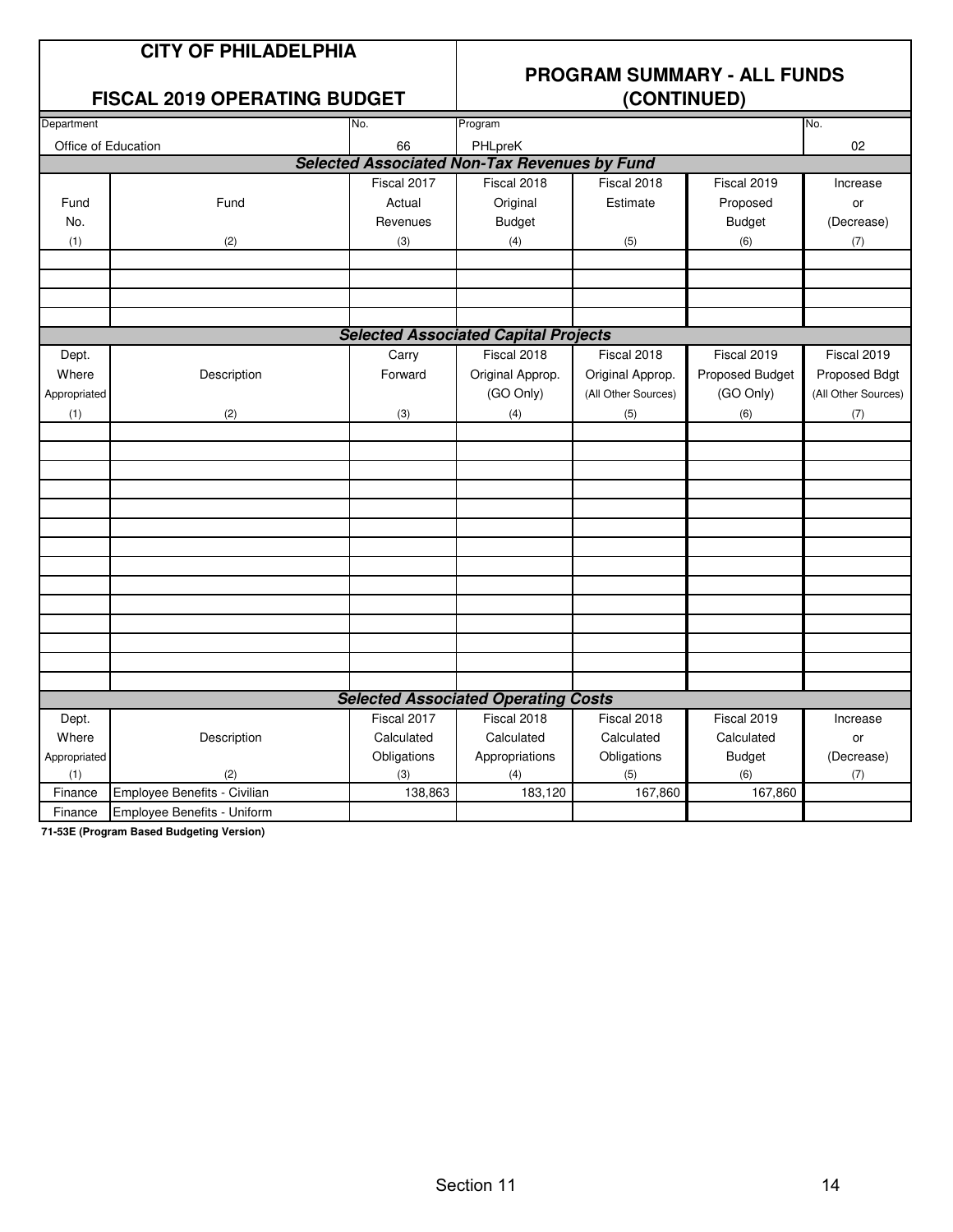# **PROGRAM SUMMARY - ALL FUNDS**

#### **FISCAL 2019 OPERATING BUDGET**

| Department          |                              | No.         | Program                                             |                     |                 | No.                 |
|---------------------|------------------------------|-------------|-----------------------------------------------------|---------------------|-----------------|---------------------|
| Office of Education |                              | 66          | PHLpreK                                             |                     |                 | 02                  |
|                     |                              |             | <b>Selected Associated Non-Tax Revenues by Fund</b> |                     |                 |                     |
|                     |                              | Fiscal 2017 | Fiscal 2018                                         | Fiscal 2018         | Fiscal 2019     | Increase            |
| Fund                | Fund                         | Actual      | Original                                            | Estimate            | Proposed        | or                  |
| No.                 |                              | Revenues    | <b>Budget</b>                                       |                     | <b>Budget</b>   | (Decrease)          |
| (1)                 | (2)                          | (3)         | (4)                                                 | (5)                 | (6)             | (7)                 |
|                     |                              |             |                                                     |                     |                 |                     |
|                     |                              |             |                                                     |                     |                 |                     |
|                     |                              |             |                                                     |                     |                 |                     |
|                     |                              |             |                                                     |                     |                 |                     |
|                     |                              |             | <b>Selected Associated Capital Projects</b>         |                     |                 |                     |
| Dept.               |                              | Carry       | Fiscal 2018                                         | Fiscal 2018         | Fiscal 2019     | Fiscal 2019         |
| Where               | Description                  | Forward     | Original Approp.                                    | Original Approp.    | Proposed Budget | Proposed Bdgt       |
| Appropriated        |                              |             | (GO Only)                                           | (All Other Sources) | (GO Only)       | (All Other Sources) |
| (1)                 | (2)                          | (3)         | (4)                                                 | (5)                 | (6)             | (7)                 |
|                     |                              |             |                                                     |                     |                 |                     |
|                     |                              |             |                                                     |                     |                 |                     |
|                     |                              |             |                                                     |                     |                 |                     |
|                     |                              |             |                                                     |                     |                 |                     |
|                     |                              |             |                                                     |                     |                 |                     |
|                     |                              |             |                                                     |                     |                 |                     |
|                     |                              |             |                                                     |                     |                 |                     |
|                     |                              |             |                                                     |                     |                 |                     |
|                     |                              |             |                                                     |                     |                 |                     |
|                     |                              |             |                                                     |                     |                 |                     |
|                     |                              |             |                                                     |                     |                 |                     |
|                     |                              |             |                                                     |                     |                 |                     |
|                     |                              |             |                                                     |                     |                 |                     |
|                     |                              |             | <b>Selected Associated Operating Costs</b>          |                     |                 |                     |
| Dept.               |                              | Fiscal 2017 | Fiscal 2018                                         | Fiscal 2018         | Fiscal 2019     | Increase            |
| Where               | Description                  | Calculated  | Calculated                                          | Calculated          | Calculated      | or                  |
| Appropriated        |                              | Obligations | Appropriations                                      | Obligations         | <b>Budget</b>   | (Decrease)          |
| (1)                 | (2)                          | (3)         | (4)                                                 | (5)                 | (6)             | (7)                 |
| Finance             | Employee Benefits - Civilian | 138,863     | 183,120                                             | 167,860             | 167,860         |                     |
| Finance             | Employee Benefits - Uniform  |             |                                                     |                     |                 |                     |

**71-53E (Program Based Budgeting Version)**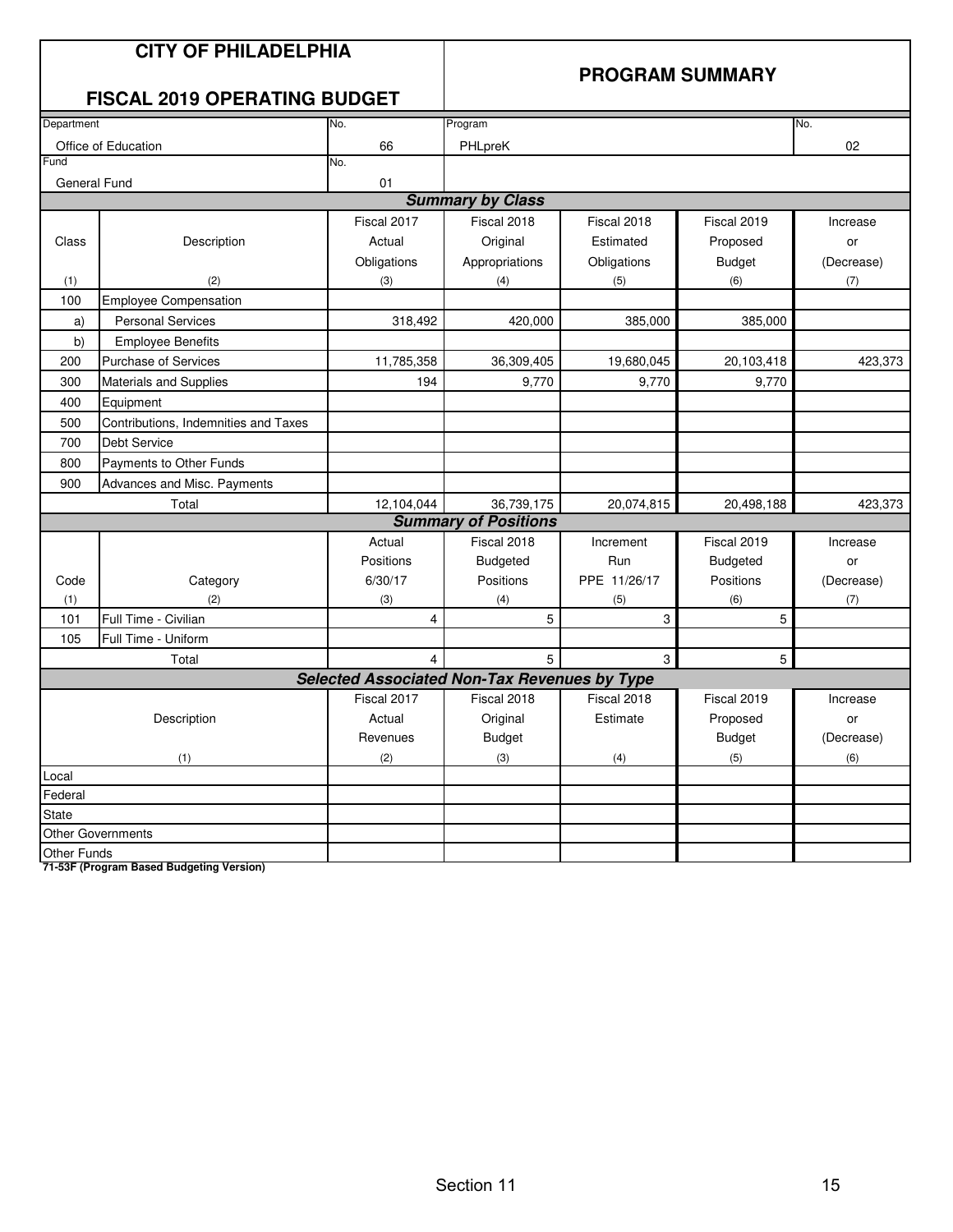#### **PROGRAM SUMMARY**

### **FISCAL 2019 OPERATING BUDGET**

|                    | 1 IUUAL 40 I J<br><u>ULLIAIIN DUDULI</u> |                                                     |                             |              |                 |            |
|--------------------|------------------------------------------|-----------------------------------------------------|-----------------------------|--------------|-----------------|------------|
| Department         |                                          | No.                                                 | Program                     |              |                 | No.        |
|                    | Office of Education                      | 66                                                  | PHLpreK                     |              |                 | 02         |
| Fund               |                                          | No.                                                 |                             |              |                 |            |
| General Fund       |                                          | 01                                                  |                             |              |                 |            |
|                    |                                          |                                                     | <b>Summary by Class</b>     |              |                 |            |
|                    |                                          | Fiscal 2017                                         | Fiscal 2018                 | Fiscal 2018  | Fiscal 2019     | Increase   |
| Class              | Description                              | Actual                                              | Original                    | Estimated    | Proposed        | or         |
|                    |                                          | Obligations                                         | Appropriations              | Obligations  | <b>Budget</b>   | (Decrease) |
| (1)                | (2)                                      | (3)                                                 | (4)                         | (5)          | (6)             | (7)        |
| 100                | <b>Employee Compensation</b>             |                                                     |                             |              |                 |            |
| a)                 | <b>Personal Services</b>                 | 318,492                                             | 420,000                     | 385,000      | 385,000         |            |
| b)                 | <b>Employee Benefits</b>                 |                                                     |                             |              |                 |            |
| 200                | <b>Purchase of Services</b>              | 11,785,358                                          | 36,309,405                  | 19,680,045   | 20,103,418      | 423,373    |
| 300                | Materials and Supplies                   | 194                                                 | 9,770                       | 9,770        | 9,770           |            |
| 400                | Equipment                                |                                                     |                             |              |                 |            |
| 500                | Contributions, Indemnities and Taxes     |                                                     |                             |              |                 |            |
| 700                | <b>Debt Service</b>                      |                                                     |                             |              |                 |            |
| 800                | Payments to Other Funds                  |                                                     |                             |              |                 |            |
| 900                | Advances and Misc. Payments              |                                                     |                             |              |                 |            |
|                    | Total                                    | 12,104,044                                          | 36,739,175                  | 20,074,815   | 20,498,188      | 423,373    |
|                    |                                          |                                                     | <b>Summary of Positions</b> |              |                 |            |
|                    |                                          | Actual                                              | Fiscal 2018                 | Increment    | Fiscal 2019     | Increase   |
|                    |                                          | Positions                                           | <b>Budgeted</b>             | Run          | <b>Budgeted</b> | or         |
| Code               | Category                                 | 6/30/17                                             | Positions                   | PPE 11/26/17 | Positions       | (Decrease) |
| (1)                | (2)                                      | (3)                                                 | (4)                         | (5)          | (6)             | (7)        |
| 101                | Full Time - Civilian                     | 4                                                   | 5                           | 3            | 5               |            |
| 105                | Full Time - Uniform                      |                                                     |                             |              |                 |            |
|                    | Total                                    | 4                                                   | 5                           | 3            | 5               |            |
|                    |                                          | <b>Selected Associated Non-Tax Revenues by Type</b> |                             |              |                 |            |
|                    |                                          | Fiscal 2017                                         | Fiscal 2018                 | Fiscal 2018  | Fiscal 2019     | Increase   |
|                    | Description                              | Actual                                              | Original                    | Estimate     | Proposed        | or         |
|                    |                                          | Revenues                                            | <b>Budget</b>               |              | <b>Budget</b>   | (Decrease) |
|                    | (1)                                      | (2)                                                 | (3)                         | (4)          | (5)             | (6)        |
| Local              |                                          |                                                     |                             |              |                 |            |
| Federal            |                                          |                                                     |                             |              |                 |            |
| <b>State</b>       |                                          |                                                     |                             |              |                 |            |
|                    | <b>Other Governments</b>                 |                                                     |                             |              |                 |            |
| <b>Other Funds</b> |                                          |                                                     |                             |              |                 |            |

**71-53F (Program Based Budgeting Version)**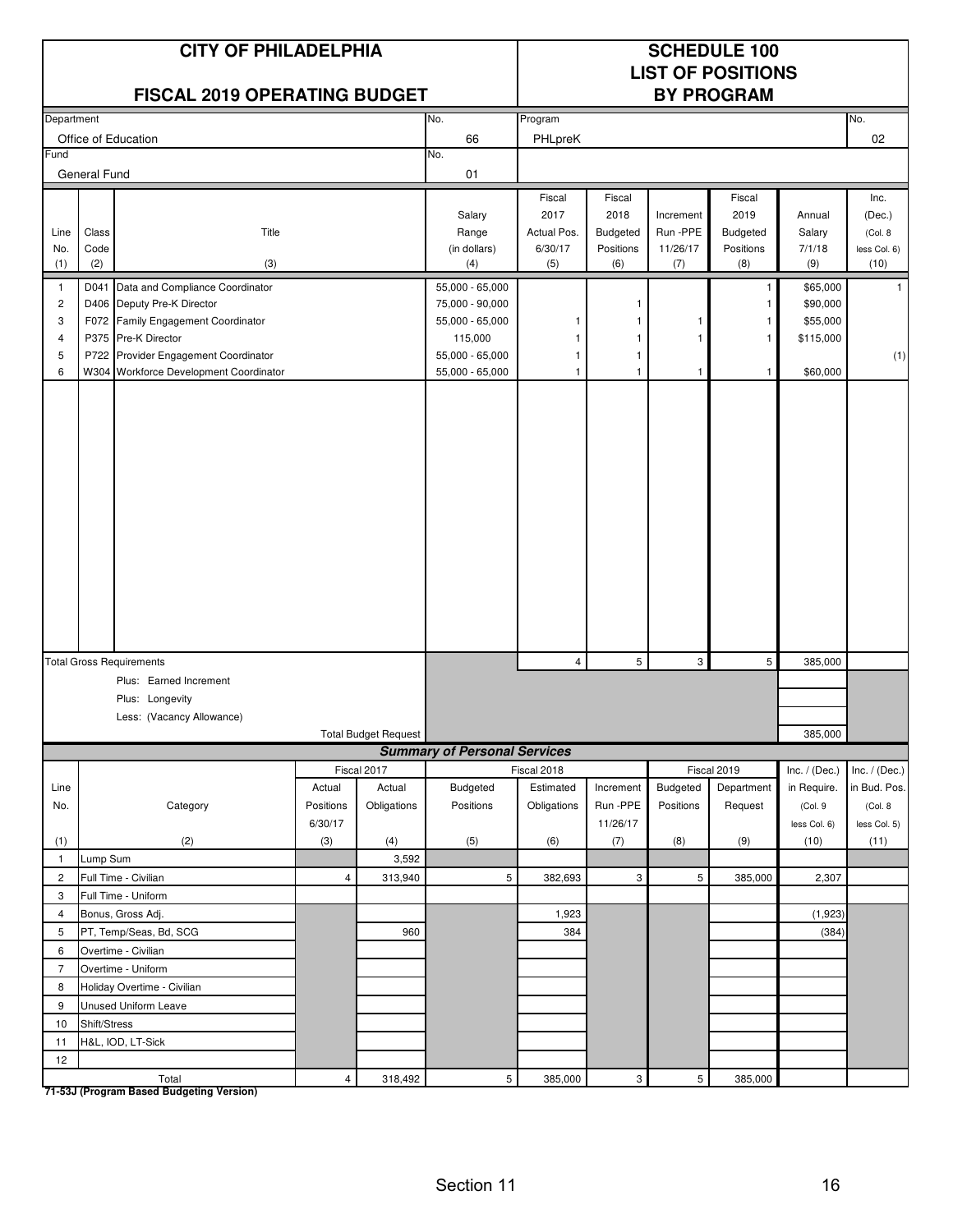|                                                                                                           |              | <b>CITY OF PHILADELPHIA</b><br><b>FISCAL 2019 OPERATING BUDGET</b> |                |                             | <b>SCHEDULE 100</b><br><b>LIST OF POSITIONS</b><br><b>BY PROGRAM</b> |             |                 |                 |                    |                       |                 |
|-----------------------------------------------------------------------------------------------------------|--------------|--------------------------------------------------------------------|----------------|-----------------------------|----------------------------------------------------------------------|-------------|-----------------|-----------------|--------------------|-----------------------|-----------------|
| Department                                                                                                |              |                                                                    |                |                             | No.                                                                  | Program     |                 |                 |                    |                       | No.             |
|                                                                                                           |              | Office of Education                                                |                |                             | 66                                                                   | PHLpreK     |                 |                 |                    |                       | 02              |
| Fund                                                                                                      |              |                                                                    |                |                             | No.                                                                  |             |                 |                 |                    |                       |                 |
|                                                                                                           | General Fund |                                                                    |                |                             | 01                                                                   |             |                 |                 |                    |                       |                 |
|                                                                                                           |              |                                                                    |                |                             |                                                                      | Fiscal      | Fiscal          |                 | Fiscal             |                       | Inc.            |
|                                                                                                           |              |                                                                    |                |                             | Salary                                                               | 2017        | 2018            | Increment       | 2019               | Annual                | (Dec.)          |
| Line                                                                                                      | Class        | Title                                                              |                |                             | Range                                                                | Actual Pos. | <b>Budgeted</b> | Run-PPE         | Budgeted           | Salary                | (Col. 8)        |
| No.                                                                                                       | Code         |                                                                    |                |                             | (in dollars)                                                         | 6/30/17     | Positions       | 11/26/17        | Positions          | 7/1/18                | less Col. 6)    |
| (1)                                                                                                       | (2)          | (3)                                                                |                |                             | (4)                                                                  | (5)         | (6)             | (7)             | (8)                | (9)                   | (10)            |
| $\mathbf{1}$                                                                                              | D041         | Data and Compliance Coordinator                                    |                |                             | 55,000 - 65,000                                                      |             |                 |                 | $\mathbf{1}$       | \$65,000              |                 |
| $\overline{c}$                                                                                            |              | D406 Deputy Pre-K Director                                         |                |                             | 75,000 - 90,000                                                      |             |                 |                 | -1                 | \$90,000              |                 |
| 3<br>$\overline{4}$                                                                                       |              | F072 Family Engagement Coordinator<br>P375 Pre-K Director          |                |                             | 55,000 - 65,000<br>115,000                                           | 1<br>1      | 1               | 1<br>1          | -1<br>$\mathbf{1}$ | \$55,000<br>\$115,000 |                 |
| 5                                                                                                         |              | P722 Provider Engagement Coordinator                               |                |                             | 55,000 - 65,000                                                      | 1           | 1               |                 |                    |                       | (1)             |
| 6                                                                                                         |              | W304 Workforce Development Coordinator                             |                |                             | 55,000 - 65,000                                                      | 1           | 1               | 1               | $\mathbf{1}$       | \$60,000              |                 |
| <b>Total Gross Requirements</b><br>Plus: Earned Increment<br>Plus: Longevity<br>Less: (Vacancy Allowance) |              |                                                                    |                |                             | 4                                                                    | 5           | 3               | 5               | 385,000<br>385,000 |                       |                 |
|                                                                                                           |              |                                                                    |                | <b>Total Budget Request</b> | <b>Summary of Personal Services</b>                                  |             |                 |                 |                    |                       |                 |
|                                                                                                           |              |                                                                    |                | Fiscal 2017                 |                                                                      | Fiscal 2018 |                 |                 | Fiscal 2019        | Inc. $/$ (Dec.)       | Inc. $/$ (Dec.) |
| Line                                                                                                      |              |                                                                    | Actual         | Actual                      | Budgeted                                                             | Estimated   | Increment       | Budgeted        | Department         | in Require.           | in Bud. Pos.    |
| No.                                                                                                       |              | Category                                                           | Positions      | Obligations                 | Positions                                                            | Obligations | Run-PPE         | Positions       | Request            | (Col. 9               | (Col. 8         |
|                                                                                                           |              |                                                                    | 6/30/17        |                             |                                                                      |             | 11/26/17        |                 |                    | less Col. 6)          | less Col. 5)    |
| (1)<br>$\mathbf{1}$                                                                                       | Lump Sum     | (2)                                                                | (3)            | (4)<br>3,592                | (5)                                                                  | (6)         | (7)             | (8)             | (9)                | (10)                  | (11)            |
| $\overline{2}$                                                                                            |              | Full Time - Civilian                                               | $\overline{4}$ | 313,940                     | 5                                                                    | 382,693     | 3               | 5               | 385,000            | 2,307                 |                 |
| $\mathbf{3}$                                                                                              |              | Full Time - Uniform                                                |                |                             |                                                                      |             |                 |                 |                    |                       |                 |
| $\overline{4}$                                                                                            |              | Bonus, Gross Adj.                                                  |                |                             |                                                                      | 1,923       |                 |                 |                    | (1,923)               |                 |
| 5                                                                                                         |              | PT, Temp/Seas, Bd, SCG                                             |                | 960                         |                                                                      | 384         |                 |                 |                    | (384)                 |                 |
| 6                                                                                                         |              | Overtime - Civilian                                                |                |                             |                                                                      |             |                 |                 |                    |                       |                 |
| $\overline{7}$                                                                                            |              | Overtime - Uniform                                                 |                |                             |                                                                      |             |                 |                 |                    |                       |                 |
| 8                                                                                                         |              | Holiday Overtime - Civilian                                        |                |                             |                                                                      |             |                 |                 |                    |                       |                 |
| 9                                                                                                         |              | Unused Uniform Leave                                               |                |                             |                                                                      |             |                 |                 |                    |                       |                 |
| 10                                                                                                        | Shift/Stress |                                                                    |                |                             |                                                                      |             |                 |                 |                    |                       |                 |
| 11                                                                                                        |              | H&L, IOD, LT-Sick                                                  |                |                             |                                                                      |             |                 |                 |                    |                       |                 |
| 12                                                                                                        |              |                                                                    |                |                             |                                                                      |             |                 |                 |                    |                       |                 |
|                                                                                                           |              | Total                                                              | $\overline{4}$ | 318,492                     | $5\phantom{.0}$                                                      | 385,000     | 3               | $5\overline{)}$ | 385,000            |                       |                 |

**71-53J (Program Based Budgeting Version)**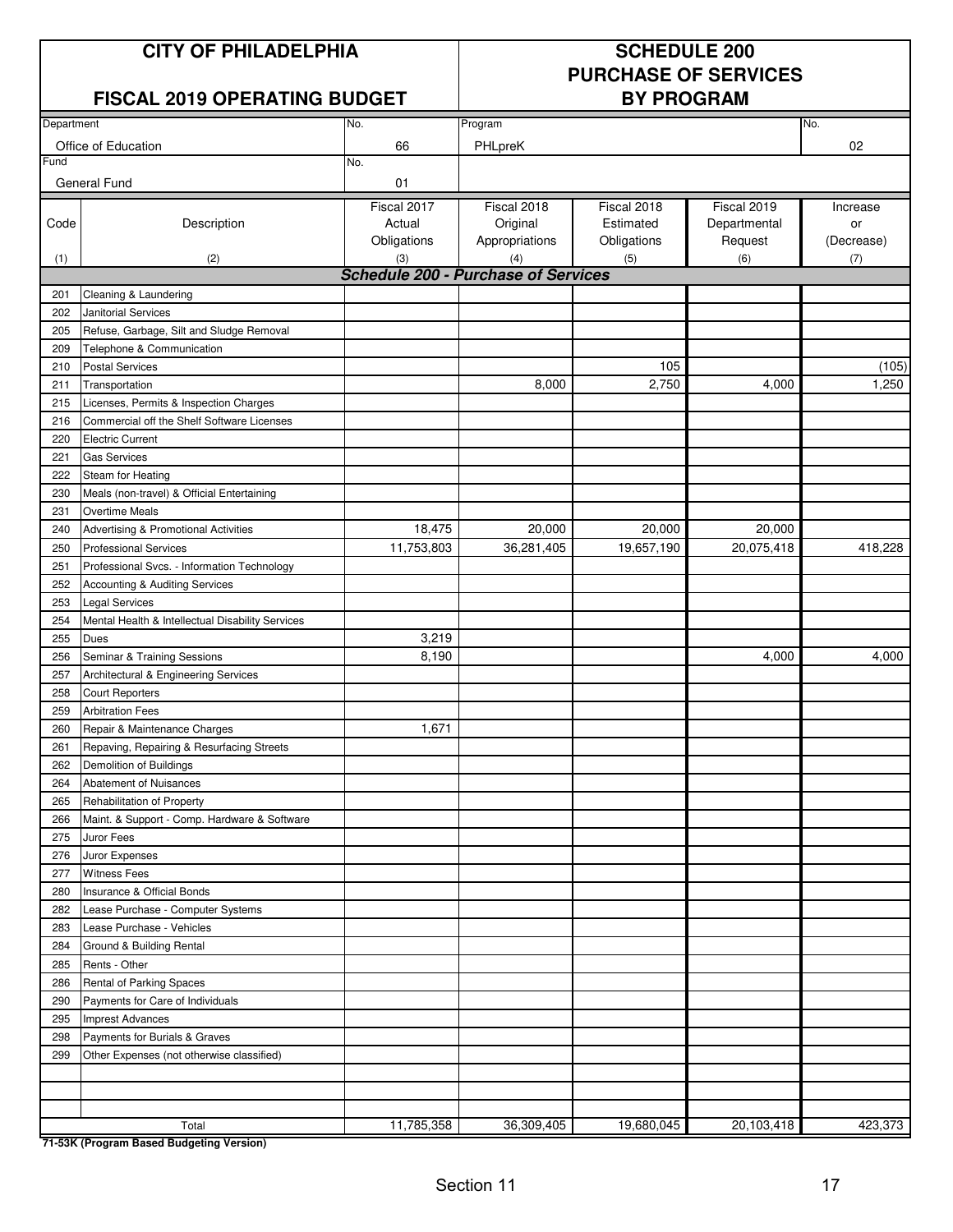#### **CITY OF PHILADELPHIA SCHEDULE 200**

# **PURCHASE OF SERVICES**

#### **FISCAL 2019 OPERATING BUDGET**

| Department |                                                  | No.                                               | Program                    |             | No.          |            |
|------------|--------------------------------------------------|---------------------------------------------------|----------------------------|-------------|--------------|------------|
|            | Office of Education                              | 66                                                | PHLpreK                    |             |              | 02         |
| Fund       |                                                  | No.                                               |                            |             |              |            |
|            | General Fund                                     | 01                                                |                            |             |              |            |
|            |                                                  | Fiscal 2017                                       | Fiscal 2018                | Fiscal 2018 | Fiscal 2019  |            |
|            |                                                  | Actual                                            |                            | Estimated   |              | Increase   |
| Code       | Description                                      |                                                   | Original<br>Appropriations |             | Departmental | or         |
|            |                                                  | Obligations                                       |                            | Obligations | Request      | (Decrease) |
| (1)        | (2)                                              | (3)<br><b>Schedule 200 - Purchase of Services</b> | (4)                        | (5)         | (6)          | (7)        |
|            |                                                  |                                                   |                            |             |              |            |
| 201        | Cleaning & Laundering                            |                                                   |                            |             |              |            |
| 202        | <b>Janitorial Services</b>                       |                                                   |                            |             |              |            |
| 205        | Refuse, Garbage, Silt and Sludge Removal         |                                                   |                            |             |              |            |
| 209        | Telephone & Communication                        |                                                   |                            |             |              |            |
| 210        | <b>Postal Services</b>                           |                                                   |                            | 105         |              | (105)      |
| 211        | Transportation                                   |                                                   | 8,000                      | 2,750       | 4,000        | 1,250      |
| 215        | Licenses, Permits & Inspection Charges           |                                                   |                            |             |              |            |
| 216        | Commercial off the Shelf Software Licenses       |                                                   |                            |             |              |            |
| 220        | <b>Electric Current</b>                          |                                                   |                            |             |              |            |
| 221        | <b>Gas Services</b>                              |                                                   |                            |             |              |            |
| 222        | Steam for Heating                                |                                                   |                            |             |              |            |
| 230        | Meals (non-travel) & Official Entertaining       |                                                   |                            |             |              |            |
| 231        | <b>Overtime Meals</b>                            |                                                   |                            |             |              |            |
| 240        | Advertising & Promotional Activities             | 18,475                                            | 20,000                     | 20,000      | 20,000       |            |
| 250        | <b>Professional Services</b>                     | 11,753,803                                        | 36,281,405                 | 19,657,190  | 20,075,418   | 418,228    |
| 251        | Professional Svcs. - Information Technology      |                                                   |                            |             |              |            |
| 252        | Accounting & Auditing Services                   |                                                   |                            |             |              |            |
| 253        | Legal Services                                   |                                                   |                            |             |              |            |
| 254        | Mental Health & Intellectual Disability Services |                                                   |                            |             |              |            |
| 255        | Dues                                             | 3,219                                             |                            |             |              |            |
| 256        | Seminar & Training Sessions                      | 8,190                                             |                            |             | 4,000        | 4,000      |
| 257        | Architectural & Engineering Services             |                                                   |                            |             |              |            |
| 258        | <b>Court Reporters</b>                           |                                                   |                            |             |              |            |
| 259        | <b>Arbitration Fees</b>                          |                                                   |                            |             |              |            |
| 260        | Repair & Maintenance Charges                     | 1,671                                             |                            |             |              |            |
| 261        | Repaving, Repairing & Resurfacing Streets        |                                                   |                            |             |              |            |
| 262        | Demolition of Buildings                          |                                                   |                            |             |              |            |
| 264        | Abatement of Nuisances                           |                                                   |                            |             |              |            |
| 265        | Rehabilitation of Property                       |                                                   |                            |             |              |            |
| 266        | Maint. & Support - Comp. Hardware & Software     |                                                   |                            |             |              |            |
| 275        | Juror Fees                                       |                                                   |                            |             |              |            |
| 276        | Juror Expenses                                   |                                                   |                            |             |              |            |
| 277        | <b>Witness Fees</b>                              |                                                   |                            |             |              |            |
| 280        | Insurance & Official Bonds                       |                                                   |                            |             |              |            |
| 282        | Lease Purchase - Computer Systems                |                                                   |                            |             |              |            |
| 283        | Lease Purchase - Vehicles                        |                                                   |                            |             |              |            |
| 284        | Ground & Building Rental                         |                                                   |                            |             |              |            |
| 285        | Rents - Other                                    |                                                   |                            |             |              |            |
| 286        | Rental of Parking Spaces                         |                                                   |                            |             |              |            |
| 290        | Payments for Care of Individuals                 |                                                   |                            |             |              |            |
| 295        | <b>Imprest Advances</b>                          |                                                   |                            |             |              |            |
| 298        | Payments for Burials & Graves                    |                                                   |                            |             |              |            |
|            |                                                  |                                                   |                            |             |              |            |
| 299        | Other Expenses (not otherwise classified)        |                                                   |                            |             |              |            |
|            |                                                  |                                                   |                            |             |              |            |
|            |                                                  |                                                   |                            |             |              |            |
|            | Total                                            | 11,785,358                                        | 36,309,405                 | 19,680,045  | 20,103,418   | 423,373    |
|            | 71-53K (Program Based Budgeting Version)         |                                                   |                            |             |              |            |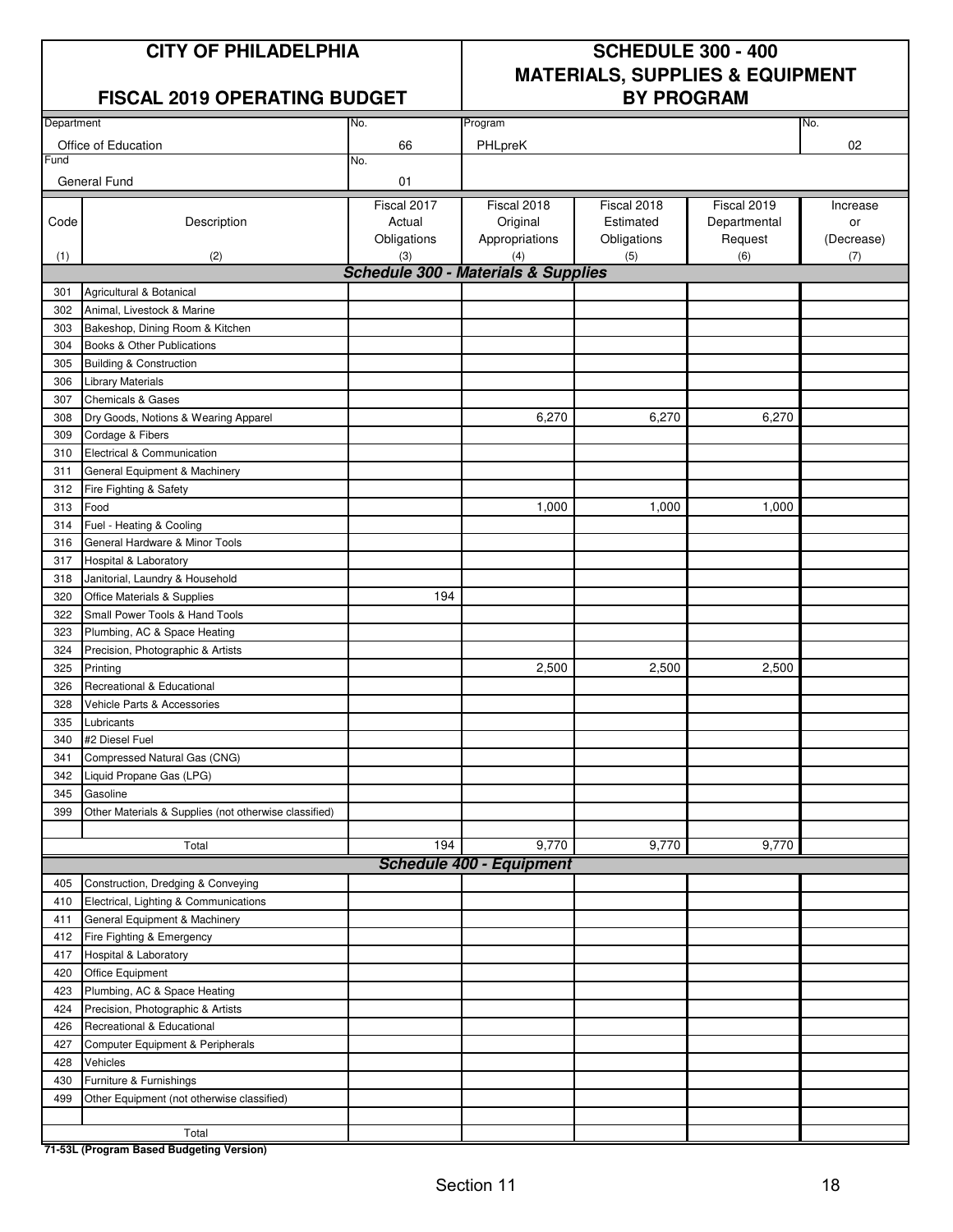## **CITY OF PHILADELPHIA SCHEDULE 300 - 400 MATERIALS, SUPPLIES & EQUIPMENT**

#### **FISCAL 2019 OPERATING BUDGET**

| Department |                                                       | No.         | Program                                        |             | No.          |            |
|------------|-------------------------------------------------------|-------------|------------------------------------------------|-------------|--------------|------------|
|            | Office of Education                                   | 66          | PHLpreK                                        |             |              | 02         |
| Fund       |                                                       | No.         |                                                |             |              |            |
|            | General Fund                                          | 01          |                                                |             |              |            |
|            |                                                       | Fiscal 2017 | Fiscal 2018                                    | Fiscal 2018 | Fiscal 2019  | Increase   |
| Code       | Description                                           | Actual      | Original                                       | Estimated   | Departmental | or         |
|            |                                                       | Obligations | Appropriations                                 | Obligations | Request      | (Decrease) |
|            | (2)                                                   | (3)         | (4)                                            | (5)         | (6)          | (7)        |
| (1)        |                                                       |             | <b>Schedule 300 - Materials &amp; Supplies</b> |             |              |            |
| 301        | Agricultural & Botanical                              |             |                                                |             |              |            |
| 302        | Animal, Livestock & Marine                            |             |                                                |             |              |            |
| 303        | Bakeshop, Dining Room & Kitchen                       |             |                                                |             |              |            |
| 304        | Books & Other Publications                            |             |                                                |             |              |            |
| 305        | <b>Building &amp; Construction</b>                    |             |                                                |             |              |            |
| 306        |                                                       |             |                                                |             |              |            |
| 307        | Library Materials                                     |             |                                                |             |              |            |
|            | <b>Chemicals &amp; Gases</b>                          |             | 6,270                                          | 6,270       | 6,270        |            |
| 308        | Dry Goods, Notions & Wearing Apparel                  |             |                                                |             |              |            |
| 309        | Cordage & Fibers                                      |             |                                                |             |              |            |
| 310        | Electrical & Communication                            |             |                                                |             |              |            |
| 311        | General Equipment & Machinery                         |             |                                                |             |              |            |
| 312        | Fire Fighting & Safety                                |             |                                                |             |              |            |
| 313        | Food                                                  |             | 1,000                                          | 1,000       | 1,000        |            |
| 314        | Fuel - Heating & Cooling                              |             |                                                |             |              |            |
| 316        | General Hardware & Minor Tools                        |             |                                                |             |              |            |
| 317        | Hospital & Laboratory                                 |             |                                                |             |              |            |
| 318        | Janitorial, Laundry & Household                       |             |                                                |             |              |            |
| 320        | Office Materials & Supplies                           | 194         |                                                |             |              |            |
| 322        | Small Power Tools & Hand Tools                        |             |                                                |             |              |            |
| 323        | Plumbing, AC & Space Heating                          |             |                                                |             |              |            |
| 324        | Precision, Photographic & Artists                     |             |                                                |             |              |            |
| 325        | Printing                                              |             | 2,500                                          | 2,500       | 2,500        |            |
| 326        | Recreational & Educational                            |             |                                                |             |              |            |
| 328        | Vehicle Parts & Accessories                           |             |                                                |             |              |            |
| 335        | Lubricants                                            |             |                                                |             |              |            |
| 340        | #2 Diesel Fuel                                        |             |                                                |             |              |            |
| 341        | Compressed Natural Gas (CNG)                          |             |                                                |             |              |            |
| 342        | Liquid Propane Gas (LPG)                              |             |                                                |             |              |            |
| 345        | Gasoline                                              |             |                                                |             |              |            |
| 399        | Other Materials & Supplies (not otherwise classified) |             |                                                |             |              |            |
|            |                                                       |             |                                                |             |              |            |
|            | Total                                                 | 194         | 9,770                                          | 9,770       | 9,770        |            |
|            |                                                       |             | <b>Schedule 400 - Equipment</b>                |             |              |            |
| 405        | Construction, Dredging & Conveying                    |             |                                                |             |              |            |
| 410        | Electrical, Lighting & Communications                 |             |                                                |             |              |            |
| 411        | General Equipment & Machinery                         |             |                                                |             |              |            |
| 412        | Fire Fighting & Emergency                             |             |                                                |             |              |            |
| 417        | Hospital & Laboratory                                 |             |                                                |             |              |            |
| 420        | Office Equipment                                      |             |                                                |             |              |            |
| 423        | Plumbing, AC & Space Heating                          |             |                                                |             |              |            |
| 424        | Precision, Photographic & Artists                     |             |                                                |             |              |            |
| 426        | Recreational & Educational                            |             |                                                |             |              |            |
| 427        | Computer Equipment & Peripherals                      |             |                                                |             |              |            |
| 428        | Vehicles                                              |             |                                                |             |              |            |
| 430        | Furniture & Furnishings                               |             |                                                |             |              |            |
| 499        | Other Equipment (not otherwise classified)            |             |                                                |             |              |            |
|            |                                                       |             |                                                |             |              |            |
|            | Total                                                 |             |                                                |             |              |            |
|            | 71-53L (Program Based Budgeting Version)              |             |                                                |             |              |            |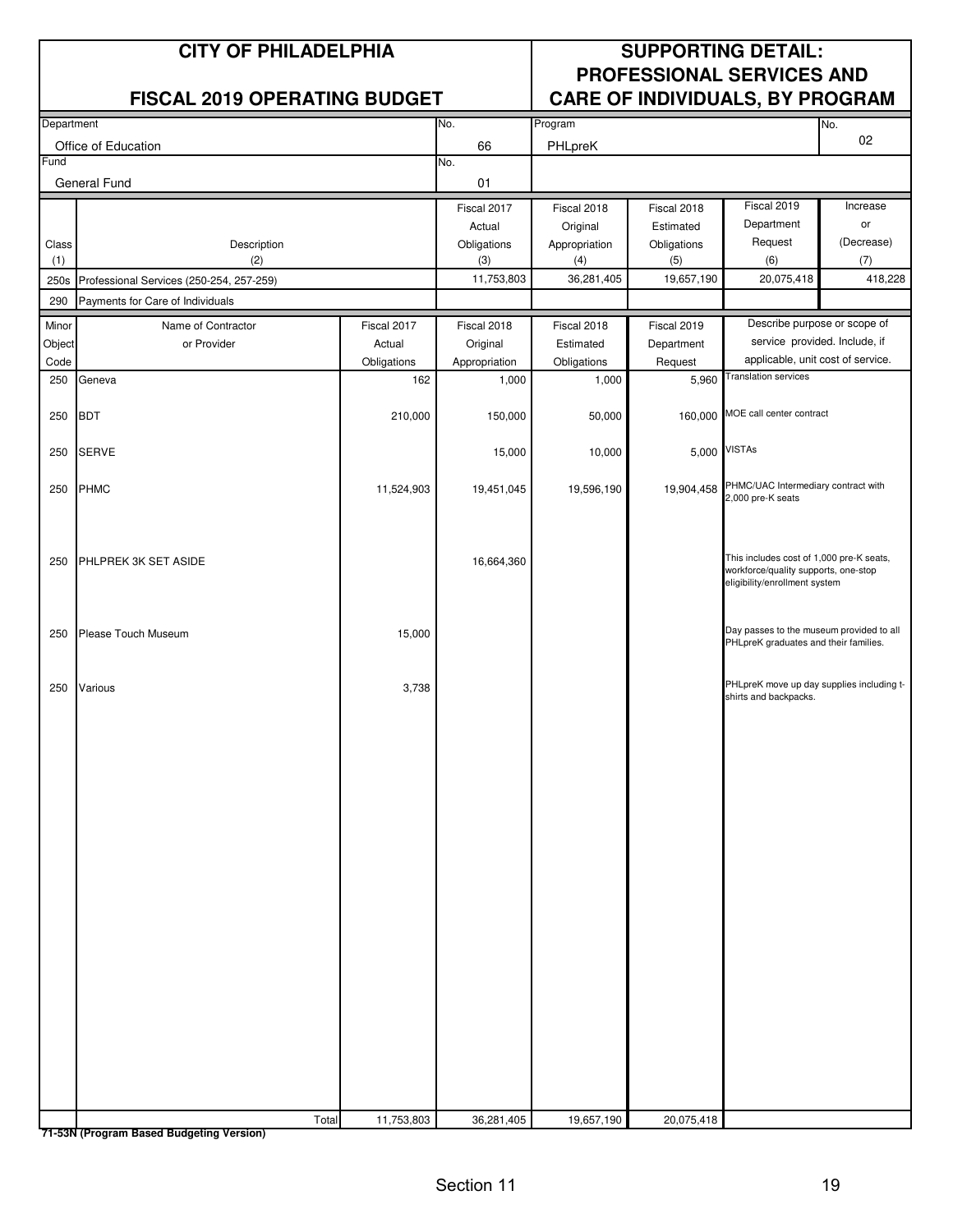|              | <b>CITY OF PHILADELPHIA</b>              |             |                    | <b>SUPPORTING DETAIL:</b> |                    |                                                                                                                   |                   |  |
|--------------|------------------------------------------|-------------|--------------------|---------------------------|--------------------|-------------------------------------------------------------------------------------------------------------------|-------------------|--|
|              |                                          |             |                    |                           |                    | <b>PROFESSIONAL SERVICES AND</b>                                                                                  |                   |  |
|              | <b>FISCAL 2019 OPERATING BUDGET</b>      |             |                    |                           |                    | CARE OF INDIVIDUALS, BY PROGRAM                                                                                   |                   |  |
| Department   |                                          |             | No.                | Program                   |                    |                                                                                                                   | No.<br>02         |  |
| Fund         | Office of Education                      |             | 66<br>No.          | PHLpreK                   |                    |                                                                                                                   |                   |  |
|              | General Fund                             |             | 01                 |                           |                    |                                                                                                                   |                   |  |
|              |                                          |             | Fiscal 2017        | Fiscal 2018               | Fiscal 2018        | Fiscal 2019                                                                                                       | Increase          |  |
|              |                                          |             | Actual             | Original                  | Estimated          | Department                                                                                                        | or                |  |
| Class<br>(1) | Description<br>(2)                       |             | Obligations<br>(3) | Appropriation<br>(4)      | Obligations<br>(5) | Request<br>(6)                                                                                                    | (Decrease)<br>(7) |  |
| 250s         | Professional Services (250-254, 257-259) |             | 11,753,803         | 36,281,405                | 19,657,190         | 20,075,418                                                                                                        | 418,228           |  |
| 290          | Payments for Care of Individuals         |             |                    |                           |                    |                                                                                                                   |                   |  |
| Minor        | Name of Contractor                       | Fiscal 2017 | Fiscal 2018        | Fiscal 2018               | Fiscal 2019        | Describe purpose or scope of                                                                                      |                   |  |
| Object       | or Provider                              | Actual      | Original           | Estimated                 | Department         | service provided. Include, if                                                                                     |                   |  |
| Code         |                                          | Obligations | Appropriation      | Obligations               | Request            | applicable, unit cost of service.<br><b>Translation services</b>                                                  |                   |  |
| 250          | Geneva                                   | 162         | 1,000              | 1,000                     | 5,960              |                                                                                                                   |                   |  |
| 250          | <b>BDT</b>                               | 210,000     | 150,000            | 50,000                    | 160,000            | MOE call center contract                                                                                          |                   |  |
| 250          | <b>SERVE</b>                             |             | 15,000             | 10,000                    | 5,000              | <b>VISTAs</b>                                                                                                     |                   |  |
| 250          | <b>PHMC</b>                              | 11,524,903  | 19,451,045         | 19,596,190                | 19,904,458         | PHMC/UAC Intermediary contract with<br>2,000 pre-K seats                                                          |                   |  |
| 250          | PHLPREK 3K SET ASIDE                     |             | 16,664,360         |                           |                    | This includes cost of 1,000 pre-K seats,<br>workforce/quality supports, one-stop<br>eligibility/enrollment system |                   |  |
| 250          | Please Touch Museum                      | 15,000      |                    |                           |                    | Day passes to the museum provided to all<br>PHLpreK graduates and their families.                                 |                   |  |
| 250          | Various                                  | 3,738       |                    |                           |                    | PHLpreK move up day supplies including t-<br>shirts and backpacks.                                                |                   |  |
|              |                                          |             |                    |                           |                    |                                                                                                                   |                   |  |
|              |                                          |             |                    |                           |                    |                                                                                                                   |                   |  |
|              |                                          |             |                    |                           |                    |                                                                                                                   |                   |  |
|              |                                          |             |                    |                           |                    |                                                                                                                   |                   |  |
|              |                                          |             |                    |                           |                    |                                                                                                                   |                   |  |
|              |                                          |             |                    |                           |                    |                                                                                                                   |                   |  |
|              |                                          |             |                    |                           |                    |                                                                                                                   |                   |  |
|              |                                          |             |                    |                           |                    |                                                                                                                   |                   |  |
|              | Total                                    | 11,753,803  | 36,281,405         | 19,657,190                | 20,075,418         |                                                                                                                   |                   |  |

**71-53N (Program Based Budgeting Version)**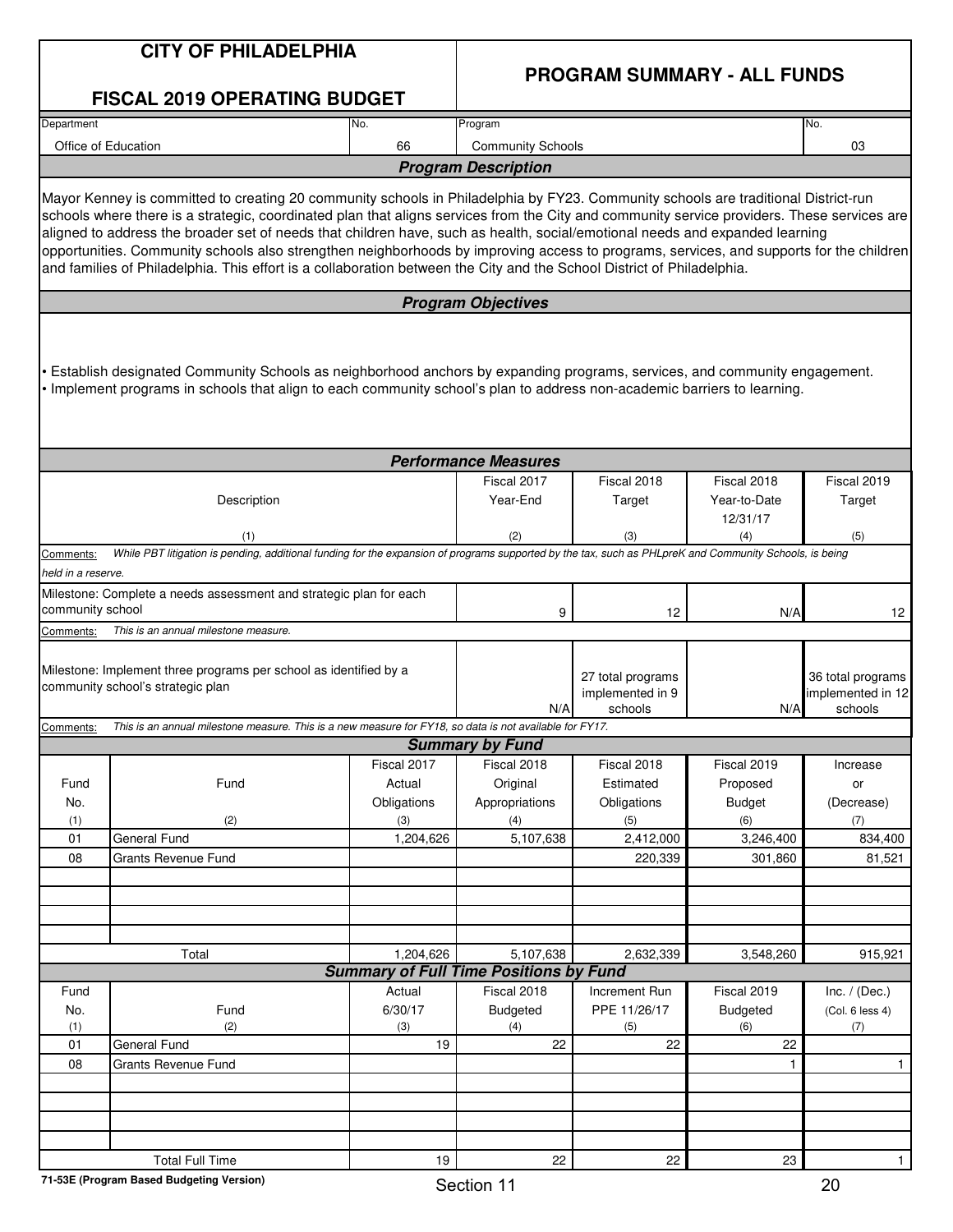|                    | <b>CITY OF PHILADELPHIA</b>                                                                                                                                                                                                                                                                                                                                                                                                                                                                                                                                                                                                                                                            |             |                                               |                                                  |                          |                                                   |  |  |  |
|--------------------|----------------------------------------------------------------------------------------------------------------------------------------------------------------------------------------------------------------------------------------------------------------------------------------------------------------------------------------------------------------------------------------------------------------------------------------------------------------------------------------------------------------------------------------------------------------------------------------------------------------------------------------------------------------------------------------|-------------|-----------------------------------------------|--------------------------------------------------|--------------------------|---------------------------------------------------|--|--|--|
|                    | <b>FISCAL 2019 OPERATING BUDGET</b>                                                                                                                                                                                                                                                                                                                                                                                                                                                                                                                                                                                                                                                    |             | <b>PROGRAM SUMMARY - ALL FUNDS</b>            |                                                  |                          |                                                   |  |  |  |
| Department         |                                                                                                                                                                                                                                                                                                                                                                                                                                                                                                                                                                                                                                                                                        | No.         | Program                                       |                                                  |                          | No.                                               |  |  |  |
|                    | Office of Education                                                                                                                                                                                                                                                                                                                                                                                                                                                                                                                                                                                                                                                                    | 66          | <b>Community Schools</b>                      |                                                  |                          | 03                                                |  |  |  |
|                    |                                                                                                                                                                                                                                                                                                                                                                                                                                                                                                                                                                                                                                                                                        |             | <b>Program Description</b>                    |                                                  |                          |                                                   |  |  |  |
|                    | Mayor Kenney is committed to creating 20 community schools in Philadelphia by FY23. Community schools are traditional District-run<br>schools where there is a strategic, coordinated plan that aligns services from the City and community service providers. These services are<br>aligned to address the broader set of needs that children have, such as health, social/emotional needs and expanded learning<br>opportunities. Community schools also strengthen neighborhoods by improving access to programs, services, and supports for the children<br>and families of Philadelphia. This effort is a collaboration between the City and the School District of Philadelphia. |             |                                               |                                                  |                          |                                                   |  |  |  |
|                    |                                                                                                                                                                                                                                                                                                                                                                                                                                                                                                                                                                                                                                                                                        |             | <b>Program Objectives</b>                     |                                                  |                          |                                                   |  |  |  |
|                    | Establish designated Community Schools as neighborhood anchors by expanding programs, services, and community engagement.<br>• Implement programs in schools that align to each community school's plan to address non-academic barriers to learning.                                                                                                                                                                                                                                                                                                                                                                                                                                  |             | <b>Performance Measures</b>                   |                                                  |                          |                                                   |  |  |  |
|                    |                                                                                                                                                                                                                                                                                                                                                                                                                                                                                                                                                                                                                                                                                        |             | Fiscal 2017<br>Year-End                       | Fiscal 2018                                      | Fiscal 2018              | Fiscal 2019                                       |  |  |  |
|                    | Description                                                                                                                                                                                                                                                                                                                                                                                                                                                                                                                                                                                                                                                                            |             |                                               | Target                                           | Year-to-Date<br>12/31/17 | Target                                            |  |  |  |
|                    | (1)                                                                                                                                                                                                                                                                                                                                                                                                                                                                                                                                                                                                                                                                                    |             | (2)                                           | (3)                                              | (4)                      | (5)                                               |  |  |  |
| Comments:          | While PBT litigation is pending, additional funding for the expansion of programs supported by the tax, such as PHLpreK and Community Schools, is being                                                                                                                                                                                                                                                                                                                                                                                                                                                                                                                                |             |                                               |                                                  |                          |                                                   |  |  |  |
| held in a reserve. |                                                                                                                                                                                                                                                                                                                                                                                                                                                                                                                                                                                                                                                                                        |             |                                               |                                                  |                          |                                                   |  |  |  |
| community school   | Milestone: Complete a needs assessment and strategic plan for each                                                                                                                                                                                                                                                                                                                                                                                                                                                                                                                                                                                                                     |             |                                               |                                                  |                          |                                                   |  |  |  |
| Comments:          | This is an annual milestone measure.                                                                                                                                                                                                                                                                                                                                                                                                                                                                                                                                                                                                                                                   |             | 9                                             | 12                                               | N/A                      | 12                                                |  |  |  |
|                    | Milestone: Implement three programs per school as identified by a<br>community school's strategic plan                                                                                                                                                                                                                                                                                                                                                                                                                                                                                                                                                                                 |             | N/A                                           | 27 total programs<br>implemented in 9<br>schools | N/A                      | 36 total programs<br>implemented in 12<br>schools |  |  |  |
| Comments:          | This is an annual milestone measure. This is a new measure for FY18, so data is not available for FY17.                                                                                                                                                                                                                                                                                                                                                                                                                                                                                                                                                                                |             |                                               |                                                  |                          |                                                   |  |  |  |
|                    |                                                                                                                                                                                                                                                                                                                                                                                                                                                                                                                                                                                                                                                                                        | Fiscal 2017 | <b>Summary by Fund</b><br>Fiscal 2018         | Fiscal 2018                                      | Fiscal 2019              | Increase                                          |  |  |  |
| Fund               | Fund                                                                                                                                                                                                                                                                                                                                                                                                                                                                                                                                                                                                                                                                                   | Actual      | Original                                      | Estimated                                        | Proposed                 | or                                                |  |  |  |
| No.                |                                                                                                                                                                                                                                                                                                                                                                                                                                                                                                                                                                                                                                                                                        | Obligations | Appropriations                                | Obligations                                      | <b>Budget</b>            | (Decrease)                                        |  |  |  |
| (1)                | (2)                                                                                                                                                                                                                                                                                                                                                                                                                                                                                                                                                                                                                                                                                    | (3)         | (4)                                           | (5)                                              | (6)                      | (7)                                               |  |  |  |
| 01                 | <b>General Fund</b>                                                                                                                                                                                                                                                                                                                                                                                                                                                                                                                                                                                                                                                                    | 1,204,626   | 5,107,638                                     | 2,412,000                                        | 3,246,400                | 834,400                                           |  |  |  |
| 08                 | <b>Grants Revenue Fund</b>                                                                                                                                                                                                                                                                                                                                                                                                                                                                                                                                                                                                                                                             |             |                                               | 220.339                                          | 301,860                  | 81,521                                            |  |  |  |
|                    |                                                                                                                                                                                                                                                                                                                                                                                                                                                                                                                                                                                                                                                                                        |             |                                               |                                                  |                          |                                                   |  |  |  |
|                    |                                                                                                                                                                                                                                                                                                                                                                                                                                                                                                                                                                                                                                                                                        |             |                                               |                                                  |                          |                                                   |  |  |  |
|                    |                                                                                                                                                                                                                                                                                                                                                                                                                                                                                                                                                                                                                                                                                        |             |                                               |                                                  |                          |                                                   |  |  |  |
|                    | Total                                                                                                                                                                                                                                                                                                                                                                                                                                                                                                                                                                                                                                                                                  | 1,204,626   | 5,107,638                                     | 2,632,339                                        | 3,548,260                | 915,921                                           |  |  |  |
|                    |                                                                                                                                                                                                                                                                                                                                                                                                                                                                                                                                                                                                                                                                                        |             | <b>Summary of Full Time Positions by Fund</b> |                                                  |                          |                                                   |  |  |  |
| Fund               |                                                                                                                                                                                                                                                                                                                                                                                                                                                                                                                                                                                                                                                                                        | Actual      | Fiscal 2018                                   | Increment Run                                    | Fiscal 2019              | Inc. $/$ (Dec.)                                   |  |  |  |
| No.                | Fund                                                                                                                                                                                                                                                                                                                                                                                                                                                                                                                                                                                                                                                                                   | 6/30/17     | <b>Budgeted</b>                               | PPE 11/26/17                                     | <b>Budgeted</b>          | (Col. 6 less 4)                                   |  |  |  |
| (1)                | (2)                                                                                                                                                                                                                                                                                                                                                                                                                                                                                                                                                                                                                                                                                    | (3)         | (4)                                           | (5)                                              | (6)                      | (7)                                               |  |  |  |
| 01<br>08           | <b>General Fund</b><br><b>Grants Revenue Fund</b>                                                                                                                                                                                                                                                                                                                                                                                                                                                                                                                                                                                                                                      | 19          | 22                                            | 22                                               | 22<br>$\mathbf{1}$       | $\mathbf{1}$                                      |  |  |  |
|                    |                                                                                                                                                                                                                                                                                                                                                                                                                                                                                                                                                                                                                                                                                        |             |                                               |                                                  |                          |                                                   |  |  |  |
|                    |                                                                                                                                                                                                                                                                                                                                                                                                                                                                                                                                                                                                                                                                                        |             |                                               |                                                  |                          |                                                   |  |  |  |
|                    |                                                                                                                                                                                                                                                                                                                                                                                                                                                                                                                                                                                                                                                                                        |             |                                               |                                                  |                          |                                                   |  |  |  |
|                    |                                                                                                                                                                                                                                                                                                                                                                                                                                                                                                                                                                                                                                                                                        |             |                                               |                                                  |                          |                                                   |  |  |  |
|                    | <b>Total Full Time</b>                                                                                                                                                                                                                                                                                                                                                                                                                                                                                                                                                                                                                                                                 | 19          | 22                                            | 22                                               | 23                       | $\mathbf{1}$                                      |  |  |  |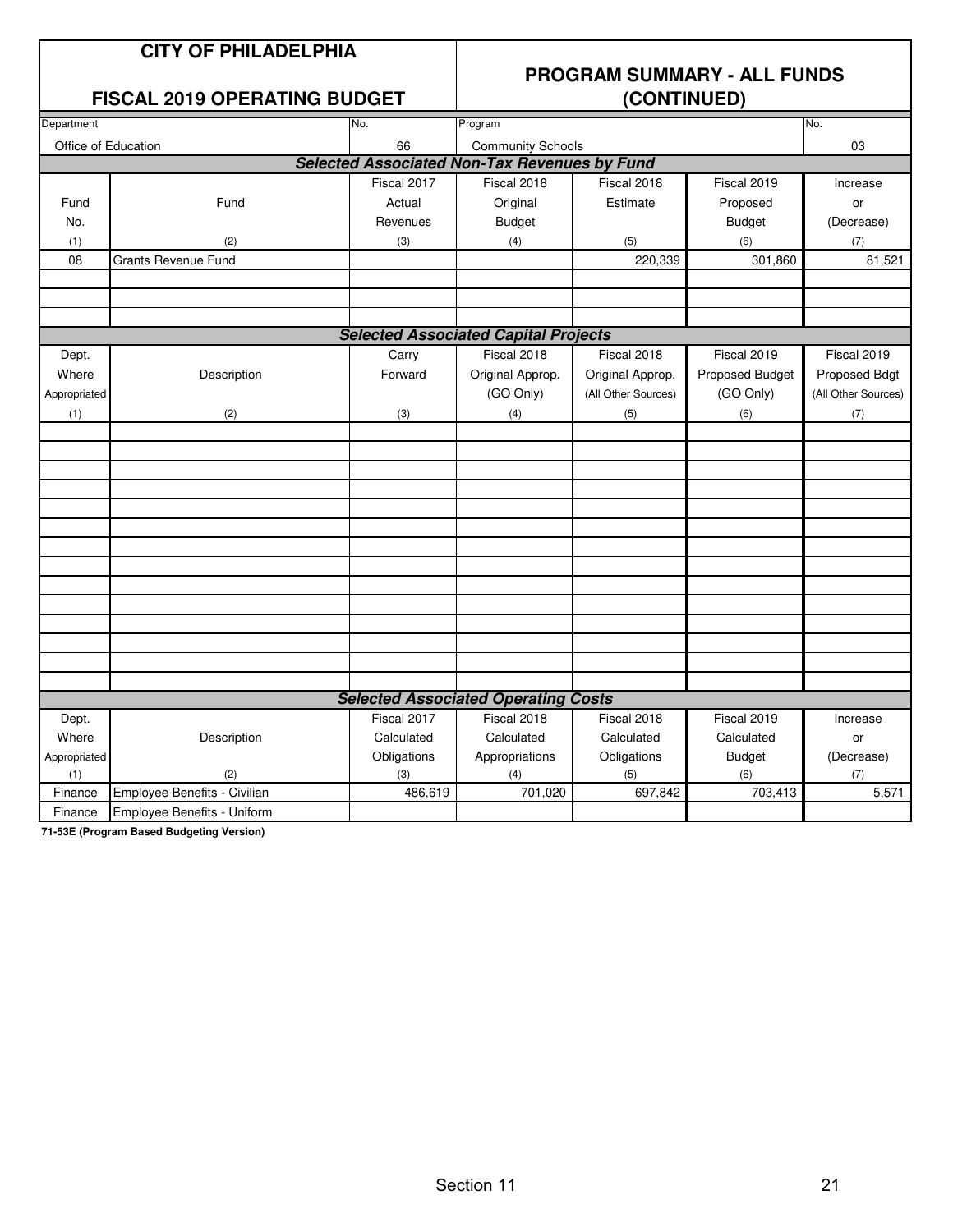#### **FISCAL 2019 OPERATING BUDGET**

## **PROGRAM SUMMARY - ALL FUNDS**

| Department          |                              | No.         | Program                                             |                     |                 | No.                 |  |  |
|---------------------|------------------------------|-------------|-----------------------------------------------------|---------------------|-----------------|---------------------|--|--|
| Office of Education |                              | 66          | <b>Community Schools</b>                            |                     |                 | 03                  |  |  |
|                     |                              |             | <b>Selected Associated Non-Tax Revenues by Fund</b> |                     |                 |                     |  |  |
|                     |                              | Fiscal 2017 | Fiscal 2018                                         | Fiscal 2018         | Fiscal 2019     | Increase            |  |  |
| Fund                | Fund                         | Actual      | Original                                            | Estimate            | Proposed        | or                  |  |  |
| No.                 |                              | Revenues    | <b>Budget</b>                                       |                     | <b>Budget</b>   | (Decrease)          |  |  |
| (1)                 | (2)                          | (3)         | (4)                                                 | (5)                 | (6)             | (7)                 |  |  |
| 08                  | Grants Revenue Fund          |             |                                                     | 220,339             | 301,860         | 81,521              |  |  |
|                     |                              |             |                                                     |                     |                 |                     |  |  |
|                     |                              |             |                                                     |                     |                 |                     |  |  |
|                     |                              |             |                                                     |                     |                 |                     |  |  |
|                     |                              |             | <b>Selected Associated Capital Projects</b>         |                     |                 |                     |  |  |
| Dept.               |                              | Carry       | Fiscal 2018                                         | Fiscal 2018         | Fiscal 2019     | Fiscal 2019         |  |  |
| Where               | Description                  | Forward     | Original Approp.                                    | Original Approp.    | Proposed Budget | Proposed Bdgt       |  |  |
| Appropriated        |                              |             | (GO Only)                                           | (All Other Sources) | (GO Only)       | (All Other Sources) |  |  |
| (1)                 | (2)                          | (3)         | (4)                                                 | (5)                 | (6)             | (7)                 |  |  |
|                     |                              |             |                                                     |                     |                 |                     |  |  |
|                     |                              |             |                                                     |                     |                 |                     |  |  |
|                     |                              |             |                                                     |                     |                 |                     |  |  |
|                     |                              |             |                                                     |                     |                 |                     |  |  |
|                     |                              |             |                                                     |                     |                 |                     |  |  |
|                     |                              |             |                                                     |                     |                 |                     |  |  |
|                     |                              |             |                                                     |                     |                 |                     |  |  |
|                     |                              |             |                                                     |                     |                 |                     |  |  |
|                     |                              |             |                                                     |                     |                 |                     |  |  |
|                     |                              |             |                                                     |                     |                 |                     |  |  |
|                     |                              |             |                                                     |                     |                 |                     |  |  |
|                     |                              |             |                                                     |                     |                 |                     |  |  |
|                     |                              |             |                                                     |                     |                 |                     |  |  |
|                     |                              |             |                                                     |                     |                 |                     |  |  |
|                     |                              |             | <b>Selected Associated Operating Costs</b>          |                     |                 |                     |  |  |
| Dept.               |                              | Fiscal 2017 | Fiscal 2018                                         | Fiscal 2018         | Fiscal 2019     | Increase            |  |  |
| Where               | Description                  | Calculated  | Calculated                                          | Calculated          | Calculated      | or                  |  |  |
| Appropriated        |                              | Obligations | Appropriations                                      | Obligations         | <b>Budget</b>   | (Decrease)          |  |  |
| (1)                 | (2)                          | (3)         | (4)                                                 | (5)                 | (6)             | (7)                 |  |  |
| Finance             | Employee Benefits - Civilian | 486,619     | 701,020                                             | 697,842             | 703,413         | 5,571               |  |  |
| Finance             | Employee Benefits - Uniform  |             |                                                     |                     |                 |                     |  |  |

**71-53E (Program Based Budgeting Version)**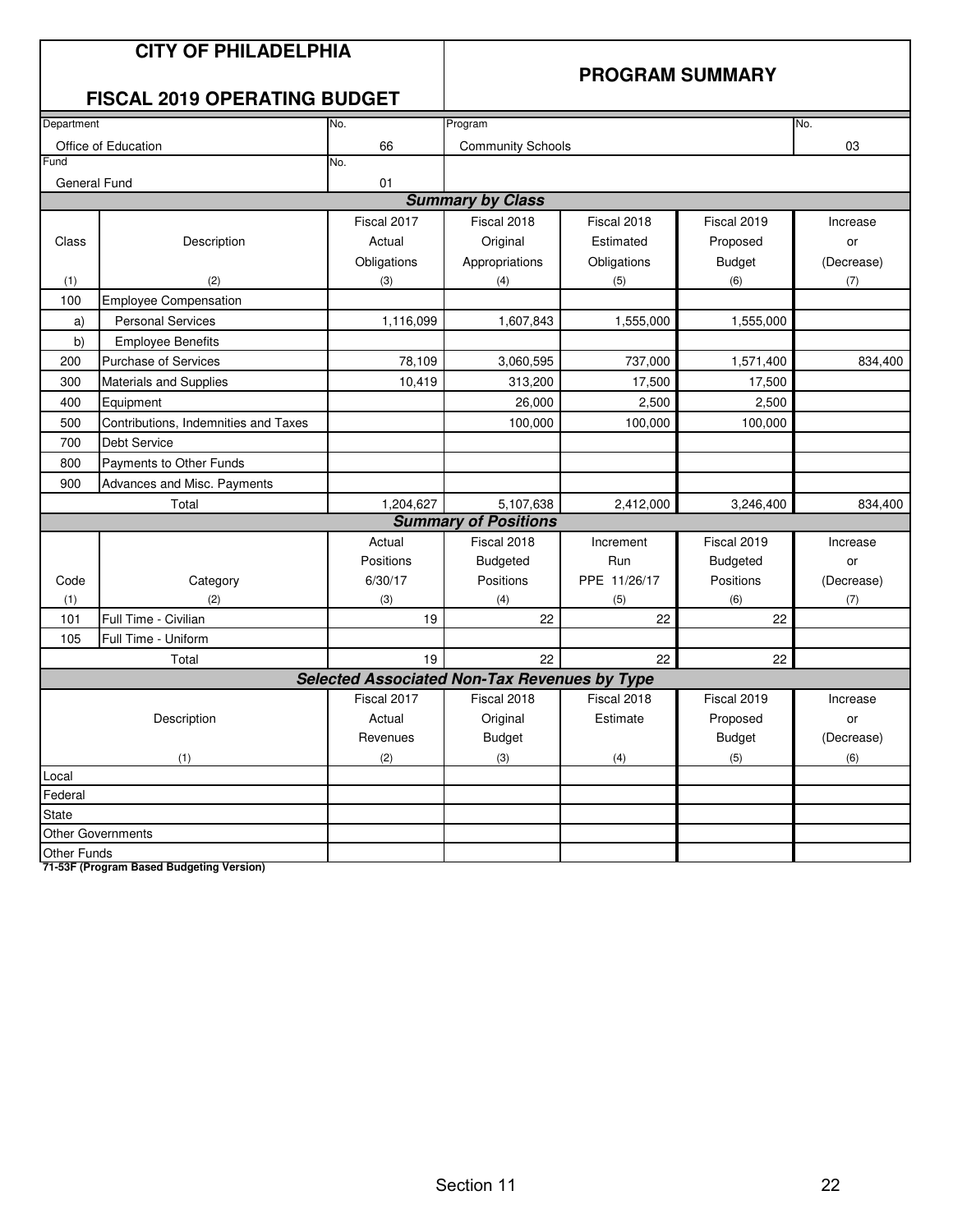#### **PROGRAM SUMMARY**

#### **FISCAL 2019 OPERATING BUDGET**

| Department         |                                      | No.                                                 | Program                     |              |               | No.        |
|--------------------|--------------------------------------|-----------------------------------------------------|-----------------------------|--------------|---------------|------------|
|                    | Office of Education                  | 66                                                  | <b>Community Schools</b>    |              |               | 03         |
| Fund               |                                      | No.                                                 |                             |              |               |            |
| General Fund       |                                      | 01                                                  |                             |              |               |            |
|                    |                                      |                                                     | <b>Summary by Class</b>     |              |               |            |
|                    |                                      | Fiscal 2017                                         | Fiscal 2018                 | Fiscal 2018  | Fiscal 2019   | Increase   |
| Class              | Description                          | Actual                                              | Original                    | Estimated    | Proposed      | or         |
|                    |                                      | Obligations                                         | Appropriations              | Obligations  | <b>Budget</b> | (Decrease) |
| (1)                | (2)                                  | (3)                                                 | (4)                         | (5)          | (6)           | (7)        |
| 100                | <b>Employee Compensation</b>         |                                                     |                             |              |               |            |
| a)                 | <b>Personal Services</b>             | 1,116,099                                           | 1,607,843                   | 1,555,000    | 1,555,000     |            |
| b)                 | <b>Employee Benefits</b>             |                                                     |                             |              |               |            |
| 200                | <b>Purchase of Services</b>          | 78,109                                              | 3,060,595                   | 737,000      | 1,571,400     | 834,400    |
| 300                | Materials and Supplies               | 10,419                                              | 313,200                     | 17,500       | 17,500        |            |
| 400                | Equipment                            |                                                     | 26,000                      | 2,500        | 2,500         |            |
| 500                | Contributions, Indemnities and Taxes |                                                     | 100,000                     | 100,000      | 100,000       |            |
| 700                | <b>Debt Service</b>                  |                                                     |                             |              |               |            |
| 800                | Payments to Other Funds              |                                                     |                             |              |               |            |
| 900                | Advances and Misc. Payments          |                                                     |                             |              |               |            |
|                    | Total                                | 1,204,627                                           | 5,107,638                   | 2,412,000    | 3,246,400     | 834,400    |
|                    |                                      |                                                     | <b>Summary of Positions</b> |              |               |            |
|                    |                                      | Actual                                              | Fiscal 2018                 | Increment    | Fiscal 2019   | Increase   |
|                    |                                      | Positions                                           | <b>Budgeted</b>             | Run          | Budgeted      | or         |
| Code               | Category                             | 6/30/17                                             | Positions                   | PPE 11/26/17 | Positions     | (Decrease) |
| (1)                | (2)                                  | (3)                                                 | (4)                         | (5)          | (6)           | (7)        |
| 101                | Full Time - Civilian                 | 19                                                  | 22                          | 22           | 22            |            |
| 105                | Full Time - Uniform                  |                                                     |                             |              |               |            |
|                    | Total                                | 19                                                  | 22                          | 22           | 22            |            |
|                    |                                      | <b>Selected Associated Non-Tax Revenues by Type</b> |                             |              |               |            |
|                    |                                      | Fiscal 2017                                         | Fiscal 2018                 | Fiscal 2018  | Fiscal 2019   | Increase   |
|                    | Description                          | Actual                                              | Original                    | Estimate     | Proposed      | or         |
|                    |                                      | Revenues                                            | <b>Budget</b>               |              | <b>Budget</b> | (Decrease) |
|                    | (1)                                  | (2)                                                 | (3)                         | (4)          | (5)           | (6)        |
| Local              |                                      |                                                     |                             |              |               |            |
| Federal            |                                      |                                                     |                             |              |               |            |
| <b>State</b>       |                                      |                                                     |                             |              |               |            |
|                    | <b>Other Governments</b>             |                                                     |                             |              |               |            |
| <b>Other Funds</b> |                                      |                                                     |                             |              |               |            |

**71-53F (Program Based Budgeting Version)**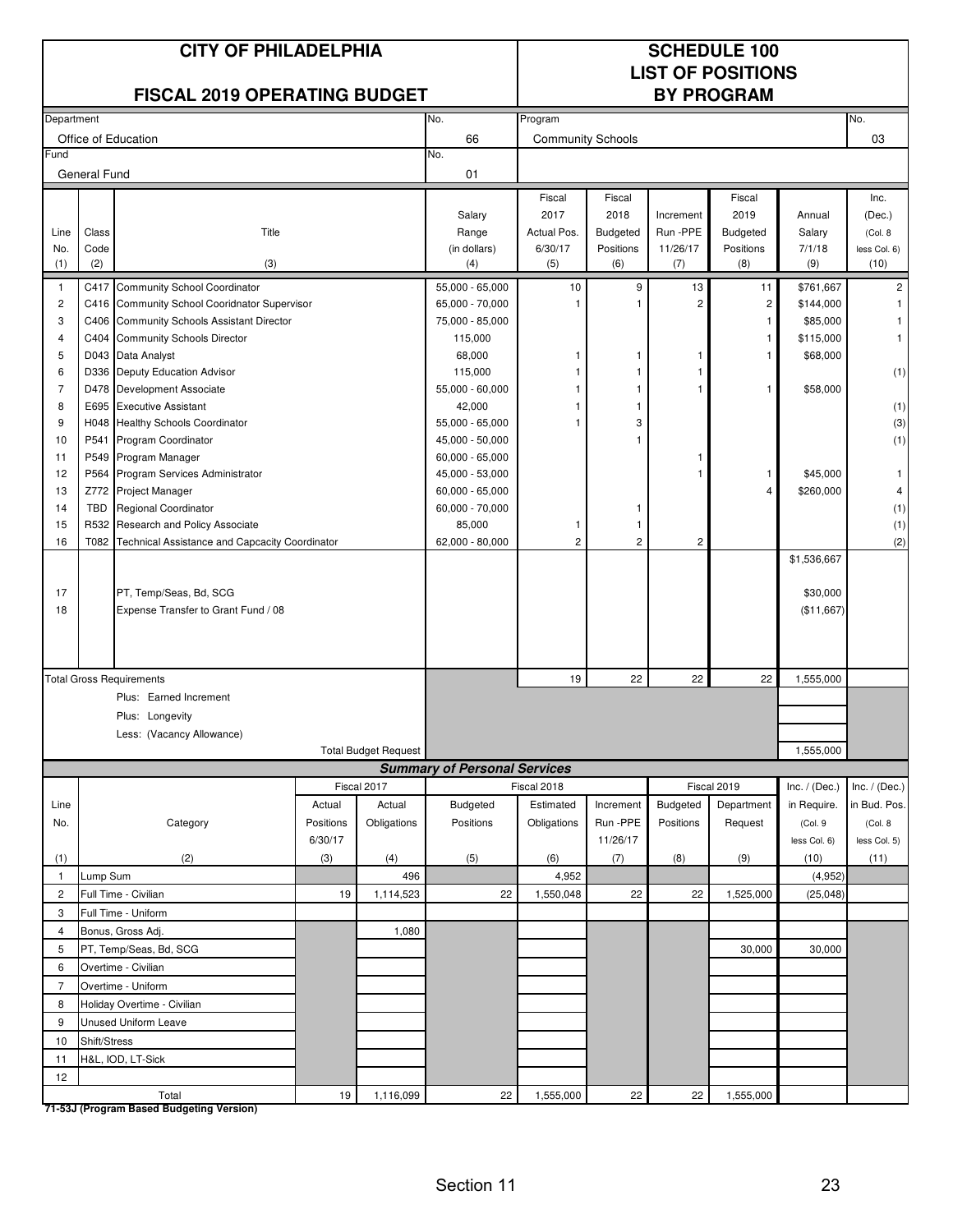|                |                                       | <b>CITY OF PHILADELPHIA</b>                                   |           | <b>SCHEDULE 100</b><br><b>LIST OF POSITIONS</b> |                                     |                          |                              |                      |                       |                        |                         |
|----------------|---------------------------------------|---------------------------------------------------------------|-----------|-------------------------------------------------|-------------------------------------|--------------------------|------------------------------|----------------------|-----------------------|------------------------|-------------------------|
|                |                                       | <b>FISCAL 2019 OPERATING BUDGET</b>                           |           |                                                 |                                     |                          |                              |                      | <b>BY PROGRAM</b>     |                        |                         |
| Department     |                                       |                                                               |           |                                                 | No.                                 | Program                  |                              |                      |                       |                        | No.                     |
|                |                                       | Office of Education                                           |           |                                                 | 66                                  | <b>Community Schools</b> |                              |                      |                       |                        | 03                      |
| Fund           | General Fund                          |                                                               |           |                                                 | No.<br>01                           |                          |                              |                      |                       |                        |                         |
|                |                                       |                                                               |           |                                                 |                                     | Fiscal                   | Fiscal                       |                      | Fiscal                |                        | Inc.                    |
|                |                                       |                                                               |           |                                                 | Salary                              | 2017                     | 2018                         | Increment            | 2019                  | Annual                 | (Dec.)                  |
| Line           | Class<br>Code                         | Title                                                         |           |                                                 | Range                               | Actual Pos.<br>6/30/17   | <b>Budgeted</b><br>Positions | Run -PPE<br>11/26/17 | Budgeted<br>Positions | Salary<br>7/1/18       | (Col. 8)                |
| No.<br>(1)     | (2)                                   | (3)                                                           |           |                                                 | (in dollars)<br>(4)                 | (5)                      | (6)                          | (7)                  | (8)                   | (9)                    | less Col. 6)<br>(10)    |
| $\mathbf{1}$   |                                       | C417 Community School Coordinator                             |           |                                                 | 55,000 - 65,000                     | 10                       | 9                            | 13                   | 11                    | \$761,667              | $\overline{\mathbf{c}}$ |
| 2              |                                       | C416 Community School Cooridnator Supervisor                  |           |                                                 | 65,000 - 70,000                     |                          |                              | $\overline{2}$       | $\overline{2}$        | \$144,000              |                         |
| 3              |                                       | C406 Community Schools Assistant Director                     |           |                                                 | 75,000 - 85,000                     |                          |                              |                      | 1                     | \$85,000               |                         |
| 4              |                                       | C404 Community Schools Director                               |           |                                                 | 115,000                             |                          |                              |                      | $\mathbf{1}$          | \$115,000              | $\mathbf{1}$            |
| 5              |                                       | D043 Data Analyst                                             |           |                                                 | 68,000                              | 1                        | 1                            | 1                    | 1                     | \$68,000               |                         |
| 6              |                                       | D336 Deputy Education Advisor                                 |           |                                                 | 115,000                             |                          |                              | 1                    |                       |                        | (1)                     |
| $\overline{7}$ |                                       | D478 Development Associate                                    |           |                                                 | 55,000 - 60,000                     |                          |                              | 1                    | 1                     | \$58,000               |                         |
| 8<br>9         |                                       | E695 Executive Assistant<br>H048 Healthy Schools Coordinator  |           |                                                 | 42,000<br>55,000 - 65,000           |                          | 3                            |                      |                       |                        | (1)                     |
| 10             |                                       | P541 Program Coordinator                                      |           |                                                 | 45,000 - 50,000                     |                          |                              |                      |                       |                        | (3)<br>(1)              |
| 11             |                                       | P549 Program Manager                                          |           |                                                 | $60,000 - 65,000$                   |                          |                              | 1                    |                       |                        |                         |
| 12             |                                       | P564 Program Services Administrator                           |           |                                                 | 45,000 - 53,000                     |                          |                              | 1                    | 1                     | \$45,000               | $\mathbf{1}$            |
| 13             | Z772<br>Project Manager               |                                                               |           |                                                 | 60,000 - 65,000                     |                          |                              |                      | $\overline{4}$        | \$260,000              | 4                       |
| 14             | <b>TBD</b><br>Regional Coordinator    |                                                               |           |                                                 | 60,000 - 70,000                     |                          |                              |                      |                       |                        | (1)                     |
| 15             | R532<br>Research and Policy Associate |                                                               |           | 85,000                                          | -1                                  | 1                        |                              |                      |                       | (1)                    |                         |
| 16             | T082                                  | Technical Assistance and Capcacity Coordinator                |           | 62,000 - 80,000                                 | $\overline{c}$                      | $\overline{c}$           | $\overline{\mathbf{c}}$      |                      |                       | (2)                    |                         |
|                |                                       |                                                               |           |                                                 |                                     |                          |                              |                      | \$1,536,667           |                        |                         |
|                |                                       |                                                               |           |                                                 |                                     |                          |                              |                      |                       |                        |                         |
| 17<br>18       |                                       | PT, Temp/Seas, Bd, SCG<br>Expense Transfer to Grant Fund / 08 |           |                                                 |                                     |                          |                              |                      |                       | \$30,000<br>(\$11,667) |                         |
|                |                                       |                                                               |           |                                                 |                                     |                          |                              |                      |                       |                        |                         |
|                |                                       |                                                               |           |                                                 |                                     |                          |                              |                      |                       |                        |                         |
|                |                                       |                                                               |           |                                                 |                                     |                          |                              |                      |                       |                        |                         |
|                |                                       | <b>Total Gross Requirements</b>                               |           |                                                 |                                     | 19                       | 22                           | 22                   | 22                    | 1,555,000              |                         |
|                |                                       | Plus: Earned Increment                                        |           |                                                 |                                     |                          |                              |                      |                       |                        |                         |
|                |                                       | Plus: Longevity                                               |           |                                                 |                                     |                          |                              |                      |                       |                        |                         |
|                |                                       | Less: (Vacancy Allowance)                                     |           |                                                 |                                     |                          |                              |                      |                       |                        |                         |
|                |                                       |                                                               |           | <b>Total Budget Request</b>                     | <b>Summary of Personal Services</b> |                          |                              |                      |                       | 1,555,000              |                         |
|                |                                       |                                                               |           | Fiscal 2017                                     |                                     | Fiscal 2018              |                              |                      | Fiscal 2019           | Inc. $/$ (Dec.)        | Inc. $/$ (Dec.)         |
| Line           |                                       |                                                               | Actual    | Actual                                          | Budgeted                            | Estimated                | Increment                    | Budgeted             | Department            | in Require.            | in Bud. Pos.            |
| No.            |                                       | Category                                                      | Positions | Obligations                                     | Positions                           | Obligations              | Run -PPE                     | Positions            | Request               | (Col.9                 | (Col. 8)                |
|                |                                       |                                                               | 6/30/17   |                                                 |                                     |                          | 11/26/17                     |                      |                       | less Col. 6)           | less Col. 5)            |
| (1)            |                                       | (2)                                                           | (3)       | (4)                                             | (5)                                 | (6)                      | (7)                          | (8)                  | (9)                   | (10)                   | (11)                    |
| $\mathbf{1}$   | Lump Sum                              |                                                               |           | 496                                             |                                     | 4,952                    |                              |                      |                       | (4,952)                |                         |
| $\overline{c}$ |                                       | Full Time - Civilian                                          | 19        | 1,114,523                                       | 22                                  | 1,550,048                | 22                           | 22                   | 1,525,000             | (25, 048)              |                         |
| 3              |                                       | Full Time - Uniform                                           |           |                                                 |                                     |                          |                              |                      |                       |                        |                         |
| 4              |                                       | Bonus, Gross Adj.                                             |           | 1,080                                           |                                     |                          |                              |                      |                       |                        |                         |
| 5              |                                       | PT, Temp/Seas, Bd, SCG                                        |           |                                                 |                                     |                          |                              |                      | 30,000                | 30,000                 |                         |
| 6              |                                       | Overtime - Civilian                                           |           |                                                 |                                     |                          |                              |                      |                       |                        |                         |
| $\overline{7}$ |                                       | Overtime - Uniform                                            |           |                                                 |                                     |                          |                              |                      |                       |                        |                         |
| 8              |                                       | Holiday Overtime - Civilian                                   |           |                                                 |                                     |                          |                              |                      |                       |                        |                         |
| 9              |                                       | <b>Unused Uniform Leave</b>                                   |           |                                                 |                                     |                          |                              |                      |                       |                        |                         |
| 10             | Shift/Stress                          |                                                               |           |                                                 |                                     |                          |                              |                      |                       |                        |                         |
| 11             |                                       | H&L, IOD, LT-Sick                                             |           |                                                 |                                     |                          |                              |                      |                       |                        |                         |
| 12             |                                       |                                                               |           |                                                 |                                     |                          |                              |                      |                       |                        |                         |
|                |                                       | Total                                                         | 19        | 1,116,099                                       | 22                                  | 1,555,000                | 22                           | 22                   | 1,555,000             |                        |                         |

**71-53J (Program Based Budgeting Version)**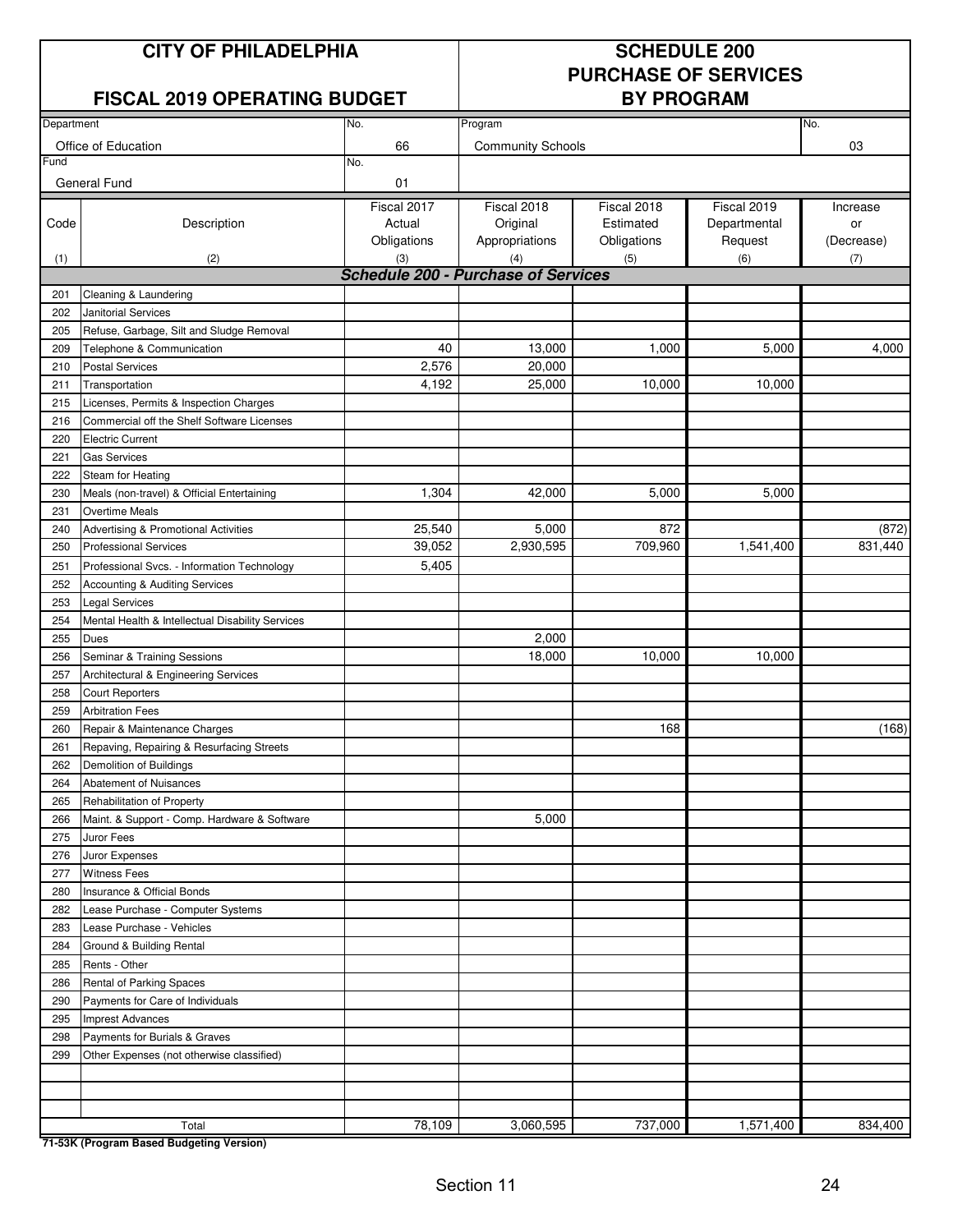#### **CITY OF PHILADELPHIA SCHEDULE 200**

#### **FISCAL 2019 OPERATING BUDGET**

# **PURCHASE OF SERVICES**

| Department<br>No.<br>Program |                                                  |                                            |                          |             |              | No.        |
|------------------------------|--------------------------------------------------|--------------------------------------------|--------------------------|-------------|--------------|------------|
|                              |                                                  |                                            |                          |             |              |            |
| Fund                         | Office of Education                              | 66                                         | <b>Community Schools</b> |             |              | 03         |
|                              |                                                  | No.                                        |                          |             |              |            |
|                              | General Fund                                     | 01                                         |                          |             |              |            |
|                              |                                                  | Fiscal 2017                                | Fiscal 2018              | Fiscal 2018 | Fiscal 2019  | Increase   |
| Code                         | Description                                      | Actual                                     | Original                 | Estimated   | Departmental | or         |
|                              |                                                  | Obligations                                | Appropriations           | Obligations | Request      | (Decrease) |
| (1)                          | (2)                                              | (3)                                        | (4)                      | (5)         | (6)          | (7)        |
|                              |                                                  | <b>Schedule 200 - Purchase of Services</b> |                          |             |              |            |
| 201                          | Cleaning & Laundering                            |                                            |                          |             |              |            |
| 202                          | Janitorial Services                              |                                            |                          |             |              |            |
| 205                          | Refuse, Garbage, Silt and Sludge Removal         |                                            |                          |             |              |            |
| 209                          | Telephone & Communication                        | 40                                         | 13,000                   | 1,000       | 5,000        | 4,000      |
| 210                          | <b>Postal Services</b>                           | 2,576                                      | 20,000                   |             |              |            |
| 211                          | Transportation                                   | 4,192                                      | 25,000                   | 10,000      | 10,000       |            |
| 215                          | Licenses, Permits & Inspection Charges           |                                            |                          |             |              |            |
| 216                          | Commercial off the Shelf Software Licenses       |                                            |                          |             |              |            |
| 220                          | <b>Electric Current</b>                          |                                            |                          |             |              |            |
| 221                          | <b>Gas Services</b>                              |                                            |                          |             |              |            |
| 222                          | Steam for Heating                                |                                            |                          |             |              |            |
| 230                          | Meals (non-travel) & Official Entertaining       | 1,304                                      | 42,000                   | 5,000       | 5,000        |            |
| 231                          | <b>Overtime Meals</b>                            |                                            |                          |             |              |            |
| 240                          | Advertising & Promotional Activities             | 25,540                                     | 5,000                    | 872         |              | (872)      |
| 250                          | <b>Professional Services</b>                     | 39,052                                     | 2,930,595                | 709,960     | 1,541,400    | 831,440    |
| 251                          | Professional Svcs. - Information Technology      | 5,405                                      |                          |             |              |            |
| 252                          | Accounting & Auditing Services                   |                                            |                          |             |              |            |
| 253                          | <b>Legal Services</b>                            |                                            |                          |             |              |            |
| 254                          | Mental Health & Intellectual Disability Services |                                            |                          |             |              |            |
| 255                          | Dues                                             |                                            | 2,000                    |             |              |            |
| 256                          | Seminar & Training Sessions                      |                                            | 18,000                   | 10,000      | 10,000       |            |
| 257                          | Architectural & Engineering Services             |                                            |                          |             |              |            |
| 258                          | <b>Court Reporters</b>                           |                                            |                          |             |              |            |
| 259                          | <b>Arbitration Fees</b>                          |                                            |                          |             |              |            |
| 260                          | Repair & Maintenance Charges                     |                                            |                          | 168         |              | (168)      |
| 261                          | Repaving, Repairing & Resurfacing Streets        |                                            |                          |             |              |            |
| 262                          | Demolition of Buildings                          |                                            |                          |             |              |            |
| 264                          | Abatement of Nuisances                           |                                            |                          |             |              |            |
| 265                          | Rehabilitation of Property                       |                                            |                          |             |              |            |
| 266                          | Maint. & Support - Comp. Hardware & Software     |                                            | 5,000                    |             |              |            |
| 275                          | Juror Fees                                       |                                            |                          |             |              |            |
| 276                          | Juror Expenses                                   |                                            |                          |             |              |            |
| 277                          | <b>Witness Fees</b>                              |                                            |                          |             |              |            |
| 280                          | Insurance & Official Bonds                       |                                            |                          |             |              |            |
| 282                          | Lease Purchase - Computer Systems                |                                            |                          |             |              |            |
| 283                          | Lease Purchase - Vehicles                        |                                            |                          |             |              |            |
| 284                          | Ground & Building Rental                         |                                            |                          |             |              |            |
| 285                          | Rents - Other                                    |                                            |                          |             |              |            |
| 286                          | Rental of Parking Spaces                         |                                            |                          |             |              |            |
| 290                          | Payments for Care of Individuals                 |                                            |                          |             |              |            |
| 295                          | <b>Imprest Advances</b>                          |                                            |                          |             |              |            |
| 298                          | Payments for Burials & Graves                    |                                            |                          |             |              |            |
| 299                          | Other Expenses (not otherwise classified)        |                                            |                          |             |              |            |
|                              |                                                  |                                            |                          |             |              |            |
|                              |                                                  |                                            |                          |             |              |            |
|                              |                                                  |                                            |                          |             |              | 834,400    |
|                              | Total                                            | 78,109                                     | 3,060,595                | 737,000     | 1,571,400    |            |

**71-53K (Program Based Budgeting Version)**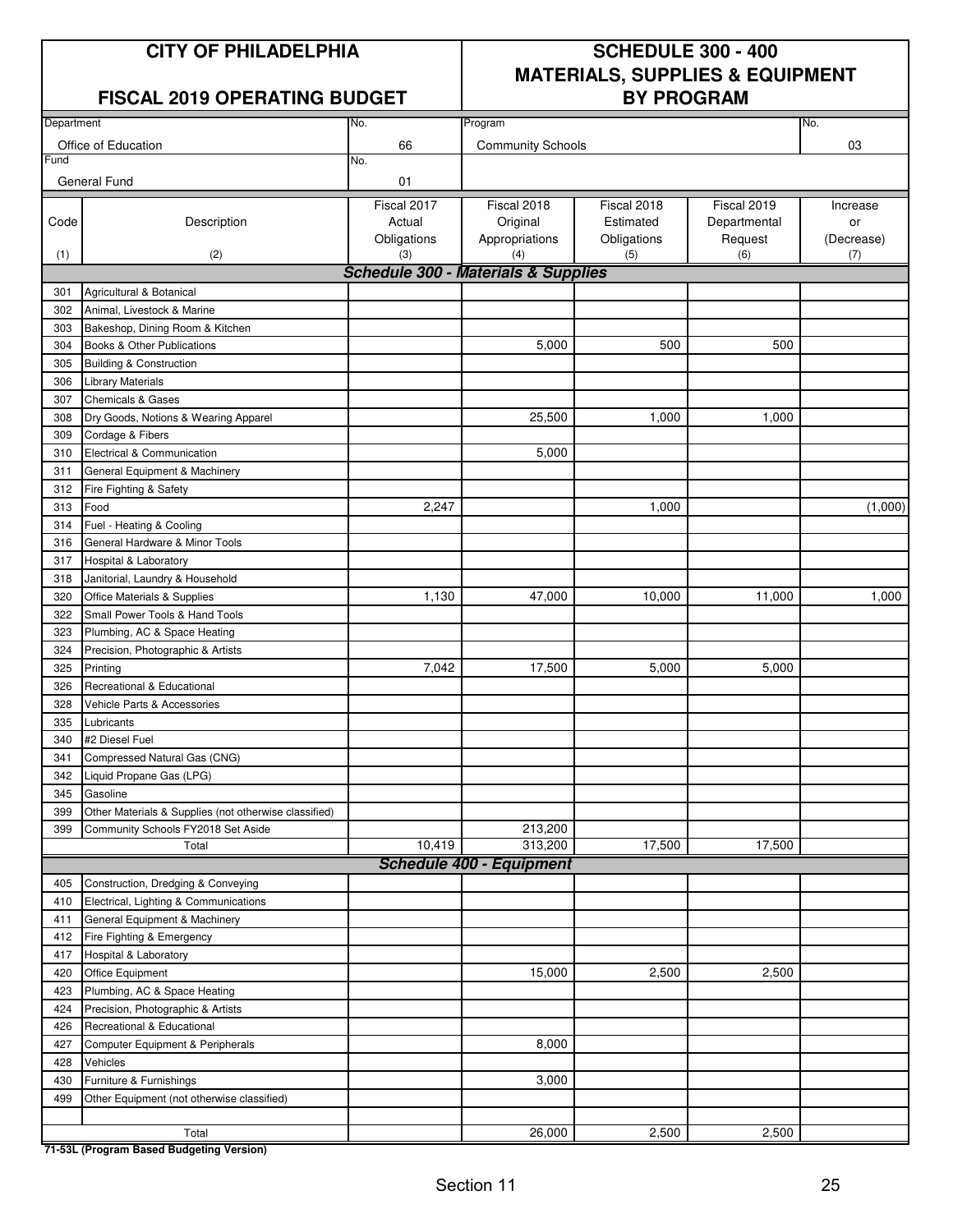#### **FISCAL 2019 OPERATING BUDGET**

## **CITY OF PHILADELPHIA SCHEDULE 300 - 400 MATERIALS, SUPPLIES & EQUIPMENT**

| Department |                                                                                             | No.                | Program                                        |                    |                | No.               |
|------------|---------------------------------------------------------------------------------------------|--------------------|------------------------------------------------|--------------------|----------------|-------------------|
|            | Office of Education                                                                         | 66                 | <b>Community Schools</b>                       |                    |                | 03                |
| Fund       |                                                                                             | No.                |                                                |                    |                |                   |
|            | General Fund                                                                                | 01                 |                                                |                    |                |                   |
|            |                                                                                             |                    |                                                |                    |                |                   |
|            |                                                                                             | Fiscal 2017        | Fiscal 2018                                    | Fiscal 2018        | Fiscal 2019    | Increase          |
| Code       | Description                                                                                 | Actual             | Original                                       | Estimated          | Departmental   | or                |
| (1)        | (2)                                                                                         | Obligations<br>(3) | Appropriations<br>(4)                          | Obligations<br>(5) | Request<br>(6) | (Decrease)<br>(7) |
|            |                                                                                             |                    | <b>Schedule 300 - Materials &amp; Supplies</b> |                    |                |                   |
| 301        | Agricultural & Botanical                                                                    |                    |                                                |                    |                |                   |
|            | Animal, Livestock & Marine                                                                  |                    |                                                |                    |                |                   |
| 302        |                                                                                             |                    |                                                |                    |                |                   |
| 303        | Bakeshop, Dining Room & Kitchen                                                             |                    |                                                |                    |                |                   |
| 304        | Books & Other Publications                                                                  |                    | 5,000                                          | 500                | 500            |                   |
| 305        | <b>Building &amp; Construction</b>                                                          |                    |                                                |                    |                |                   |
| 306        | Library Materials                                                                           |                    |                                                |                    |                |                   |
| 307        | <b>Chemicals &amp; Gases</b>                                                                |                    |                                                |                    |                |                   |
| 308        | Dry Goods, Notions & Wearing Apparel                                                        |                    | 25,500                                         | 1,000              | 1,000          |                   |
| 309        | Cordage & Fibers                                                                            |                    |                                                |                    |                |                   |
| 310        | Electrical & Communication                                                                  |                    | 5,000                                          |                    |                |                   |
| 311        | General Equipment & Machinery                                                               |                    |                                                |                    |                |                   |
| 312        | Fire Fighting & Safety                                                                      |                    |                                                |                    |                |                   |
| 313        | Food                                                                                        | 2,247              |                                                | 1,000              |                | (1,000)           |
| 314        | Fuel - Heating & Cooling                                                                    |                    |                                                |                    |                |                   |
| 316        | General Hardware & Minor Tools                                                              |                    |                                                |                    |                |                   |
| 317        | Hospital & Laboratory                                                                       |                    |                                                |                    |                |                   |
| 318        | Janitorial, Laundry & Household                                                             |                    |                                                |                    |                |                   |
| 320        | Office Materials & Supplies                                                                 | 1,130              | 47,000                                         | 10,000             | 11,000         | 1,000             |
| 322        | Small Power Tools & Hand Tools                                                              |                    |                                                |                    |                |                   |
| 323        | Plumbing, AC & Space Heating                                                                |                    |                                                |                    |                |                   |
| 324        | Precision, Photographic & Artists                                                           |                    |                                                |                    |                |                   |
| 325        | Printing                                                                                    | 7,042              | 17,500                                         | 5,000              | 5,000          |                   |
| 326        | Recreational & Educational                                                                  |                    |                                                |                    |                |                   |
| 328        | Vehicle Parts & Accessories                                                                 |                    |                                                |                    |                |                   |
| 335        | Lubricants                                                                                  |                    |                                                |                    |                |                   |
| 340        | #2 Diesel Fuel                                                                              |                    |                                                |                    |                |                   |
| 341        | Compressed Natural Gas (CNG)                                                                |                    |                                                |                    |                |                   |
| 342        | Liquid Propane Gas (LPG)                                                                    |                    |                                                |                    |                |                   |
| 345        | Gasoline                                                                                    |                    |                                                |                    |                |                   |
|            |                                                                                             |                    |                                                |                    |                |                   |
| 399<br>399 | Other Materials & Supplies (not otherwise classified)<br>Community Schools FY2018 Set Aside |                    | 213,200                                        |                    |                |                   |
|            | Total                                                                                       | 10,419             | 313,200                                        | 17,500             | 17,500         |                   |
|            |                                                                                             |                    | <b>Schedule 400 - Equipment</b>                |                    |                |                   |
| 405        | Construction, Dredging & Conveying                                                          |                    |                                                |                    |                |                   |
|            |                                                                                             |                    |                                                |                    |                |                   |
| 410        | Electrical, Lighting & Communications                                                       |                    |                                                |                    |                |                   |
| 411        | General Equipment & Machinery                                                               |                    |                                                |                    |                |                   |
| 412        | Fire Fighting & Emergency                                                                   |                    |                                                |                    |                |                   |
| 417        | Hospital & Laboratory                                                                       |                    |                                                |                    |                |                   |
| 420        | Office Equipment                                                                            |                    | 15,000                                         | 2,500              | 2,500          |                   |
| 423        | Plumbing, AC & Space Heating                                                                |                    |                                                |                    |                |                   |
| 424        | Precision, Photographic & Artists                                                           |                    |                                                |                    |                |                   |
| 426        | Recreational & Educational                                                                  |                    |                                                |                    |                |                   |
| 427        | Computer Equipment & Peripherals                                                            |                    | 8,000                                          |                    |                |                   |
| 428        | Vehicles                                                                                    |                    |                                                |                    |                |                   |
| 430        | Furniture & Furnishings                                                                     |                    | 3,000                                          |                    |                |                   |
| 499        | Other Equipment (not otherwise classified)                                                  |                    |                                                |                    |                |                   |
|            |                                                                                             |                    |                                                |                    |                |                   |
|            | Total                                                                                       |                    | 26,000                                         | 2,500              | 2,500          |                   |

**71-53L (Program Based Budgeting Version)**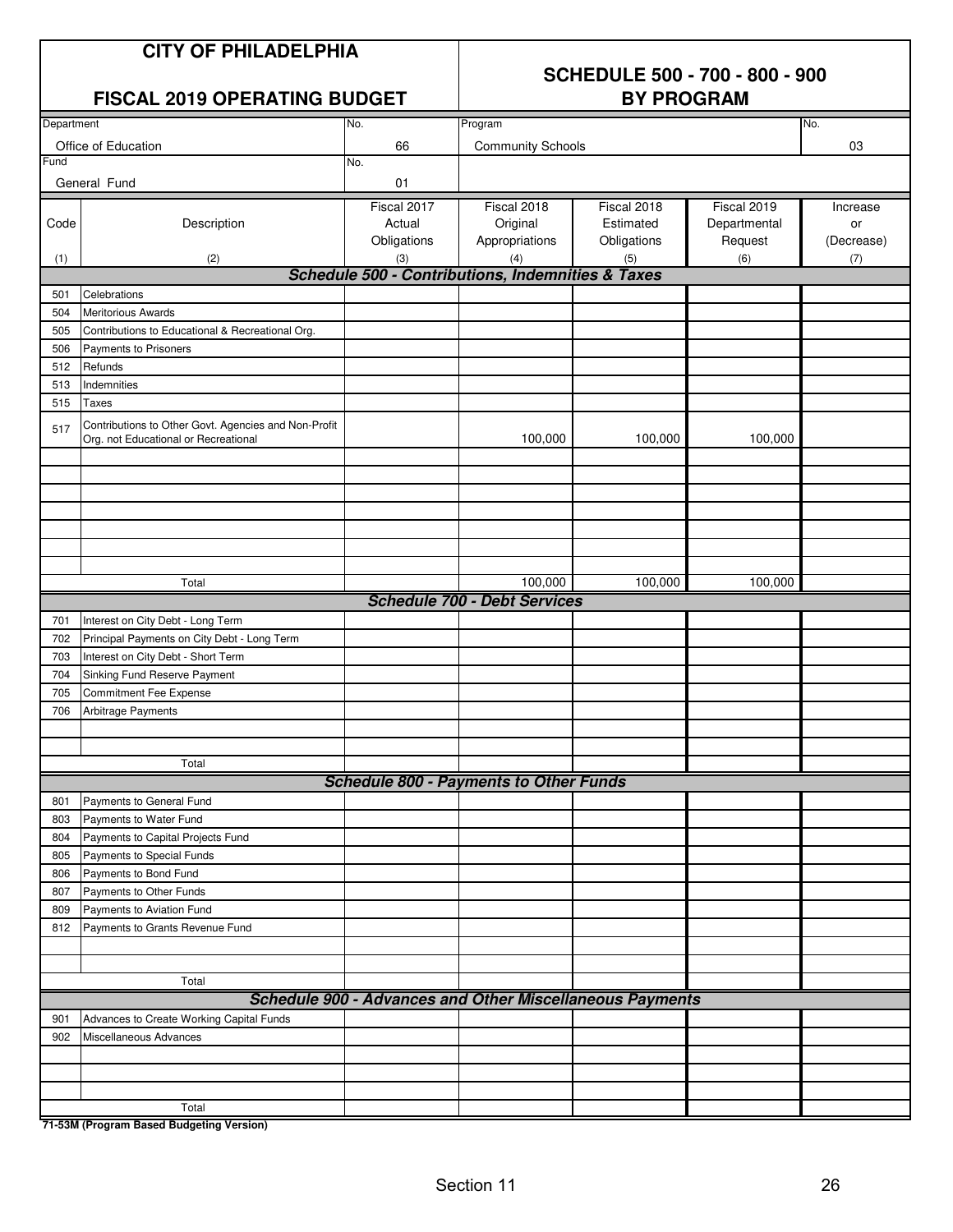## **SCHEDULE 500 - 700 - 800 - 900**

#### **FISCAL 2019 OPERATING BUDGET**

| Department |                                                      | No.         | Program                                                         |             |              | No.        |
|------------|------------------------------------------------------|-------------|-----------------------------------------------------------------|-------------|--------------|------------|
|            | Office of Education                                  | 66          | <b>Community Schools</b>                                        |             |              | 03         |
| Fund       |                                                      | No.         |                                                                 |             |              |            |
|            | General Fund                                         | 01          |                                                                 |             |              |            |
|            |                                                      | Fiscal 2017 | Fiscal 2018                                                     | Fiscal 2018 | Fiscal 2019  | Increase   |
| Code       | Description                                          | Actual      | Original                                                        | Estimated   | Departmental | or         |
|            |                                                      | Obligations | Appropriations                                                  | Obligations | Request      | (Decrease) |
| (1)        | (2)                                                  | (3)         | (4)                                                             | (5)         | (6)          | (7)        |
|            |                                                      |             | Schedule 500 - Contributions, Indemnities & Taxes               |             |              |            |
| 501        | Celebrations                                         |             |                                                                 |             |              |            |
| 504        | <b>Meritorious Awards</b>                            |             |                                                                 |             |              |            |
| 505        | Contributions to Educational & Recreational Org.     |             |                                                                 |             |              |            |
| 506        | Payments to Prisoners                                |             |                                                                 |             |              |            |
| 512        | Refunds                                              |             |                                                                 |             |              |            |
| 513        | Indemnities                                          |             |                                                                 |             |              |            |
| 515        | <b>Taxes</b>                                         |             |                                                                 |             |              |            |
|            | Contributions to Other Govt. Agencies and Non-Profit |             |                                                                 |             |              |            |
| 517        | Org. not Educational or Recreational                 |             | 100,000                                                         | 100,000     | 100,000      |            |
|            |                                                      |             |                                                                 |             |              |            |
|            |                                                      |             |                                                                 |             |              |            |
|            |                                                      |             |                                                                 |             |              |            |
|            |                                                      |             |                                                                 |             |              |            |
|            |                                                      |             |                                                                 |             |              |            |
|            |                                                      |             |                                                                 |             |              |            |
|            |                                                      |             |                                                                 |             |              |            |
|            | Total                                                |             | 100,000                                                         | 100,000     | 100,000      |            |
|            |                                                      |             | <b>Schedule 700 - Debt Services</b>                             |             |              |            |
| 701        | Interest on City Debt - Long Term                    |             |                                                                 |             |              |            |
| 702        | Principal Payments on City Debt - Long Term          |             |                                                                 |             |              |            |
| 703        | Interest on City Debt - Short Term                   |             |                                                                 |             |              |            |
| 704        | Sinking Fund Reserve Payment                         |             |                                                                 |             |              |            |
| 705        | Commitment Fee Expense                               |             |                                                                 |             |              |            |
| 706        | Arbitrage Payments                                   |             |                                                                 |             |              |            |
|            |                                                      |             |                                                                 |             |              |            |
|            |                                                      |             |                                                                 |             |              |            |
|            | Total                                                |             |                                                                 |             |              |            |
|            |                                                      |             | <b>Schedule 800 - Payments to Other Funds</b>                   |             |              |            |
| 801        | Payments to General Fund                             |             |                                                                 |             |              |            |
|            | 803 Payments to Water Fund                           |             |                                                                 |             |              |            |
| 804        | Payments to Capital Projects Fund                    |             |                                                                 |             |              |            |
| 805        | Payments to Special Funds                            |             |                                                                 |             |              |            |
| 806        | Payments to Bond Fund                                |             |                                                                 |             |              |            |
| 807        | Payments to Other Funds                              |             |                                                                 |             |              |            |
| 809        | Payments to Aviation Fund                            |             |                                                                 |             |              |            |
| 812        | Payments to Grants Revenue Fund                      |             |                                                                 |             |              |            |
|            |                                                      |             |                                                                 |             |              |            |
|            |                                                      |             |                                                                 |             |              |            |
|            | Total                                                |             |                                                                 |             |              |            |
|            |                                                      |             | <b>Schedule 900 - Advances and Other Miscellaneous Payments</b> |             |              |            |
| 901        | Advances to Create Working Capital Funds             |             |                                                                 |             |              |            |
| 902        | Miscellaneous Advances                               |             |                                                                 |             |              |            |
|            |                                                      |             |                                                                 |             |              |            |
|            |                                                      |             |                                                                 |             |              |            |
|            |                                                      |             |                                                                 |             |              |            |
|            | Total                                                |             |                                                                 |             |              |            |
|            | 71-53M (Program Rased Budgeting Version)             |             |                                                                 |             |              |            |

**71-53M (Program Based Budgeting Version)**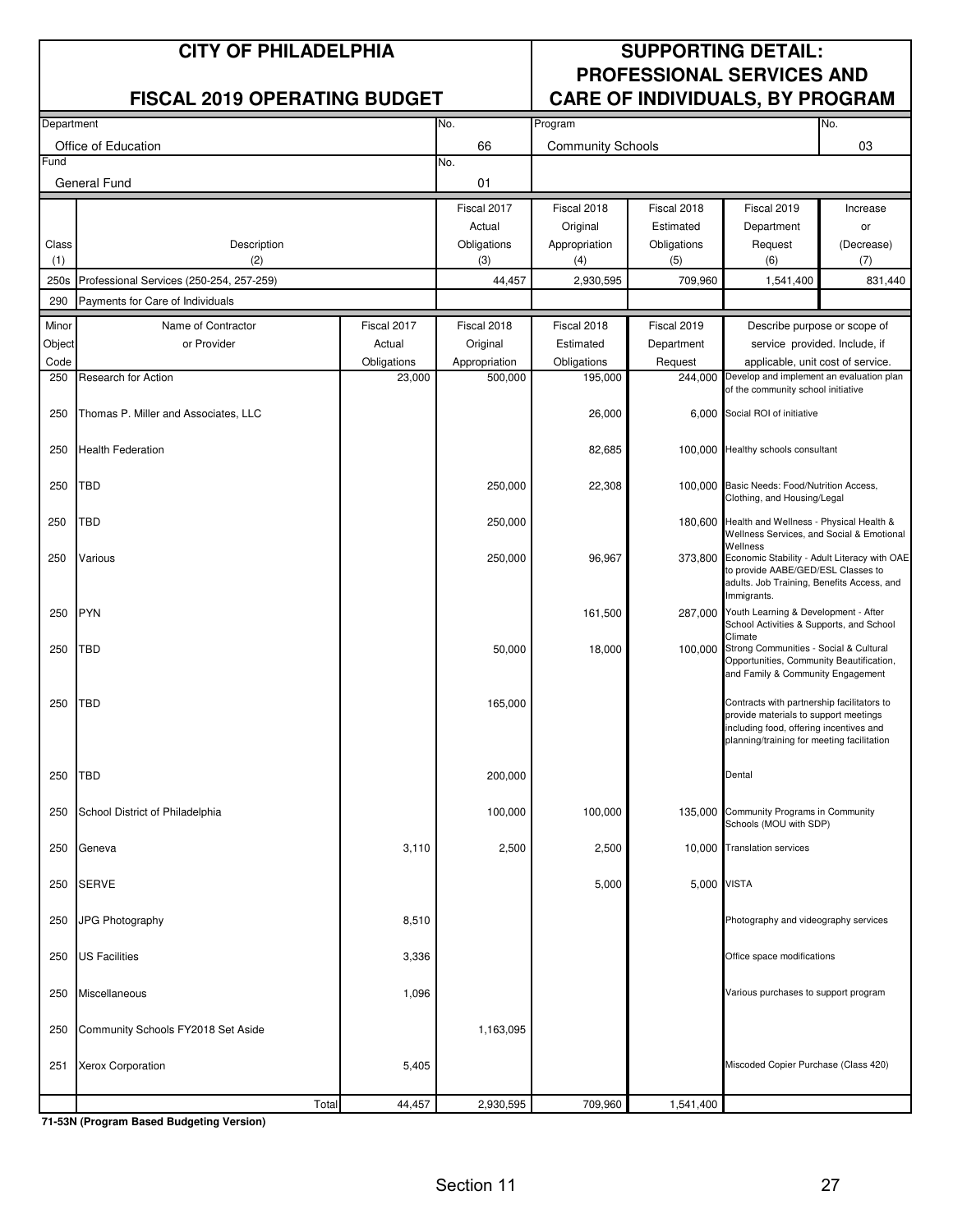#### **CITY OF PHILADELPHIA SUPPORTING DETAIL: PROFESSIONAL SERVICES AND FISCAL 2019 OPERATING BUDGET CARE OF INDIVIDUALS, BY PROGRAM**

| Department          |                                          | No.         | Program       |                          |             | No.                                                                                                                                                                          |                              |
|---------------------|------------------------------------------|-------------|---------------|--------------------------|-------------|------------------------------------------------------------------------------------------------------------------------------------------------------------------------------|------------------------------|
| Office of Education |                                          |             | 66            | <b>Community Schools</b> |             |                                                                                                                                                                              | 03                           |
| Fund                |                                          |             | No.           |                          |             |                                                                                                                                                                              |                              |
|                     | General Fund                             | 01          |               |                          |             |                                                                                                                                                                              |                              |
|                     |                                          |             | Fiscal 2017   | Fiscal 2018              | Fiscal 2018 | Fiscal 2019                                                                                                                                                                  | Increase                     |
|                     |                                          |             | Actual        | Original                 | Estimated   | Department                                                                                                                                                                   | or                           |
| Class               | Description                              |             | Obligations   | Appropriation            | Obligations | Request                                                                                                                                                                      | (Decrease)                   |
| (1)                 | (2)                                      |             | (3)           | (4)                      | (5)         | (6)                                                                                                                                                                          | (7)                          |
| 250s                | Professional Services (250-254, 257-259) |             | 44,457        | 2,930,595                | 709,960     | 1,541,400                                                                                                                                                                    | 831,440                      |
| 290                 | Payments for Care of Individuals         |             |               |                          |             |                                                                                                                                                                              |                              |
| Minor               | Name of Contractor                       | Fiscal 2017 | Fiscal 2018   | Fiscal 2018              | Fiscal 2019 |                                                                                                                                                                              | Describe purpose or scope of |
| Object              | or Provider                              | Actual      | Original      | Estimated                | Department  | service provided. Include, if                                                                                                                                                |                              |
| Code                |                                          | Obligations | Appropriation | Obligations              | Request     | applicable, unit cost of service.                                                                                                                                            |                              |
| 250                 | Research for Action                      | 23,000      | 500,000       | 195,000                  |             | 244,000 Develop and implement an evaluation plan                                                                                                                             |                              |
|                     |                                          |             |               |                          |             | of the community school initiative                                                                                                                                           |                              |
| 250                 | Thomas P. Miller and Associates, LLC     |             |               | 26,000                   |             | 6,000 Social ROI of initiative                                                                                                                                               |                              |
| 250                 | <b>Health Federation</b>                 |             |               | 82,685                   |             | 100,000 Healthy schools consultant                                                                                                                                           |                              |
| 250                 | TBD                                      |             | 250,000       | 22,308                   |             | 100,000 Basic Needs: Food/Nutrition Access,<br>Clothing, and Housing/Legal                                                                                                   |                              |
| 250                 | TBD                                      |             | 250,000       |                          |             | 180,600 Health and Wellness - Physical Health &<br>Wellness Services, and Social & Emotional                                                                                 |                              |
| 250                 | Various                                  |             | 250,000       | 96,967                   |             | Wellness<br>373,800 Economic Stability - Adult Literacy with OAE<br>to provide AABE/GED/ESL Classes to<br>adults. Job Training, Benefits Access, and                         |                              |
| 250                 | <b>PYN</b>                               |             |               | 161,500                  |             | Immigrants.<br>287,000 Youth Learning & Development - After<br>School Activities & Supports, and School                                                                      |                              |
| 250                 | TBD                                      |             | 50,000        | 18,000                   |             | Climate<br>100,000 Strong Communities - Social & Cultural<br>Opportunities, Community Beautification,<br>and Family & Community Engagement                                   |                              |
| 250                 | <b>TBD</b>                               |             | 165,000       |                          |             | Contracts with partnership facilitators to<br>provide materials to support meetings<br>including food, offering incentives and<br>planning/training for meeting facilitation |                              |
| 250                 | TBD                                      |             | 200,000       |                          |             | Dental                                                                                                                                                                       |                              |
| 250                 | School District of Philadelphia          |             | 100,000       | 100,000                  |             | 135,000 Community Programs in Community<br>Schools (MOU with SDP)                                                                                                            |                              |
| 250                 | Geneva                                   | 3,110       | 2,500         | 2,500                    |             | 10,000 Translation services                                                                                                                                                  |                              |
| 250                 | <b>SERVE</b>                             |             |               | 5,000                    | 5,000 VISTA |                                                                                                                                                                              |                              |
| 250                 | JPG Photography                          | 8,510       |               |                          |             | Photography and videography services                                                                                                                                         |                              |
| 250                 | <b>US Facilities</b>                     | 3,336       |               |                          |             | Office space modifications                                                                                                                                                   |                              |
| 250                 | Miscellaneous                            | 1,096       |               |                          |             | Various purchases to support program                                                                                                                                         |                              |
| 250                 | Community Schools FY2018 Set Aside       |             | 1,163,095     |                          |             |                                                                                                                                                                              |                              |
| 251                 | <b>Xerox Corporation</b>                 | 5,405       |               |                          |             | Miscoded Copier Purchase (Class 420)                                                                                                                                         |                              |
|                     | Total                                    | 44,457      | 2,930,595     | 709,960                  | 1,541,400   |                                                                                                                                                                              |                              |

**71-53N (Program Based Budgeting Version)**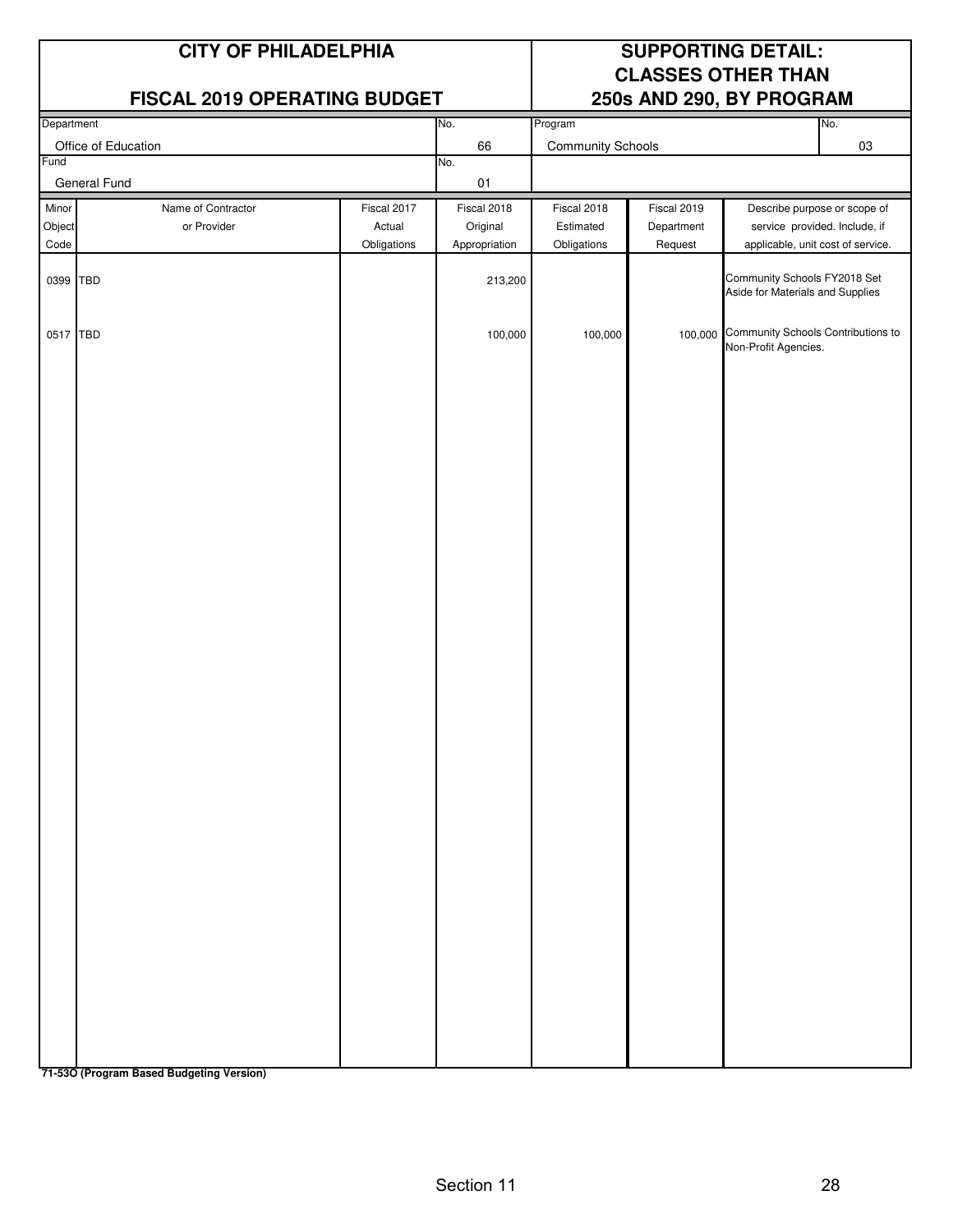#### **FISCAL 2019 OPERATING BUDGET**

## **CITY OF PHILADELPHIA SUPPORTING DETAIL: CLASSES OTHER THAN**

| Department                  |                                   |                                      | No.                                      | Program                                 |                                      |                                                                    | No.                                                           |
|-----------------------------|-----------------------------------|--------------------------------------|------------------------------------------|-----------------------------------------|--------------------------------------|--------------------------------------------------------------------|---------------------------------------------------------------|
| Office of Education<br>Fund |                                   |                                      | 66<br>No.                                | <b>Community Schools</b>                |                                      |                                                                    | 03                                                            |
| General Fund                |                                   |                                      | $01\,$                                   |                                         |                                      |                                                                    |                                                               |
| Minor<br>Object<br>Code     | Name of Contractor<br>or Provider | Fiscal 2017<br>Actual<br>Obligations | Fiscal 2018<br>Original<br>Appropriation | Fiscal 2018<br>Estimated<br>Obligations | Fiscal 2019<br>Department<br>Request | applicable, unit cost of service.                                  | Describe purpose or scope of<br>service provided. Include, if |
|                             | 0399 TBD                          |                                      | 213,200                                  |                                         |                                      | Community Schools FY2018 Set<br>Aside for Materials and Supplies   |                                                               |
|                             | 0517 TBD                          |                                      | 100,000                                  | 100,000                                 |                                      | 100,000 Community Schools Contributions to<br>Non-Profit Agencies. |                                                               |
|                             |                                   |                                      |                                          |                                         |                                      |                                                                    |                                                               |
|                             |                                   |                                      |                                          |                                         |                                      |                                                                    |                                                               |
|                             |                                   |                                      |                                          |                                         |                                      |                                                                    |                                                               |
|                             |                                   |                                      |                                          |                                         |                                      |                                                                    |                                                               |
|                             |                                   |                                      |                                          |                                         |                                      |                                                                    |                                                               |
|                             |                                   |                                      |                                          |                                         |                                      |                                                                    |                                                               |
|                             |                                   |                                      |                                          |                                         |                                      |                                                                    |                                                               |
|                             |                                   |                                      |                                          |                                         |                                      |                                                                    |                                                               |
|                             |                                   |                                      |                                          |                                         |                                      |                                                                    |                                                               |
|                             |                                   |                                      |                                          |                                         |                                      |                                                                    |                                                               |
|                             |                                   |                                      |                                          |                                         |                                      |                                                                    |                                                               |
|                             |                                   |                                      |                                          |                                         |                                      |                                                                    |                                                               |
|                             |                                   |                                      |                                          |                                         |                                      |                                                                    |                                                               |

**71-53O (Program Based Budgeting Version)**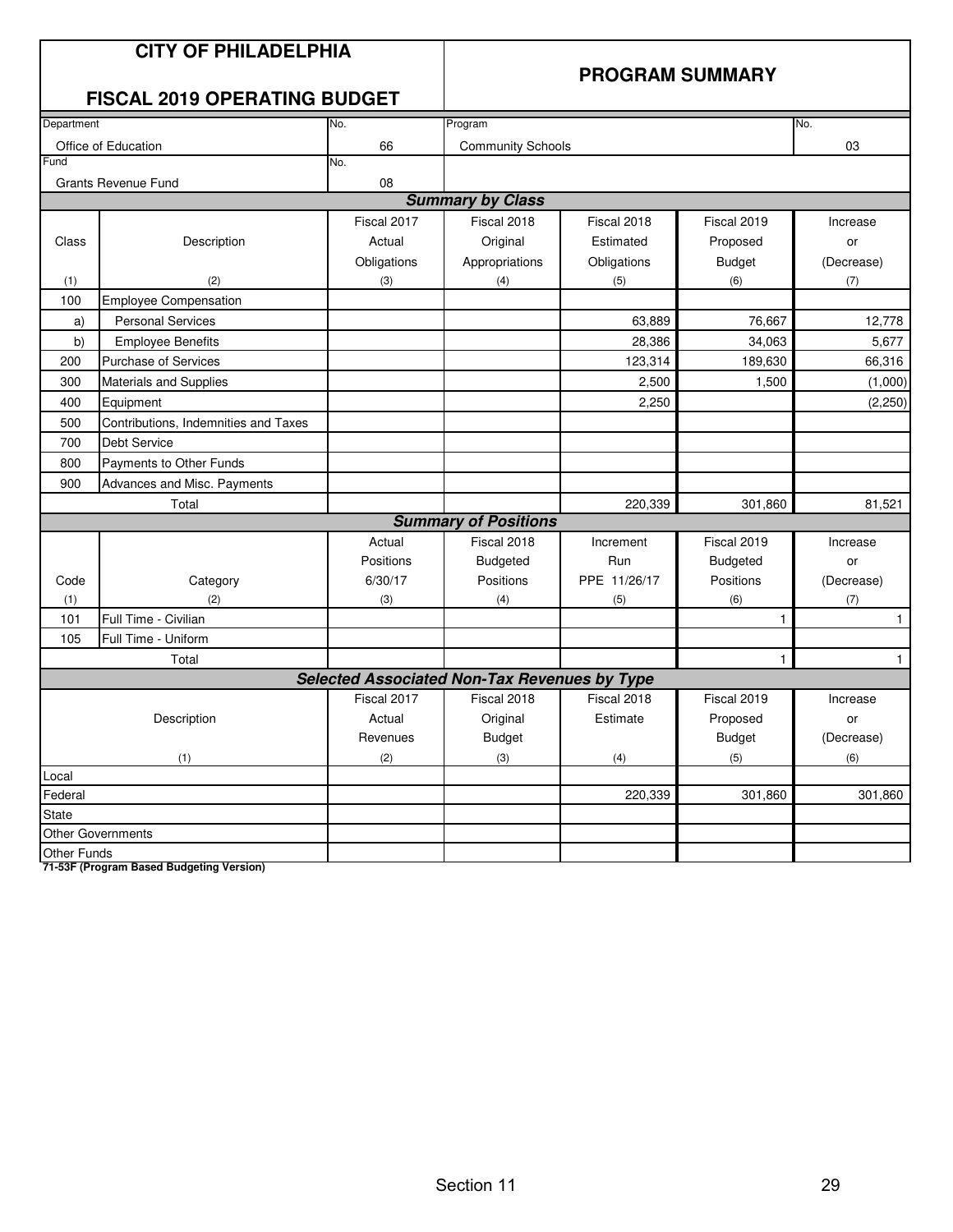| <b>CITY OF PHILADELPHIA</b><br><b>FISCAL 2019 OPERATING BUDGET</b> |                                      |             |                                                     | <b>PROGRAM SUMMARY</b> |                 |              |  |
|--------------------------------------------------------------------|--------------------------------------|-------------|-----------------------------------------------------|------------------------|-----------------|--------------|--|
| Department<br>No.                                                  |                                      |             | Program<br>No.                                      |                        |                 |              |  |
|                                                                    | Office of Education                  | 66          | <b>Community Schools</b>                            |                        |                 | 03           |  |
| Fund                                                               |                                      | No.         |                                                     |                        |                 |              |  |
|                                                                    | <b>Grants Revenue Fund</b>           | 08          |                                                     |                        |                 |              |  |
|                                                                    |                                      |             | <b>Summary by Class</b>                             |                        |                 |              |  |
|                                                                    |                                      | Fiscal 2017 | Fiscal 2018                                         | Fiscal 2018            | Fiscal 2019     | Increase     |  |
| Class                                                              | Description                          | Actual      | Original                                            | Estimated              | Proposed        | or           |  |
|                                                                    |                                      | Obligations | Appropriations                                      | Obligations            | <b>Budget</b>   | (Decrease)   |  |
| (1)                                                                | (2)                                  | (3)         | (4)                                                 | (5)                    | (6)             | (7)          |  |
| 100                                                                | <b>Employee Compensation</b>         |             |                                                     |                        |                 |              |  |
| a)                                                                 | <b>Personal Services</b>             |             |                                                     | 63,889                 | 76,667          | 12,778       |  |
| b)                                                                 | <b>Employee Benefits</b>             |             |                                                     | 28,386                 | 34,063          | 5,677        |  |
| 200                                                                | Purchase of Services                 |             |                                                     | 123,314                | 189,630         | 66,316       |  |
| 300                                                                | Materials and Supplies               |             |                                                     | 2,500                  | 1,500           | (1,000)      |  |
| 400                                                                | Equipment                            |             |                                                     | 2,250                  |                 | (2, 250)     |  |
| 500                                                                | Contributions, Indemnities and Taxes |             |                                                     |                        |                 |              |  |
| 700                                                                | Debt Service                         |             |                                                     |                        |                 |              |  |
| 800                                                                | Payments to Other Funds              |             |                                                     |                        |                 |              |  |
| 900                                                                | Advances and Misc. Payments          |             |                                                     |                        |                 |              |  |
| Total                                                              |                                      |             |                                                     | 220,339                | 301,860         | 81,521       |  |
|                                                                    |                                      |             | <b>Summary of Positions</b>                         |                        |                 |              |  |
|                                                                    |                                      | Actual      | Fiscal 2018                                         | Increment              | Fiscal 2019     | Increase     |  |
|                                                                    |                                      | Positions   | <b>Budgeted</b>                                     | Run                    | <b>Budgeted</b> | or           |  |
| Code                                                               | Category                             | 6/30/17     | Positions                                           | PPE 11/26/17           | Positions       | (Decrease)   |  |
| (1)                                                                | (2)                                  | (3)         | (4)                                                 | (5)                    | (6)             | (7)          |  |
| 101                                                                | Full Time - Civilian                 |             |                                                     |                        | 1               | $\mathbf{1}$ |  |
| 105                                                                | Full Time - Uniform                  |             |                                                     |                        |                 |              |  |
|                                                                    | Total                                |             |                                                     |                        | 1               | $\mathbf{1}$ |  |
|                                                                    |                                      |             | <b>Selected Associated Non-Tax Revenues by Type</b> |                        |                 |              |  |
|                                                                    |                                      | Fiscal 2017 | Fiscal 2018                                         | Fiscal 2018            | Fiscal 2019     | Increase     |  |
|                                                                    | Description                          | Actual      | Original                                            | Estimate               | Proposed        | or           |  |
|                                                                    |                                      | Revenues    | Budget                                              |                        | Budget          | (Decrease)   |  |
|                                                                    | (1)                                  | (2)         | (3)                                                 | (4)                    | (5)             | (6)          |  |
| Local                                                              |                                      |             |                                                     |                        |                 |              |  |
| Federal                                                            |                                      |             |                                                     | 220,339                | 301,860         | 301,860      |  |
| State                                                              |                                      |             |                                                     |                        |                 |              |  |
|                                                                    | Other Governments                    |             |                                                     |                        |                 |              |  |
| Other Funds                                                        |                                      |             |                                                     |                        |                 |              |  |

**71-53F (Program Based Budgeting Version)**